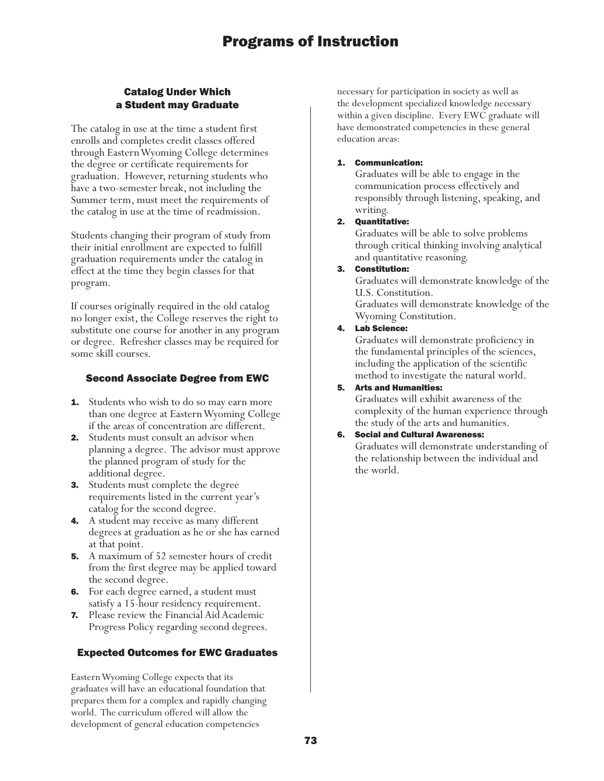## Catalog Under Which a Student may Graduate

The catalog in use at the time a student first enrolls and completes credit classes offered through Eastern Wyoming College determines the degree or certificate requirements for graduation. However, returning students who have a two-semester break, not including the Summer term, must meet the requirements of the catalog in use at the time of readmission.

Students changing their program of study from their initial enrollment are expected to fulfill graduation requirements under the catalog in effect at the time they begin classes for that program.

If courses originally required in the old catalog no longer exist, the College reserves the right to substitute one course for another in any program or degree. Refresher classes may be required for some skill courses.

## Second Associate Degree from EWC

- **1.** Students who wish to do so may earn more than one degree at Eastern Wyoming College if the areas of concentration are different.
- 2. Students must consult an advisor when planning a degree. The advisor must approve the planned program of study for the additional degree.
- **3.** Students must complete the degree requirements listed in the current year's catalog for the second degree.
- 4. A student may receive as many different degrees at graduation as he or she has earned at that point.
- **5.** A maximum of 52 semester hours of credit from the first degree may be applied toward the second degree.
- 6. For each degree earned, a student must satisfy a 15-hour residency requirement.
- 7. Please review the Financial Aid Academic Progress Policy regarding second degrees.

## Expected Outcomes for EWC Graduates

Eastern Wyoming College expects that its graduates will have an educational foundation that prepares them for a complex and rapidly changing world. The curriculum offered will allow the development of general education competencies

necessary for participation in society as well as the development specialized knowledge necessary within a given discipline. Every EWC graduate will have demonstrated competencies in these general education areas:

## 1. Communication:

Graduates will be able to engage in the communication process effectively and responsibly through listening, speaking, and writing.

## 2. Quantitative:

Graduates will be able to solve problems through critical thinking involving analytical and quantitative reasoning.

3. Constitution:

Graduates will demonstrate knowledge of the U.S. Constitution.

Graduates will demonstrate knowledge of the Wyoming Constitution.

## 4. Lab Science:

Graduates will demonstrate proficiency in the fundamental principles of the sciences, including the application of the scientific method to investigate the natural world.

## 5. Arts and Humanities:

Graduates will exhibit awareness of the complexity of the human experience through the study of the arts and humanities.

## 6. Social and Cultural Awareness:

Graduates will demonstrate understanding of the relationship between the individual and the world.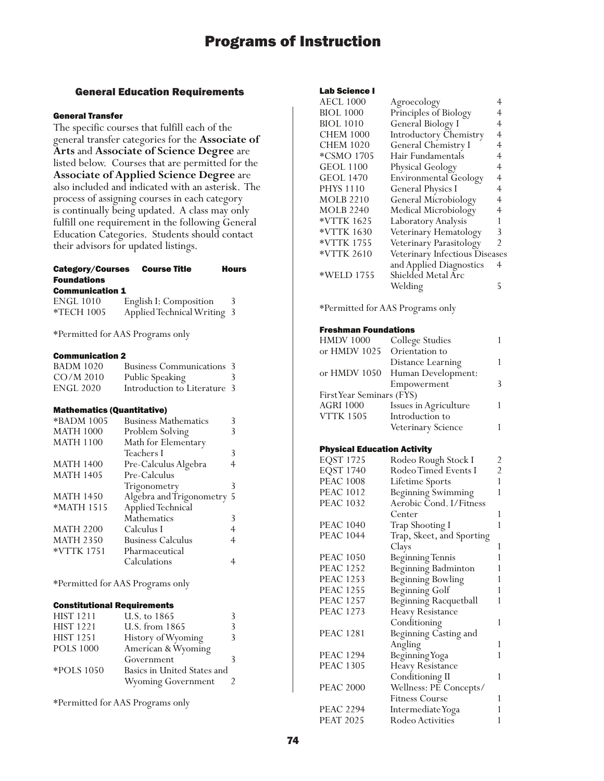## General Education Requirements

## General Transfer

The specific courses that fulfill each of the general transfer categories for the **Associate of Arts** and **Associate of Science Degree** are listed below. Courses that are permitted for the **Associate of Applied Science Degree** are also included and indicated with an asterisk. The process of assigning courses in each category is continually being updated. A class may only fulfill one requirement in the following General Education Categories. Students should contact their advisors for updated listings.

## Category/Courses Course Title Hours Foundations

#### Communication 1

| <b>ENGL 1010</b>  | English I: Composition      |  |
|-------------------|-----------------------------|--|
| <b>*TECH 1005</b> | Applied Technical Writing 3 |  |

\*Permitted for AAS Programs only

#### Communication 2

| <b>BADM 1020</b> | <b>Business Communications 3</b> |   |
|------------------|----------------------------------|---|
| $CO/M$ 2010      | Public Speaking                  | 3 |
| <b>ENGL 2020</b> | Introduction to Literature 3     |   |

### Mathematics (Quantitative)

| *BADM 1005       | <b>Business Mathematics</b> |   |
|------------------|-----------------------------|---|
| <b>MATH 1000</b> | Problem Solving             |   |
| <b>MATH 1100</b> | Math for Elementary         |   |
|                  | Teachers I                  | 3 |
| <b>MATH 1400</b> | Pre-Calculus Algebra        |   |
| <b>MATH 1405</b> | Pre-Calculus                |   |
|                  | Trigonometry                | 3 |
| <b>MATH 1450</b> | Algebra and Trigonometry 5  |   |
| *MATH 1515       | Applied Technical           |   |
|                  | Mathematics                 | 3 |
| <b>MATH 2200</b> | Calculus I                  |   |
| <b>MATH 2350</b> | <b>Business Calculus</b>    | 4 |
| *VTTK 1751       | Pharmaceutical              |   |
|                  | Calculations                |   |
|                  |                             |   |

\*Permitted for AAS Programs only

### Constitutional Requirements

| <b>HIST 1211</b> | U.S. to 1865                |  |
|------------------|-----------------------------|--|
| <b>HIST 1221</b> | U.S. from 1865              |  |
| <b>HIST 1251</b> | History of Wyoming          |  |
| <b>POLS 1000</b> | American & Wyoming          |  |
|                  | Government                  |  |
| *POLS 1050       | Basics in United States and |  |
|                  | <b>Wyoming Government</b>   |  |

\*Permitted for AAS Programs only

#### Lab Science I

| <b>AECL 1000</b> | Agroecology                    |                |
|------------------|--------------------------------|----------------|
| <b>BIOL 1000</b> | Principles of Biology          |                |
| <b>BIOL 1010</b> | General Biology I              | 4              |
| <b>CHEM 1000</b> | <b>Introductory Chemistry</b>  | 4              |
| <b>CHEM 1020</b> | General Chemistry I            | 4              |
| *CSMO 1705       | Hair Fundamentals              | 4              |
| <b>GEOL 1100</b> | Physical Geology               | 4              |
| GEOL 1470        | <b>Environmental Geology</b>   | 4              |
| <b>PHYS 1110</b> | <b>General Physics I</b>       | 4              |
| <b>MOLB</b> 2210 | General Microbiology           | 4              |
| <b>MOLB 2240</b> | Medical Microbiology           | 4              |
| *VTTK 1625       | Laboratory Analysis            |                |
| *VTTK 1630       | Veterinary Hematology          | 3              |
| *VTTK 1755       | Veterinary Parasitology        | $\mathfrak{D}$ |
| *VTTK 2610       | Veterinary Infectious Diseases |                |
|                  | and Applied Diagnostics        | 4              |
| *WELD 1755       | Shielded Metal Arc             |                |
|                  | Welding                        | 5              |
|                  |                                |                |

\*Permitted for AAS Programs only

#### Freshman Foundations

| Orientation to     |                                                                                                          |
|--------------------|----------------------------------------------------------------------------------------------------------|
| Distance Learning  |                                                                                                          |
|                    |                                                                                                          |
| Empowerment        | ξ                                                                                                        |
|                    |                                                                                                          |
|                    |                                                                                                          |
| Introduction to    |                                                                                                          |
| Veterinary Science |                                                                                                          |
|                    | College Studies<br>or HMDV 1050 Human Development:<br>First Year Seminars (FYS)<br>Issues in Agriculture |

#### Physical Education Activity

| <b>EQST 1725</b> | Rodeo Rough Stock I         | 2              |
|------------------|-----------------------------|----------------|
| <b>EQST 1740</b> | <b>Rodeo Timed Events I</b> | $\overline{2}$ |
| <b>PEAC 1008</b> | Lifetime Sports             | $\mathbf{1}$   |
| <b>PEAC 1012</b> | <b>Beginning Swimming</b>   | $\mathbf{1}$   |
| <b>PEAC 1032</b> | Aerobic Cond. I/Fitness     |                |
|                  | Center                      | 1              |
| <b>PEAC 1040</b> | Trap Shooting I             | 1              |
| <b>PEAC 1044</b> | Trap, Skeet, and Sporting   |                |
|                  | Clays                       | 1              |
| <b>PEAC 1050</b> | <b>Beginning Tennis</b>     | $\mathbf{1}$   |
| <b>PEAC 1252</b> | Beginning Badminton         | 1              |
| <b>PEAC 1253</b> | <b>Beginning Bowling</b>    | 1              |
| <b>PEAC 1255</b> | <b>Beginning Golf</b>       | 1              |
| <b>PEAC 1257</b> | Beginning Racquetball       | 1              |
| <b>PEAC 1273</b> | <b>Heavy Resistance</b>     |                |
|                  | Conditioning                | 1              |
| <b>PEAC 1281</b> | Beginning Casting and       |                |
|                  | Angling                     | 1              |
| <b>PEAC 1294</b> | Beginning Yoga              | $\mathbf{1}$   |
| <b>PEAC 1305</b> | <b>Heavy Resistance</b>     |                |
|                  | Conditioning II             | 1              |
| <b>PEAC 2000</b> | Wellness: PE Concepts/      |                |
|                  | <b>Fitness Course</b>       | 1              |
| <b>PEAC 2294</b> | Intermediate Yoga           | 1              |
| <b>PEAT 2025</b> | Rodeo Activities            | 1              |
|                  |                             |                |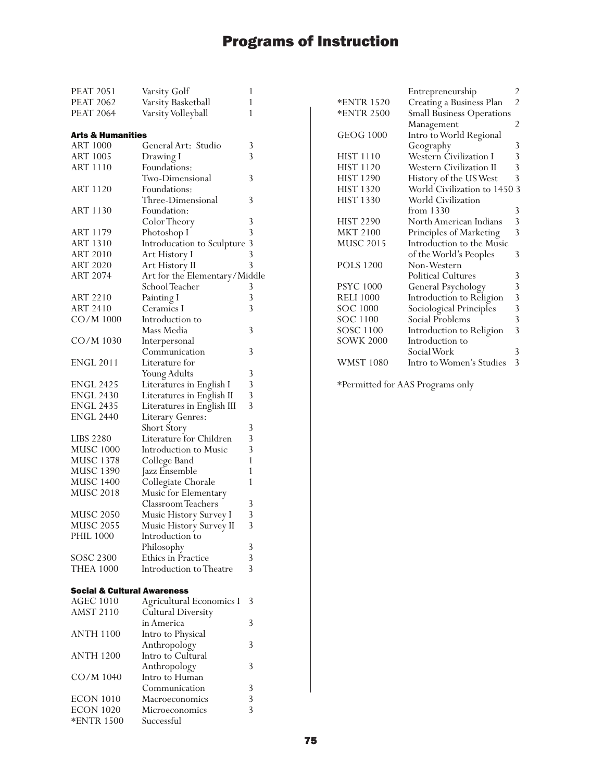| <b>PEAT 2051</b>                       | Varsity Golf                  | 1 |
|----------------------------------------|-------------------------------|---|
| <b>PEAT 2062</b>                       | Varsity Basketball            | 1 |
| <b>PEAT 2064</b>                       | Varsity Volleyball            | 1 |
|                                        |                               |   |
| Arts & Humanities                      |                               |   |
| <b>ART 1000</b>                        | General Art: Studio           | 3 |
| <b>ART 1005</b>                        | Drawing I                     | 3 |
| <b>ART 1110</b>                        | Foundations:                  |   |
|                                        |                               |   |
|                                        | Two-Dimensional               | 3 |
| ART 1120                               | Foundations:                  |   |
|                                        | Three-Dimensional             | 3 |
| <b>ART 1130</b>                        | Foundation:                   |   |
|                                        | Color Theory                  | 3 |
| <b>ART 1179</b>                        | Photoshop I                   | 3 |
| <b>ART 1310</b>                        | Introducation to Sculpture    | 3 |
| <b>ART 2010</b>                        | Art History I                 | 3 |
| <b>ART 2020</b>                        | Art History II                | 3 |
| <b>ART 2074</b>                        | Art for the Elementary/Middle |   |
|                                        | School Teacher                | 3 |
|                                        |                               | 3 |
| ART 2210                               | Painting I                    |   |
| <b>ART 2410</b>                        | Ceramics I                    | 3 |
| CO/M 1000                              | Introduction to               |   |
|                                        | Mass Media                    | 3 |
| CO/M 1030                              | Interpersonal                 |   |
|                                        | Communication                 | 3 |
| <b>ENGL 2011</b>                       | Literature for                |   |
|                                        | Young Adults                  | 3 |
| ENGL 2425                              | Literatures in English I      | 3 |
| <b>ENGL 2430</b>                       |                               | 3 |
|                                        | Literatures in English II     | 3 |
| <b>ENGL 2435</b>                       | Literatures in English III    |   |
| <b>ENGL 2440</b>                       | Literary Genres:              |   |
|                                        | Short Story                   | 3 |
| LIBS 2280                              | Literature for Children       | 3 |
| <b>MUSC 1000</b>                       | Introduction to Music         | 3 |
| MUSC 1378                              | College Band                  | 1 |
| MUSC 1390<br>MUSC 1400                 | Jazz Ensemble                 | 1 |
|                                        | Collegiate Chorale            | 1 |
| <b>MUSC 2018</b>                       | Music for Elementary          |   |
|                                        | Classroom Teachers            | 3 |
| <b>MUSC 2050</b>                       |                               | 3 |
|                                        | Music History Survey I        | 3 |
| MUSC 2055                              | Music History Survey II       |   |
| <b>PHIL 1000</b>                       | Introduction to               |   |
|                                        | Philosophy                    | 3 |
| SOSC 2300                              | <b>Ethics in Practice</b>     | 3 |
| <b>THEA 1000</b>                       | Introduction to Theatre       | 3 |
|                                        |                               |   |
| <b>Social &amp; Cultural Awareness</b> |                               |   |
| <b>AGEC 1010</b>                       | Agricultural Economics I      | 3 |
| <b>AMST 2110</b>                       | Cultural Diversity            |   |
|                                        | in America                    | 3 |
| <b>ANTH 1100</b>                       | Intro to Physical             |   |
|                                        | Anthropology                  | 3 |
| <b>ANTH 1200</b>                       | Intro to Cultural             |   |
|                                        |                               |   |
|                                        | Anthropology                  | 3 |
| CO/M 1040                              | Intro to Human                |   |
|                                        | Communication                 | 3 |
| ECON 1010                              | Macroeconomics                | 3 |
| <b>ECON 1020</b>                       | Microeconomics                | 3 |
| *ENTR 1500                             | Successful                    |   |

|                  | Entrepreneurship                 | 2              |
|------------------|----------------------------------|----------------|
| *ENTR 1520       | Creating a Business Plan         | $\overline{2}$ |
| *ENTR 2500       | <b>Small Business Operations</b> |                |
|                  | Management                       | 2              |
| <b>GEOG 1000</b> | Intro to World Regional          |                |
|                  | Geography                        | 3              |
| <b>HIST 1110</b> | <b>Western Civilization I</b>    | 3              |
| <b>HIST 1120</b> | <b>Western Civilization II</b>   | 3              |
| <b>HIST 1290</b> | History of the US West           | 3              |
| <b>HIST 1320</b> | World Civilization to 1450       | 3              |
| <b>HIST 1330</b> | World Civilization               |                |
|                  | from 1330                        | 3              |
| <b>HIST 2290</b> | North American Indians           | 3              |
| <b>MKT 2100</b>  | Principles of Marketing          | $\overline{3}$ |
| <b>MUSC 2015</b> | Introduction to the Music        |                |
|                  | of the World's Peoples           | 3              |
| <b>POLS 1200</b> | Non-Western                      |                |
|                  | <b>Political Cultures</b>        | 3              |
| <b>PSYC 1000</b> | General Psychology               | 3              |
| <b>RELI 1000</b> | Introduction to Religion         | $\overline{3}$ |
| SOC 1000         | Sociological Principles          | 3              |
| <b>SOC 1100</b>  | Social Problems                  | $\overline{3}$ |
| <b>SOSC 1100</b> | Introduction to Religion         | $\overline{3}$ |
| <b>SOWK 2000</b> | Introduction to                  |                |
|                  | Social Work                      | 3              |
| <b>WMST 1080</b> | Intro to Women's Studies         | 3              |

\*Permitted for AAS Programs only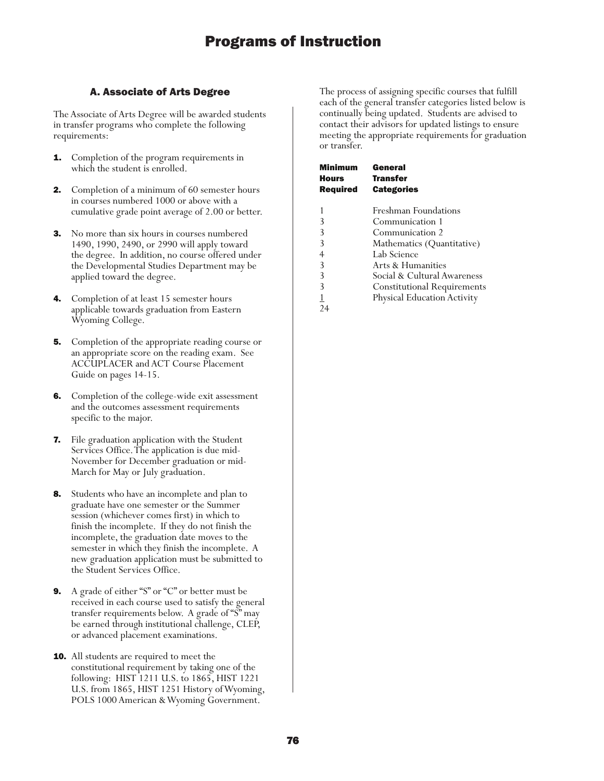## A. Associate of Arts Degree

The Associate of Arts Degree will be awarded students in transfer programs who complete the following requirements:

- **1.** Completion of the program requirements in which the student is enrolled.
- **2.** Completion of a minimum of 60 semester hours in courses numbered 1000 or above with a cumulative grade point average of 2.00 or better.
- **3.** No more than six hours in courses numbered 1490, 1990, 2490, or 2990 will apply toward the degree. In addition, no course offered under the Developmental Studies Department may be applied toward the degree.
- Completion of at least 15 semester hours applicable towards graduation from Eastern Wyoming College.
- **5.** Completion of the appropriate reading course or an appropriate score on the reading exam. See ACCUPLACER and ACT Course Placement Guide on pages 14-15.
- **6.** Completion of the college-wide exit assessment and the outcomes assessment requirements specific to the major.
- 7. File graduation application with the Student Services Office. The application is due mid-November for December graduation or mid-March for May or July graduation.
- **8.** Students who have an incomplete and plan to graduate have one semester or the Summer session (whichever comes first) in which to finish the incomplete. If they do not finish the incomplete, the graduation date moves to the semester in which they finish the incomplete. A new graduation application must be submitted to the Student Services Office.
- 9. A grade of either "S" or "C" or better must be received in each course used to satisfy the general transfer requirements below. A grade of "S" may be earned through institutional challenge, CLEP, or advanced placement examinations.
- **10.** All students are required to meet the constitutional requirement by taking one of the following: HIST 1211 U.S. to 1865, HIST 1221 U.S. from 1865, HIST 1251 History of Wyoming, POLS 1000 American & Wyoming Government.

The process of assigning specific courses that fulfill each of the general transfer categories listed below is continually being updated. Students are advised to contact their advisors for updated listings to ensure meeting the appropriate requirements for graduation or transfer.

| Minimum         | General                            |
|-----------------|------------------------------------|
| Hours           | <b>Transfer</b>                    |
| <b>Required</b> | <b>Categories</b>                  |
|                 |                                    |
|                 | <b>Freshman Foundations</b>        |
| 3               | Communication 1                    |
| 3               | Communication 2                    |
| 3               | Mathematics (Quantitative)         |
| 4               | Lab Science                        |
| 3               | Arts & Humanities                  |
| 3               | Social & Cultural Awareness        |
| 3               | <b>Constitutional Requirements</b> |
|                 | Physical Education Activity        |
|                 |                                    |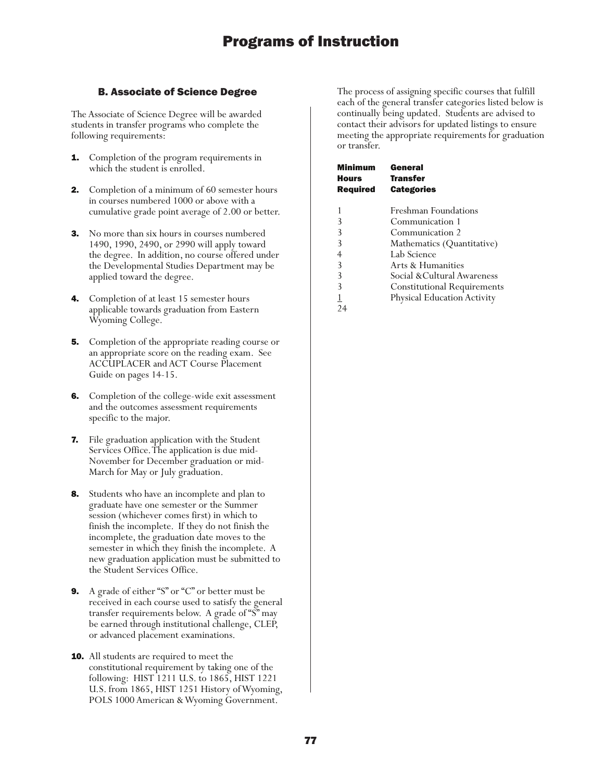## B. Associate of Science Degree

The Associate of Science Degree will be awarded students in transfer programs who complete the following requirements:

- **1.** Completion of the program requirements in which the student is enrolled.
- **2.** Completion of a minimum of 60 semester hours in courses numbered 1000 or above with a cumulative grade point average of 2.00 or better.
- **3.** No more than six hours in courses numbered 1490, 1990, 2490, or 2990 will apply toward the degree. In addition, no course offered under the Developmental Studies Department may be applied toward the degree.
- 4. Completion of at least 15 semester hours applicable towards graduation from Eastern Wyoming College.
- **5.** Completion of the appropriate reading course or an appropriate score on the reading exam. See ACCUPLACER and ACT Course Placement Guide on pages 14-15.
- **6.** Completion of the college-wide exit assessment and the outcomes assessment requirements specific to the major.
- 7. File graduation application with the Student Services Office. The application is due mid-November for December graduation or mid-March for May or July graduation.
- **8.** Students who have an incomplete and plan to graduate have one semester or the Summer session (whichever comes first) in which to finish the incomplete. If they do not finish the incomplete, the graduation date moves to the semester in which they finish the incomplete. A new graduation application must be submitted to the Student Services Office.
- 9. A grade of either "S" or "C" or better must be received in each course used to satisfy the general transfer requirements below. A grade of "S" may be earned through institutional challenge, CLEP, or advanced placement examinations.
- **10.** All students are required to meet the constitutional requirement by taking one of the following: HIST 1211 U.S. to 1865, HIST 1221 U.S. from 1865, HIST 1251 History of Wyoming, POLS 1000 American & Wyoming Government.

The process of assigning specific courses that fulfill each of the general transfer categories listed below is continually being updated. Students are advised to contact their advisors for updated listings to ensure meeting the appropriate requirements for graduation or transfer.

| Minimum<br>Hours<br><b>Required</b> | General<br><b>Transfer</b><br><b>Categories</b> |
|-------------------------------------|-------------------------------------------------|
|                                     |                                                 |
| 1                                   | Freshman Foundations                            |
| 3                                   | Communication 1                                 |
| 3                                   | Communication 2                                 |
| 3                                   | Mathematics (Quantitative)                      |
| 4                                   | Lab Science                                     |
| 3                                   | Arts & Humanities                               |
| 3                                   | Social &Cultural Awareness                      |
| 3                                   | <b>Constitutional Requirements</b>              |
|                                     | <b>Physical Education Activity</b>              |
|                                     |                                                 |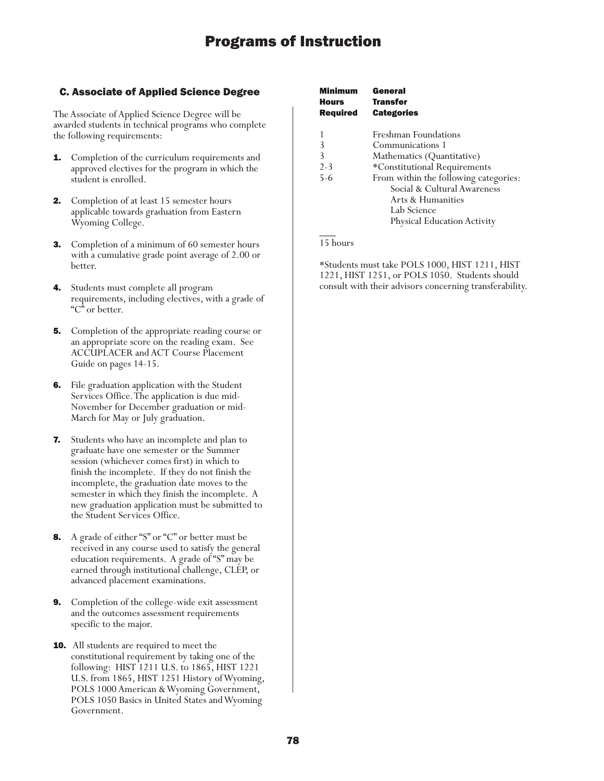## C. Associate of Applied Science Degree

The Associate of Applied Science Degree will be awarded students in technical programs who complete the following requirements:

- **1.** Completion of the curriculum requirements and approved electives for the program in which the student is enrolled.
- 2. Completion of at least 15 semester hours applicable towards graduation from Eastern Wyoming College.
- 3. Completion of a minimum of 60 semester hours with a cumulative grade point average of 2.00 or better.
- 4. Students must complete all program requirements, including electives, with a grade of "C" or better.
- **5.** Completion of the appropriate reading course or an appropriate score on the reading exam. See ACCUPLACER and ACT Course Placement Guide on pages 14-15.
- 6. File graduation application with the Student Services Office. The application is due mid-November for December graduation or mid-March for May or July graduation.
- 7. Students who have an incomplete and plan to graduate have one semester or the Summer session (whichever comes first) in which to finish the incomplete. If they do not finish the incomplete, the graduation date moves to the semester in which they finish the incomplete. A new graduation application must be submitted to the Student Services Office.
- 8. A grade of either "S" or "C" or better must be received in any course used to satisfy the general education requirements. A grade of "S" may be earned through institutional challenge, CLEP, or advanced placement examinations.
- 9. Completion of the college-wide exit assessment and the outcomes assessment requirements specific to the major.
- **10.** All students are required to meet the constitutional requirement by taking one of the following: HIST 1211 U.S. to 1865, HIST 1221 U.S. from 1865, HIST 1251 History of Wyoming, POLS 1000 American & Wyoming Government, POLS 1050 Basics in United States and Wyoming Government.

| Minimum<br>Hours<br><b>Required</b> | General<br><b>Transfer</b><br><b>Categories</b> |
|-------------------------------------|-------------------------------------------------|
|                                     | Freshman Foundations                            |
| 3                                   | Communications 1                                |
| 3                                   | Mathematics (Quantitative)                      |
| $2 - 3$                             | *Constitutional Requirements                    |
| $5 - 6$                             | From within the following categories:           |
|                                     | Social & Cultural Awareness                     |
|                                     | Arts & Humanities                               |
|                                     | Lab Science                                     |
|                                     | Physical Education Activity                     |
|                                     |                                                 |

## 15 hours

\*Students must take POLS 1000, HIST 1211, HIST 1221, HIST 1251, or POLS 1050. Students should consult with their advisors concerning transferability.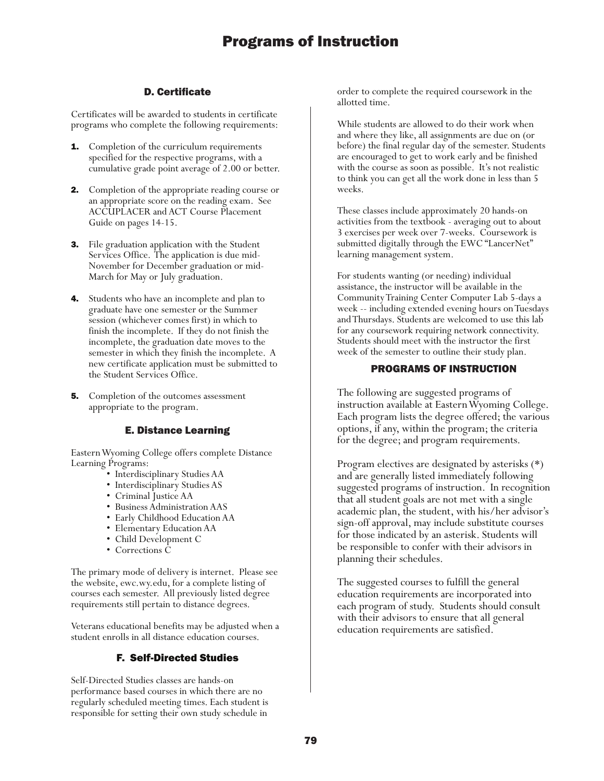## D. Certificate

Certificates will be awarded to students in certificate programs who complete the following requirements:

- **1.** Completion of the curriculum requirements specified for the respective programs, with a cumulative grade point average of 2.00 or better.
- **2.** Completion of the appropriate reading course or an appropriate score on the reading exam. See ACCUPLACER and ACT Course Placement Guide on pages 14-15.
- 3. File graduation application with the Student Services Office. The application is due mid-November for December graduation or mid-March for May or July graduation.
- **4.** Students who have an incomplete and plan to graduate have one semester or the Summer session (whichever comes first) in which to finish the incomplete. If they do not finish the incomplete, the graduation date moves to the semester in which they finish the incomplete. A new certificate application must be submitted to the Student Services Office.
- **5.** Completion of the outcomes assessment appropriate to the program.

## E. Distance Learning

Eastern Wyoming College offers complete Distance Learning Programs:

- Interdisciplinary Studies AA
- Interdisciplinary Studies AS
- Criminal Justice AA
- Business Administration AAS
- Early Childhood Education AA
- Elementary Education AA
- Child Development C
- Corrections C

The primary mode of delivery is internet. Please see the website, ewc.wy.edu, for a complete listing of courses each semester. All previously listed degree requirements still pertain to distance degrees.

Veterans educational benefits may be adjusted when a student enrolls in all distance education courses.

## F. Self-Directed Studies

Self-Directed Studies classes are hands-on performance based courses in which there are no regularly scheduled meeting times. Each student is responsible for setting their own study schedule in

order to complete the required coursework in the allotted time.

While students are allowed to do their work when and where they like, all assignments are due on (or before) the final regular day of the semester. Students are encouraged to get to work early and be finished with the course as soon as possible. It's not realistic to think you can get all the work done in less than 5 weeks.

These classes include approximately 20 hands-on activities from the textbook - averaging out to about 3 exercises per week over 7-weeks. Coursework is submitted digitally through the EWC "LancerNet" learning management system.

For students wanting (or needing) individual assistance, the instructor will be available in the Community Training Center Computer Lab 5-days a week -- including extended evening hours on Tuesdays and Thursdays. Students are welcomed to use this lab for any coursework requiring network connectivity. Students should meet with the instructor the first week of the semester to outline their study plan.

## PROGRAMS OF INSTRUCTION

The following are suggested programs of instruction available at Eastern Wyoming College. Each program lists the degree offered; the various options, if any, within the program; the criteria for the degree; and program requirements.

Program electives are designated by asterisks (\*) and are generally listed immediately following suggested programs of instruction. In recognition that all student goals are not met with a single academic plan, the student, with his/her advisor's sign-off approval, may include substitute courses for those indicated by an asterisk. Students will be responsible to confer with their advisors in planning their schedules.

The suggested courses to fulfill the general education requirements are incorporated into each program of study. Students should consult with their advisors to ensure that all general education requirements are satisfied.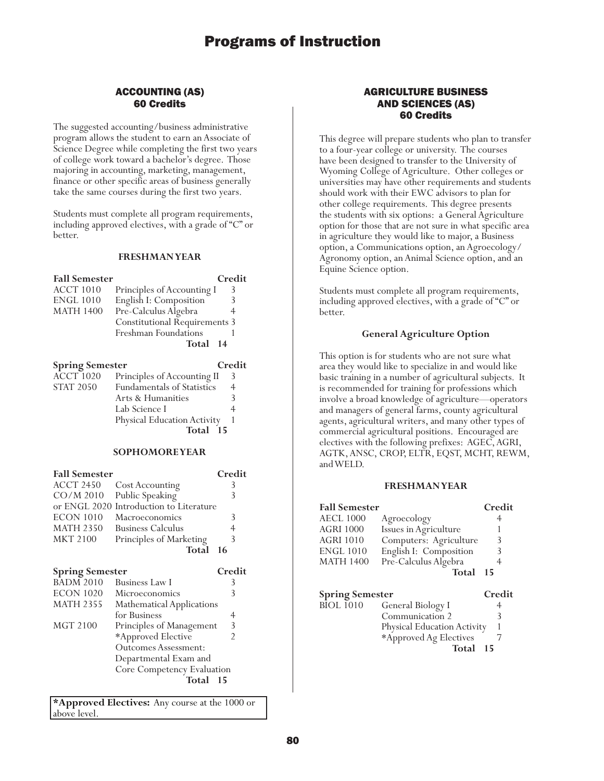## ACCOUNTING (AS) 60 Credits

The suggested accounting/business administrative program allows the student to earn an Associate of Science Degree while completing the first two years of college work toward a bachelor's degree. Those majoring in accounting, marketing, management, finance or other specific areas of business generally take the same courses during the first two years.

Students must complete all program requirements, including approved electives, with a grade of "C" or better.

#### **FRESHMAN YEAR**

| <b>Fall Semester</b> |                               | Credit |
|----------------------|-------------------------------|--------|
| <b>ACCT 1010</b>     | Principles of Accounting I    | 3      |
| <b>ENGL 1010</b>     | English I: Composition        |        |
| <b>MATH 1400</b>     | Pre-Calculus Algebra          |        |
|                      | Constitutional Requirements 3 |        |
|                      | Freshman Foundations          |        |
|                      | Total 14                      |        |

| <b>Spring Semester</b> |                                   | Credit |
|------------------------|-----------------------------------|--------|
| $\widehat{ACCT}$ 1020  | Principles of Accounting II       | 3      |
| <b>STAT 2050</b>       | <b>Fundamentals of Statistics</b> | 4      |
|                        | Arts & Humanities                 |        |
|                        | Lab Science I                     |        |
|                        | Physical Education Activity       |        |
|                        | Total 15                          |        |

#### **SOPHOMORE YEAR**

| <b>Fall Semester</b> |                                         | Credit |
|----------------------|-----------------------------------------|--------|
| <b>ACCT 2450</b>     | Cost Accounting                         | 3      |
|                      | CO/M 2010 Public Speaking               | 3      |
|                      | or ENGL 2020 Introduction to Literature |        |
| <b>ECON 1010</b>     | Macroeconomics                          | 3      |
| <b>MATH 2350</b>     | <b>Business Calculus</b>                |        |
| <b>MKT 2100</b>      | Principles of Marketing                 | 3      |
|                      | Total 16                                |        |
|                      |                                         |        |

| <b>Spring Semester</b> |                            | Credit |
|------------------------|----------------------------|--------|
| <b>BADM 2010</b>       | Business Law I             | 3      |
| <b>ECON 1020</b>       | Microeconomics             | 3      |
| <b>MATH 2355</b>       | Mathematical Applications  |        |
|                        | for Business               | 4      |
| MGT 2100               | Principles of Management   | 3      |
|                        | *Approved Elective         | 2      |
|                        | Outcomes Assessment:       |        |
|                        | Departmental Exam and      |        |
|                        | Core Competency Evaluation |        |
|                        | Total                      | - 15   |
|                        |                            |        |

**\*Approved Electives:** Any course at the 1000 or above level.

## AGRICULTURE BUSINESS AND SCIENCES (AS) 60 Credits

This degree will prepare students who plan to transfer to a four-year college or university. The courses have been designed to transfer to the University of Wyoming College of Agriculture. Other colleges or universities may have other requirements and students should work with their EWC advisors to plan for other college requirements. This degree presents the students with six options: a General Agriculture option for those that are not sure in what specific area in agriculture they would like to major, a Business option, a Communications option, an Agroecology/ Agronomy option, an Animal Science option, and an Equine Science option.

Students must complete all program requirements, including approved electives, with a grade of "C" or better.

## **General Agriculture Option**

This option is for students who are not sure what area they would like to specialize in and would like basic training in a number of agricultural subjects. It is recommended for training for professions which involve a broad knowledge of agriculture—operators and managers of general farms, county agricultural agents, agricultural writers, and many other types of commercial agricultural positions. Encouraged are electives with the following prefixes: AGEC, AGRI, AGTK, ANSC, CROP, ELTR, EQST, MCHT, REWM, and WELD.

#### **FRESHMAN YEAR**

| <b>Fall Semester</b>   |                        | Credit |
|------------------------|------------------------|--------|
| <b>AECL 1000</b>       | Agroecology            | 4      |
| <b>AGRI 1000</b>       | Issues in Agriculture  |        |
| <b>AGRI 1010</b>       | Computers: Agriculture | 3      |
| <b>ENGL 1010</b>       | English I: Composition | 3      |
| <b>MATH 1400</b>       | Pre-Calculus Algebra   | 4      |
|                        | <b>Total</b>           | 15     |
| <b>Spring Semester</b> |                        | Credit |
| <b>BIOL 1010</b>       | General Biology I      |        |
|                        |                        |        |

| <b>DIVL IVIV</b> | $O(1)$ at $D(0)$ $\ell$ i          |  |
|------------------|------------------------------------|--|
|                  | Communication 2                    |  |
|                  | <b>Physical Education Activity</b> |  |
|                  | *Approved Ag Electives             |  |
|                  | Total<br>-15                       |  |
|                  |                                    |  |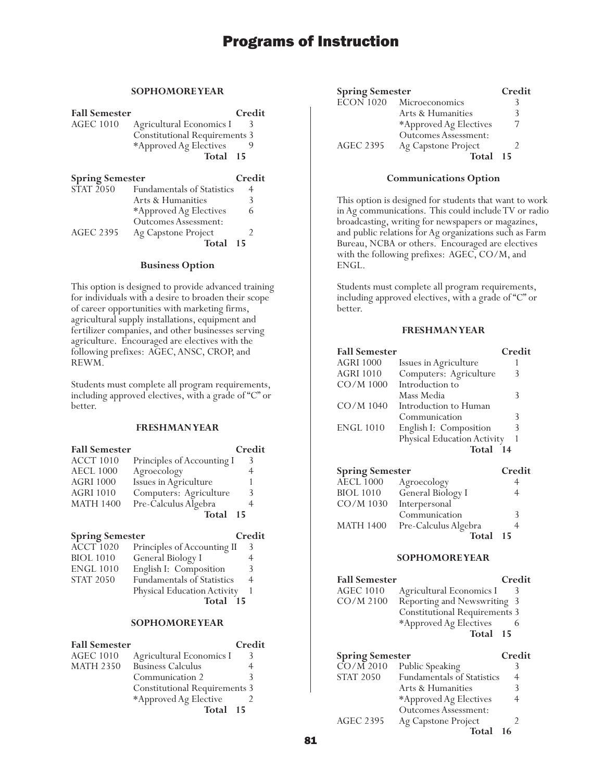## **SOPHOMORE YEAR**

| <b>Fall Semester</b>   |                                      | Credit |
|------------------------|--------------------------------------|--------|
| <b>AGEC 1010</b>       | Agricultural Economics I             |        |
|                        | <b>Constitutional Requirements 3</b> |        |
|                        | *Approved Ag Electives               |        |
|                        | Total 15                             |        |
| <b>Spring Semester</b> |                                      | Credit |
| STAT 2050              | <b>Fundamentals of Statistics</b>    | 4      |
|                        | Arts & Humanities                    | 3      |
|                        | *Approved Ag Electives               | 6      |

Outcomes Assessment: AGEC 2395 Ag Capstone Project 2 **Total 15**

### **Business Option**

This option is designed to provide advanced training for individuals with a desire to broaden their scope of career opportunities with marketing firms, agricultural supply installations, equipment and fertilizer companies, and other businesses serving agriculture. Encouraged are electives with the following prefixes: AGEC, ANSC, CROP, and REWM.

Students must complete all program requirements, including approved electives, with a grade of "C" or better.

## **FRESHMAN YEAR**

| <b>Fall Semester</b> |                            | Credit |
|----------------------|----------------------------|--------|
| <b>ACCT 1010</b>     | Principles of Accounting I | 3      |
| <b>AECL 1000</b>     | Agroecology                | 4      |
| <b>AGRI 1000</b>     | Issues in Agriculture      |        |
| <b>AGRI 1010</b>     | Computers: Agriculture     | 3      |
| <b>MATH 1400</b>     | Pre-Calculus Algebra       |        |
|                      | Total                      | - 15   |

## **Spring Semester Credit**

| <b>ENGL 1010</b> | General Biology I<br>English I: Composition | 3 |
|------------------|---------------------------------------------|---|
| <b>STAT 2050</b> | <b>Fundamentals of Statistics</b>           | 4 |
|                  | Physical Education Activity                 |   |
|                  | Total<br>15                                 |   |

### **SOPHOMORE YEAR**

| <b>Fall Semester</b> |                                      | Credit |
|----------------------|--------------------------------------|--------|
| <b>AGEC 1010</b>     | Agricultural Economics I             | ≺      |
| <b>MATH 2350</b>     | <b>Business Calculus</b>             |        |
|                      | Communication 2                      |        |
|                      | <b>Constitutional Requirements 3</b> |        |
|                      | *Approved Ag Elective                |        |
|                      | Total 15                             |        |

| <b>Spring Semester</b> |                        | Credit |
|------------------------|------------------------|--------|
| $ECON$ 1020            | Microeconomics         |        |
|                        | Arts & Humanities      |        |
|                        | *Approved Ag Electives |        |
|                        | Outcomes Assessment:   |        |
| <b>AGEC 2395</b>       | Ag Capstone Project    |        |
|                        | Total 15               |        |

#### **Communications Option**

This option is designed for students that want to work in Ag communications. This could include TV or radio broadcasting, writing for newspapers or magazines, and public relations for Ag organizations such as Farm Bureau, NCBA or others. Encouraged are electives with the following prefixes: AGEC, CO/M, and ENGL.

Students must complete all program requirements, including approved electives, with a grade of "C" or better.

## **FRESHMAN YEAR**

| <b>Fall Semester</b> |                             | Credit |
|----------------------|-----------------------------|--------|
| <b>AGRI 1000</b>     | Issues in Agriculture       |        |
| <b>AGRI 1010</b>     | Computers: Agriculture      | 3      |
| CO/M 1000            | Introduction to             |        |
|                      | Mass Media                  | 3      |
| CO/M 1040            | Introduction to Human       |        |
|                      | Communication               | 3      |
| <b>ENGL 1010</b>     | English I: Composition      | 3      |
|                      | Physical Education Activity |        |
|                      | Total                       | 14     |

| <b>Spring Semester</b> |                      | Credit |
|------------------------|----------------------|--------|
| <b>AECL 1000</b>       | Agroecology          |        |
| <b>BIOL 1010</b>       | General Biology I    |        |
| CO/M 1030              | Interpersonal        |        |
|                        | Communication        |        |
| <b>MATH 1400</b>       | Pre-Calculus Algebra |        |
|                        | Total                | 15     |

| <b>Fall Semester</b> | Credit                               |
|----------------------|--------------------------------------|
| <b>AGEC 1010</b>     | Agricultural Economics I<br>3        |
| $CO/M$ 2100          | Reporting and Newswriting 3          |
|                      | <b>Constitutional Requirements 3</b> |
|                      | *Approved Ag Electives               |
|                      | Total 15                             |

| <b>Spring Semester</b> |                                   | Credit |
|------------------------|-----------------------------------|--------|
| $\overline{CO/M}$ 2010 | Public Speaking                   |        |
| <b>STAT 2050</b>       | <b>Fundamentals of Statistics</b> | 4      |
|                        | Arts & Humanities                 | 3      |
|                        | *Approved Ag Electives            | 4      |
|                        | <b>Outcomes Assessment:</b>       |        |
| <b>AGEC 2395</b>       | Ag Capstone Project               |        |
|                        | Total                             | 16     |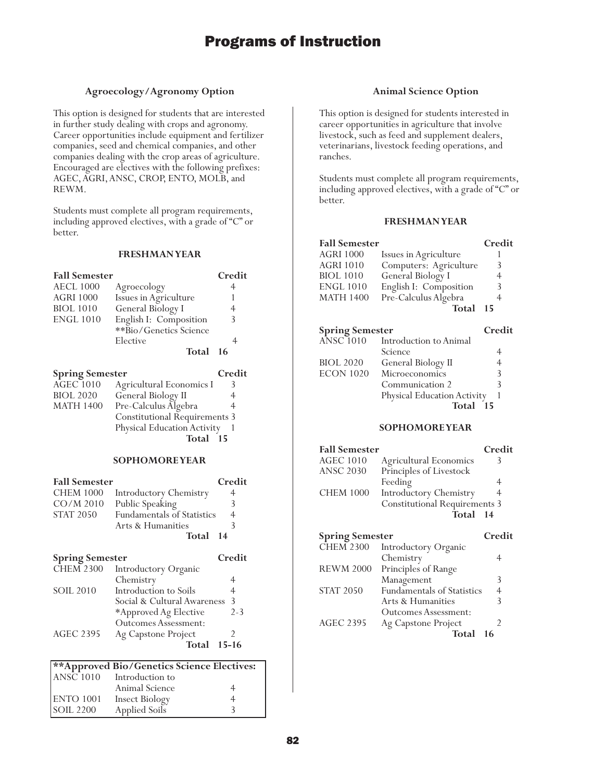## **Agroecology/Agronomy Option**

This option is designed for students that are interested in further study dealing with crops and agronomy. Career opportunities include equipment and fertilizer companies, seed and chemical companies, and other companies dealing with the crop areas of agriculture. Encouraged are electives with the following prefixes: AGEC, AGRI, ANSC, CROP, ENTO, MOLB, and REWM.

Students must complete all program requirements, including approved electives, with a grade of "C" or better.

#### **FRESHMAN YEAR**

| <b>Fall Semester</b>   |                        | Credit |
|------------------------|------------------------|--------|
| <b>AECL 1000</b>       | Agroecology            | 4      |
| <b>AGRI 1000</b>       | Issues in Agriculture  |        |
| <b>BIOL 1010</b>       | General Biology I      | 4      |
| <b>ENGL 1010</b>       | English I: Composition | 3      |
|                        | **Bio/Genetics Science |        |
|                        | Elective               |        |
|                        | Total 16               |        |
| <b>Spring Semester</b> |                        | Credit |

| Spring semester  |                                      | Стеан |
|------------------|--------------------------------------|-------|
| $AGEC$ $1010$    | Agricultural Economics I             |       |
| <b>BIOL 2020</b> | General Biology II                   | 4     |
| <b>MATH 1400</b> | Pre-Calculus Algebra                 | 4     |
|                  | <b>Constitutional Requirements 3</b> |       |
|                  | Physical Education Activity          |       |
|                  | Total 15                             |       |
|                  |                                      |       |

### **SOPHOMORE YEAR**

| <b>Fall Semester</b>   |                                   | Credit         |
|------------------------|-----------------------------------|----------------|
| <b>CHEM 1000</b>       | <b>Introductory Chemistry</b>     |                |
| $CO/M$ 2010            | Public Speaking                   | 3              |
| <b>STAT 2050</b>       | <b>Fundamentals of Statistics</b> | $\overline{4}$ |
|                        | Arts & Humanities                 | 3              |
|                        | Total 14                          |                |
| <b>Spring Semester</b> |                                   | Credit         |

| <b>CHEM 2300</b> | Introductory Organic        |           |
|------------------|-----------------------------|-----------|
|                  | Chemistry                   |           |
| <b>SOIL 2010</b> | Introduction to Soils       | 4         |
|                  | Social & Cultural Awareness | 3         |
|                  | *Approved Ag Elective       | $2 - 3$   |
|                  | <b>Outcomes Assessment:</b> |           |
| <b>AGEC 2395</b> | Ag Capstone Project         |           |
|                  | Total                       | $15 - 16$ |
|                  |                             |           |

| **Approved Bio/Genetics Science Electives: |                            |   |
|--------------------------------------------|----------------------------|---|
|                                            | $ANSC1010$ Introduction to |   |
|                                            | Animal Science             | 4 |
| <b>ENTO 1001</b>                           | <b>Insect Biology</b>      | 4 |
| <b>SOIL 2200</b>                           | Applied Soils              |   |

## **Animal Science Option**

This option is designed for students interested in career opportunities in agriculture that involve livestock, such as feed and supplement dealers, veterinarians, livestock feeding operations, and ranches.

Students must complete all program requirements, including approved electives, with a grade of "C" or better.

## **FRESHMAN YEAR**

| <b>Fall Semester</b>   |                             | Credit |
|------------------------|-----------------------------|--------|
| AGRI 1000              | Issues in Agriculture       |        |
| <b>AGRI 1010</b>       | Computers: Agriculture      | 3      |
| <b>BIOL</b> 1010       | General Biology I           | 4      |
| ENGL 1010              | English I: Composition      | 3      |
| MATH 1400              | Pre-Calculus Algebra        | 4      |
|                        | Total                       | 15     |
| <b>Spring Semester</b> |                             | Credit |
| <b>ANSC 1010</b>       | Introduction to Animal      |        |
|                        | Science                     | 4      |
| <b>BIOL 2020</b>       | General Biology II          | 4      |
| ECON 1020              | Microeconomics              | 3      |
|                        | Communication 2             | 3      |
|                        | Physical Education Activity | 1      |
|                        | Total                       | -15    |
|                        | <b>SOPHOMOREYEAR</b>        |        |

## **Fall Semester Credit** AGEC 1010 Agricultural Economics 3<br>ANSC 2030 Principles of Livestock Principles of Livestock Feeding 4<br>Introductory Chemistry 4 CHEM 1000 Introductory Chemistry Constitutional Requirements 3 **Total 14 Spring Semester Credit**

| spring semester  |                             | стен |
|------------------|-----------------------------|------|
| <b>CHEM 2300</b> | <b>Introductory Organic</b> |      |
|                  | Chemistry                   |      |
| <b>REWM 2000</b> | Principles of Range         |      |
|                  | Management                  | 3    |
| <b>STAT 2050</b> | Fundamentals of Statistics  | 4    |
|                  | Arts & Humanities           | 3    |
|                  | <b>Outcomes Assessment:</b> |      |
| <b>AGEC 2395</b> | Ag Capstone Project         |      |
|                  | Total                       | 16   |
|                  |                             |      |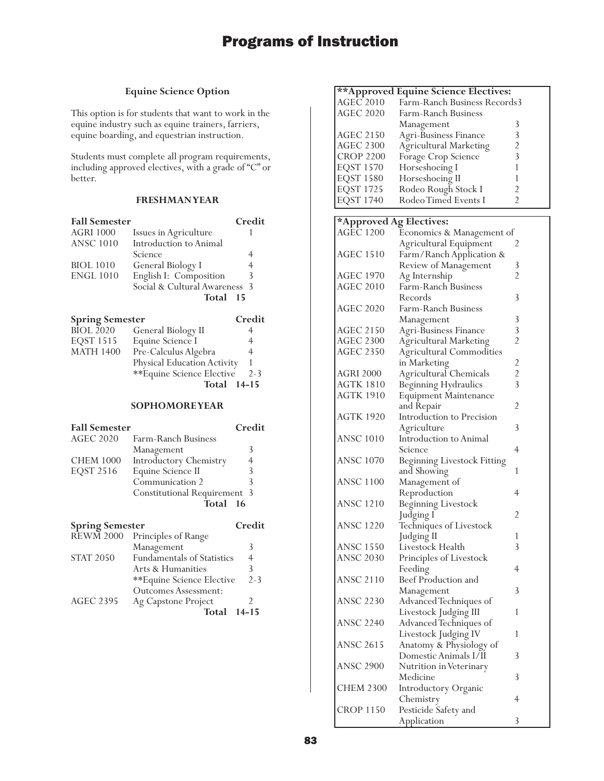## **Equine Science Option**

This option is for students that want to work in the equine industry such as equine trainers, farriers, equine boarding, and equestrian instruction.

Students must complete all program requirements, including approved electives, with a grade of "C" or better.

## **FRESHMAN YEAR**

| <b>Fall Semester</b>   |                               | Credit |
|------------------------|-------------------------------|--------|
| <b>AGRI 1000</b>       | Issues in Agriculture         |        |
| <b>ANSC 1010</b>       | Introduction to Animal        |        |
|                        | Science                       | 4      |
| <b>BIOL 1010</b>       | General Biology I             | 4      |
| <b>ENGL 1010</b>       | English I: Composition        | 3      |
|                        | Social & Cultural Awareness 3 |        |
|                        | Total                         | -15    |
| <b>Spring Semester</b> |                               | Credit |

| spring semester  |                                    | vrean   |
|------------------|------------------------------------|---------|
| <b>BIOL 2020</b> | General Biology II                 |         |
| <b>EOST 1515</b> | Equine Science I                   | 4       |
| <b>MATH 1400</b> | Pre-Calculus Algebra               | 4       |
|                  | <b>Physical Education Activity</b> |         |
|                  | **Equine Science Elective          | $2 - 3$ |
|                  | Total 14-15                        |         |
|                  |                                    |         |

| <b>Fall Semester</b> |                                     | Credit |
|----------------------|-------------------------------------|--------|
| <b>AGEC 2020</b>     | Farm-Ranch Business                 |        |
|                      | Management                          | 3      |
| <b>CHEM 1000</b>     | Introductory Chemistry              | 4      |
| EQST 2516            | Equine Science II                   |        |
|                      | Communication 2                     |        |
|                      | <b>Constitutional Requirement 3</b> |        |
|                      | Total 16                            |        |

| <b>Spring Semester</b> |                             | Credit    |
|------------------------|-----------------------------|-----------|
| <b>REWM 2000</b>       | Principles of Range         |           |
|                        | Management                  | 3         |
| <b>STAT 2050</b>       | Fundamentals of Statistics  | 4         |
|                        | Arts & Humanities           | 3         |
|                        | **Equine Science Elective   | $2 - 3$   |
|                        | <b>Outcomes Assessment:</b> |           |
| <b>AGEC 2395</b>       | Ag Capstone Project         |           |
|                        | Total                       | $14 - 15$ |

|                         | ** Approved Equine Science Electives: |                |
|-------------------------|---------------------------------------|----------------|
| $AGE\bar{C}2010$        | Farm-Ranch Business Records3          |                |
| <b>AGEC 2020</b>        | Farm-Ranch Business                   |                |
|                         |                                       |                |
|                         | Management                            | 3              |
| <b>AGEC 2150</b>        | Agri-Business Finance                 | 3              |
| <b>AGEC 2300</b>        | Agricultural Marketing                | $\overline{c}$ |
| <b>CROP 2200</b>        | Forage Crop Science                   | 3              |
| <b>EQST 1570</b>        | Horseshoeing I                        | 1              |
| <b>EQST 1580</b>        | Horseshoeing II                       | 1              |
| EQST 1725               | Rodeo Rough Stock I                   | $\overline{2}$ |
| <b>EQST 1740</b>        | Rodeo Timed Events I                  | $\overline{2}$ |
|                         |                                       |                |
| *Approved Ag Electives: |                                       |                |
| <b>AGEC 1200</b>        | Economics & Management of             |                |
|                         | Agricultural Equipment                | 2              |
| AGEC 1510               | Farm/Ranch Application &              |                |
|                         | Review of Management                  | 3              |
| AGEC 1970               |                                       | $\overline{2}$ |
| <b>AGEC 2010</b>        | Ag Internship<br>Farm-Ranch Business  |                |
|                         | Records                               | 3              |
|                         |                                       |                |
| <b>AGEC 2020</b>        | Farm-Ranch Business                   |                |
|                         | Management                            | 3              |
| <b>AGEC 2150</b>        | Agri-Business Finance                 | 3              |
| <b>AGEC 2300</b>        | <b>Agricultural Marketing</b>         | $\overline{2}$ |
| <b>AGEC 2350</b>        | Agricultural Commodities              |                |
|                         | in Marketing                          | $\overline{c}$ |
| <b>AGRI 2000</b>        | Agricultural Chemicals                | $\overline{c}$ |
| AGTK 1810               | Beginning Hydraulics                  | 3              |
| <b>AGTK 1910</b>        | <b>Equipment Maintenance</b>          |                |
|                         | and Repair                            | 2              |
| <b>AGTK 1920</b>        | Introduction to Precision             |                |
|                         | Agriculture                           | 3              |
| <b>ANSC 1010</b>        | Introduction to Animal                |                |
|                         |                                       | 4              |
|                         | Science                               |                |
| <b>ANSC 1070</b>        | Beginning Livestock Fitting           |                |
|                         | and Showing                           | 1              |
| <b>ANSC 1100</b>        | Management of                         |                |
|                         | Reproduction                          | 4              |
| ANSC 1210               | Beginning Livestock                   |                |
|                         | Judging I                             | 2              |
| <b>ANSC 1220</b>        | Techniques of Livestock               |                |
|                         | Judging II                            | 1              |
| ANSC 1550               | Livestock Health                      | 3              |
| <b>ANSC 2030</b>        | Principles of Livestock               |                |
|                         | Feeding                               | 4              |
| <b>ANSC 2110</b>        | Beef Production and                   |                |
|                         |                                       | 3              |
| ANSC 2230               | Management                            |                |
|                         | Advanced Techniques of                |                |
|                         | Livestock Judging III                 | 1              |
| <b>ANSC 2240</b>        | Advanced Techniques of                |                |
|                         | Livestock Judging IV                  | 1              |
| ANSC 2615               | Anatomy & Physiology of               |                |
|                         | Domestic Animals I/II                 | 3              |
| ANSC 2900               | Nutrition in Veterinary               |                |
|                         | Medicine                              | 3              |
| CHEM 2300               | Introductory Organic                  |                |
|                         | Chemistry                             | 4              |
| CROP 1150               | Pesticide Safety and                  |                |
|                         | Application                           | 3              |
|                         |                                       |                |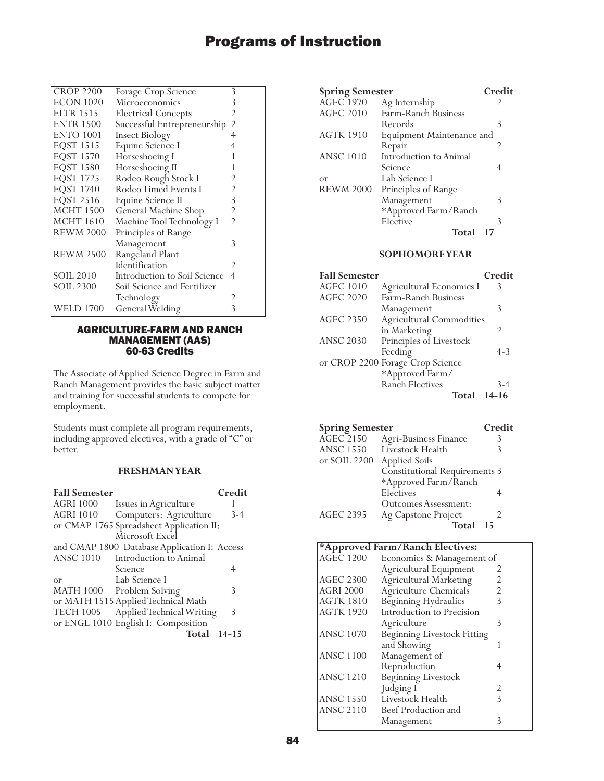| <b>CROP 2200</b> | Forage Crop Science          | 3              |
|------------------|------------------------------|----------------|
| <b>ECON 1020</b> | Microeconomics               | 3              |
| <b>ELTR 1515</b> | <b>Electrical Concepts</b>   | 2              |
| <b>ENTR 1500</b> | Successful Entrepreneurship  | $\overline{2}$ |
| <b>ENTO 1001</b> | <b>Insect Biology</b>        | 4              |
| EQST 1515        | Equine Science I             |                |
| <b>EQST 1570</b> | Horseshoeing I               |                |
| <b>EQST 1580</b> | Horseshoeing II              |                |
| <b>EQST 1725</b> | Rodeo Rough Stock I          | 2              |
| <b>EQST 1740</b> | Rodeo Timed Events I         | 2              |
| <b>EQST 2516</b> | Equine Science II            | 3              |
| <b>MCHT 1500</b> | General Machine Shop         | 2              |
| <b>MCHT</b> 1610 | Machine Tool Technology I    | $\mathfrak{D}$ |
| <b>REWM 2000</b> | Principles of Range          |                |
|                  | Management                   | 3              |
| <b>REWM 2500</b> | Rangeland Plant              |                |
|                  | Identification               | 2              |
| <b>SOIL 2010</b> | Introduction to Soil Science | 4              |
| <b>SOIL 2300</b> | Soil Science and Fertilizer  |                |
|                  | Technology                   | 2              |
| <b>WELD 1700</b> | General Welding              | 3              |

### AGRICULTURE-FARM AND RANCH MANAGEMENT (AAS) 60-63 Credits

The Associate of Applied Science Degree in Farm and Ranch Management provides the basic subject matter and training for successful students to compete for employment.

Students must complete all program requirements, including approved electives, with a grade of "C" or better.

## **FRESHMAN YEAR**

| <b>Fall Semester</b> |                                              | Credit    |
|----------------------|----------------------------------------------|-----------|
| <b>AGRI 1000</b>     | Issues in Agriculture                        |           |
| <b>AGRI 1010</b>     | Computers: Agriculture                       | $3-4$     |
|                      | or CMAP 1765 Spreadsheet Application II:     |           |
|                      | Microsoft Excel                              |           |
|                      | and CMAP 1800 Database Application I: Access |           |
| <b>ANSC 1010</b>     | Introduction to Animal                       |           |
|                      | Science                                      | 4         |
| or                   | Lab Science I                                |           |
|                      | MATH 1000 Problem Solving                    | 3         |
|                      | or MATH 1515 Applied Technical Math          |           |
| <b>TECH 1005</b>     | Applied Technical Writing                    | 3         |
|                      | or ENGL 1010 English I: Composition          |           |
|                      | Total                                        | $14 - 15$ |

| <b>Spring Semester</b> |                           | Credit |
|------------------------|---------------------------|--------|
| <b>AGEC 1970</b>       | Ag Internship             | 2      |
| AGEC 2010              | Farm-Ranch Business       |        |
|                        | Records                   | 3      |
| <b>AGTK 1910</b>       | Equipment Maintenance and |        |
|                        | Repair                    | 2      |
| <b>ANSC 1010</b>       | Introduction to Animal    |        |
|                        | Science                   |        |
| or                     | Lab Science I             |        |
| <b>REWM 2000</b>       | Principles of Range       |        |
|                        | Management                | 3      |
|                        | *Approved Farm/Ranch      |        |
|                        | Elective                  | 3      |
|                        | <b>Total</b>              | 17     |
|                        |                           |        |

## **SOPHOMORE YEAR**

| <b>Fall Semester</b> |                                  | Credit        |
|----------------------|----------------------------------|---------------|
| <b>AGEC 1010</b>     | Agricultural Economics I         | Κ             |
| <b>AGEC 2020</b>     | Farm-Ranch Business              |               |
|                      | Management                       | 3             |
| <b>AGEC 2350</b>     | <b>Agricultural Commodities</b>  |               |
|                      | in Marketing                     | $\mathcal{P}$ |
| <b>ANSC 2030</b>     | Principles of Livestock          |               |
|                      | Feeding                          | $4 - 3$       |
|                      | or CROP 2200 Forage Crop Science |               |
|                      | *Approved Farm/                  |               |
|                      | <b>Ranch Electives</b>           | $3 - 4$       |
|                      | Total                            | 14-16         |

| <b>Spring Semester</b> |                                      | Credit |
|------------------------|--------------------------------------|--------|
| <b>AGEC 2150</b>       | Agri-Business Finance                | 3      |
| <b>ANSC 1550</b>       | Livestock Health                     | ζ      |
| or SOIL 2200           | <b>Applied Soils</b>                 |        |
|                        | <b>Constitutional Requirements 3</b> |        |
|                        | *Approved Farm/Ranch                 |        |
|                        | Electives                            |        |
|                        | Outcomes Assessment:                 |        |
| <b>AGEC 2395</b>       | Ag Capstone Project                  | 2      |
|                        | Total                                | 15     |

## **\*Approved Farm/Ranch Electives:**

| $\mathbf{r}$<br><b>AGEC 1200</b> | Economics & Management of          |   |
|----------------------------------|------------------------------------|---|
|                                  | Agricultural Equipment             |   |
| <b>AGEC 2300</b>                 | <b>Agricultural Marketing</b>      |   |
| <b>AGRI 2000</b>                 | Agriculture Chemicals              |   |
| <b>AGTK 1810</b>                 | Beginning Hydraulics               |   |
| <b>AGTK 1920</b>                 | Introduction to Precision          |   |
|                                  | Agriculture                        | 3 |
| <b>ANSC 1070</b>                 | <b>Beginning Livestock Fitting</b> |   |
|                                  | and Showing                        |   |
| <b>ANSC 1100</b>                 | Management of                      |   |
|                                  | Reproduction                       |   |
| <b>ANSC 1210</b>                 | <b>Beginning Livestock</b>         |   |
|                                  | Judging I                          | 2 |
| <b>ANSC 1550</b>                 | Livestock Health                   | 3 |
| <b>ANSC 2110</b>                 | Beef Production and                |   |
|                                  | Management                         |   |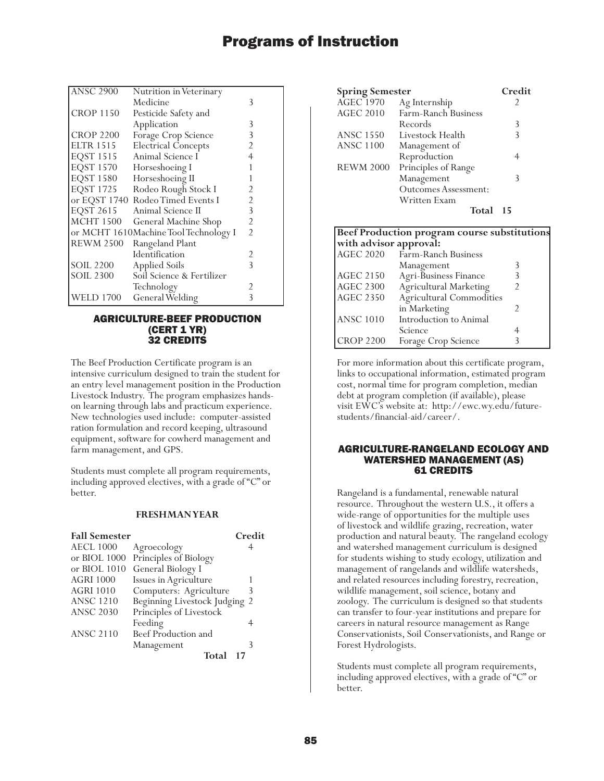| <b>ANSC 2900</b> | Nutrition in Veterinary               |                |
|------------------|---------------------------------------|----------------|
|                  | Medicine                              | 3              |
| <b>CROP 1150</b> | Pesticide Safety and                  |                |
|                  | Application                           | 3              |
| <b>CROP 2200</b> | Forage Crop Science                   | 3              |
| <b>ELTR 1515</b> | <b>Electrical Concepts</b>            | 2              |
| <b>EQST 1515</b> | Animal Science I                      | 4              |
| <b>EQST 1570</b> | Horseshoeing I                        |                |
| <b>EQST 1580</b> | Horseshoeing II                       |                |
| <b>EQST 1725</b> | Rodeo Rough Stock I                   | 2              |
|                  | or EQST 1740 Rodeo Timed Events I     | 2              |
| <b>EQST 2615</b> | Animal Science II                     | 3              |
| <b>MCHT 1500</b> | General Machine Shop                  | 2              |
|                  | or MCHT 1610Machine Tool Technology I | $\overline{2}$ |
| <b>REWM 2500</b> | Rangeland Plant                       |                |
|                  | Identification                        | 2              |
| <b>SOIL 2200</b> | <b>Applied Soils</b>                  | $\mathcal{E}$  |
| SOIL 2300        | Soil Science & Fertilizer             |                |
|                  | Technology                            |                |
| WELD 1700        | General Welding                       | 3              |

## AGRICULTURE-BEEF PRODUCTION (CERT 1 YR) 32 CREDITS

The Beef Production Certificate program is an intensive curriculum designed to train the student for an entry level management position in the Production Livestock Industry. The program emphasizes handson learning through labs and practicum experience. New technologies used include: computer-assisted ration formulation and record keeping, ultrasound equipment, software for cowherd management and farm management, and GPS.

Students must complete all program requirements, including approved electives, with a grade of "C" or better.

### **FRESHMAN YEAR**

| <b>Fall Semester</b> |                               | Credit |
|----------------------|-------------------------------|--------|
| <b>AECL 1000</b>     | Agroecology                   |        |
| or BIOL 1000         | Principles of Biology         |        |
| or BIOL $1010$       | General Biology I             |        |
| <b>AGRI 1000</b>     | Issues in Agriculture         |        |
| <b>AGRI 1010</b>     | Computers: Agriculture        |        |
| <b>ANSC 1210</b>     | Beginning Livestock Judging 2 |        |
| <b>ANSC 2030</b>     | Principles of Livestock       |        |
|                      | Feeding                       |        |
| <b>ANSC 2110</b>     | Beef Production and           |        |
|                      | Management                    |        |
|                      | Total                         |        |

| <b>Spring Semester</b> |                                              | Credit |
|------------------------|----------------------------------------------|--------|
| <b>AGEC 1970</b>       | Ag Internship                                |        |
| AGEC 2010              | Farm-Ranch Business                          |        |
|                        | Records                                      | 3      |
| <b>ANSC 1550</b>       | Livestock Health                             | 3      |
| <b>ANSC 1100</b>       | Management of                                |        |
|                        | Reproduction                                 | 4      |
| <b>REWM 2000</b>       | Principles of Range                          |        |
|                        | Management                                   | 3      |
|                        | Outcomes Assessment:                         |        |
|                        | Written Exam                                 |        |
|                        | Total                                        | - 15   |
|                        | Beef Production program course substitutions |        |
| with advisor approval: |                                              |        |
|                        | AGEC 2020 Farm-Ranch Business                |        |
|                        | Management                                   |        |

|                  | Management                      |  |
|------------------|---------------------------------|--|
| <b>AGEC 2150</b> | Agri-Business Finance           |  |
| <b>AGEC 2300</b> | Agricultural Marketing          |  |
| <b>AGEC 2350</b> | <b>Agricultural Commodities</b> |  |
|                  | in Marketing                    |  |
| <b>ANSC 1010</b> | Introduction to Animal          |  |
|                  | Science                         |  |
| <b>CROP 2200</b> | Forage Crop Science             |  |
|                  |                                 |  |

For more information about this certificate program, links to occupational information, estimated program cost, normal time for program completion, median debt at program completion (if available), please visit EWC's website at: http://ewc.wy.edu/futurestudents/financial-aid/career/.

### AGRICULTURE-RANGELAND ECOLOGY AND WATERSHED MANAGEMENT (AS) 61 CREDITS

Rangeland is a fundamental, renewable natural resource. Throughout the western U.S., it offers a wide-range of opportunities for the multiple uses of livestock and wildlife grazing, recreation, water production and natural beauty. The rangeland ecology and watershed management curriculum is designed for students wishing to study ecology, utilization and management of rangelands and wildlife watersheds, and related resources including forestry, recreation, wildlife management, soil science, botany and zoology. The curriculum is designed so that students can transfer to four-year institutions and prepare for careers in natural resource management as Range Conservationists, Soil Conservationists, and Range or Forest Hydrologists.

Students must complete all program requirements, including approved electives, with a grade of "C" or better.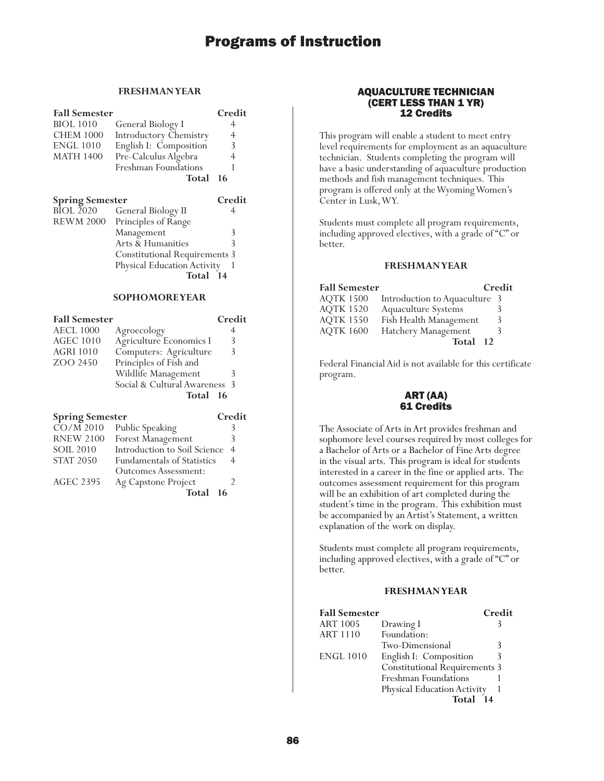### **FRESHMAN YEAR**

| <b>Fall Semester</b>        |                                      | Credit |
|-----------------------------|--------------------------------------|--------|
| <b>BIOL</b> 1010            | General Biology I                    | 4      |
| <b>CHEM 1000</b>            | <b>Introductory Chemistry</b>        | 4      |
| <b>ENGL 1010</b>            | English I: Composition               | 3      |
| <b>MATH 1400</b>            | Pre-Calculus Algebra                 | 4      |
|                             | Freshman Foundations                 | 1      |
|                             | Total                                | 16     |
| <b>Spring Semester</b>      |                                      | Credit |
| <b>BIOL 2020</b>            | General Biology II                   | 4      |
| <b>REWM 2000</b>            | Principles of Range                  |        |
|                             | Management                           | 3      |
|                             | Arts & Humanities                    | 3      |
|                             | <b>Constitutional Requirements 3</b> |        |
| Physical Education Activity |                                      |        |
|                             | Total                                | - 14   |

## **SOPHOMORE YEAR**

| <b>Fall Semester</b>   |                               | Credit |
|------------------------|-------------------------------|--------|
| <b>AECL 1000</b>       | Agroecology                   | 4      |
| <b>AGEC 1010</b>       | Agriculture Economics I       | 3      |
| <b>AGRI 1010</b>       | Computers: Agriculture        | 3      |
| ZOO 2450               | Principles of Fish and        |        |
|                        | Wildlife Management           | 3      |
|                        | Social & Cultural Awareness 3 |        |
|                        | Total 16                      |        |
| <b>Spring Semester</b> |                               | Credit |

| $\overline{CO/M}$ 2010 | Public Speaking                   |   |
|------------------------|-----------------------------------|---|
| <b>RNEW 2100</b>       | Forest Management                 | 3 |
| <b>SOIL 2010</b>       | Introduction to Soil Science      | 4 |
| <b>STAT 2050</b>       | <b>Fundamentals of Statistics</b> | 4 |
|                        | <b>Outcomes Assessment:</b>       |   |
| <b>AGEC 2395</b>       | Ag Capstone Project               |   |
|                        | Total<br>-16                      |   |

## AQUACULTURE TECHNICIAN (CERT LESS THAN 1 YR) 12 Credits

This program will enable a student to meet entry level requirements for employment as an aquaculture technician. Students completing the program will have a basic understanding of aquaculture production methods and fish management techniques. This program is offered only at the Wyoming Women's Center in Lusk, WY.

Students must complete all program requirements, including approved electives, with a grade of "C" or better.

## **FRESHMAN YEAR**

| <b>Fall Semester</b> |                               | Credit |
|----------------------|-------------------------------|--------|
| <b>AOTK 1500</b>     | Introduction to Aquaculture 3 |        |
| <b>AQTK 1520</b>     | Aquaculture Systems           |        |
| <b>AQTK 1550</b>     | Fish Health Management        | 3      |
| <b>AQTK 1600</b>     | Hatchery Management           | 3      |
|                      | Total 12                      |        |

Federal Financial Aid is not available for this certificate program.

### ART (AA) 61 Credits

The Associate of Arts in Art provides freshman and sophomore level courses required by most colleges for a Bachelor of Arts or a Bachelor of Fine Arts degree in the visual arts. This program is ideal for students interested in a career in the fine or applied arts. The outcomes assessment requirement for this program will be an exhibition of art completed during the student's time in the program. This exhibition must be accompanied by an Artist's Statement, a written explanation of the work on display.

Students must complete all program requirements, including approved electives, with a grade of "C" or better.

## **FRESHMAN YEAR**

| <b>Fall Semester</b> |                                      | Credit |
|----------------------|--------------------------------------|--------|
| <b>ART 1005</b>      | Drawing I                            |        |
| <b>ART 1110</b>      | Foundation:                          |        |
|                      | Two-Dimensional                      | 3      |
| <b>ENGL 1010</b>     | English I: Composition               | 3      |
|                      | <b>Constitutional Requirements 3</b> |        |
|                      | Freshman Foundations                 |        |
|                      | Physical Education Activity          |        |
|                      | Total<br>14                          |        |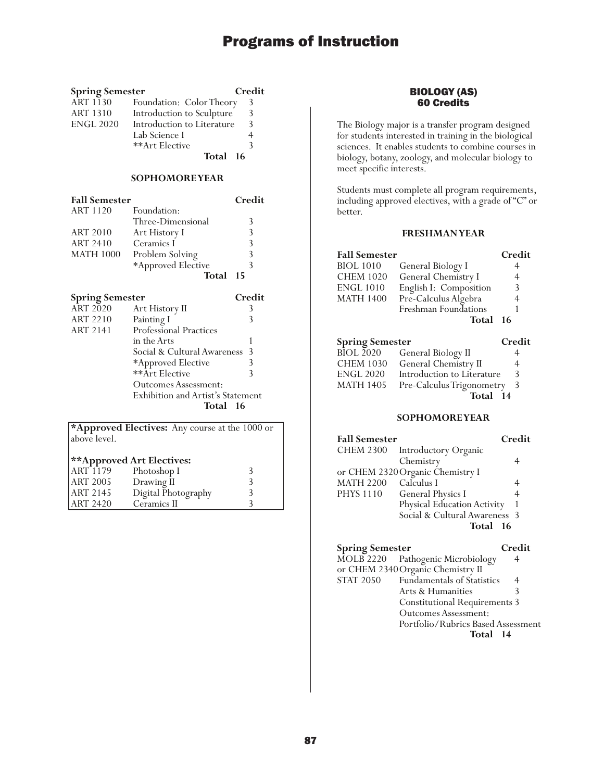| <b>Spring Semester</b> |                            | Credit |
|------------------------|----------------------------|--------|
| <b>ART 1130</b>        | Foundation: Color Theory   | 3      |
| <b>ART 1310</b>        | Introduction to Sculpture  | 3      |
| <b>ENGL 2020</b>       | Introduction to Literature | 3      |
|                        | Lab Science I              |        |
|                        | **Art Elective             | ζ      |
|                        | Total 16                   |        |

#### **SOPHOMORE YEAR**

| <b>Fall Semester</b> |                    | Credit       |
|----------------------|--------------------|--------------|
| ART 1120             | Foundation:        |              |
|                      | Three-Dimensional  | 3            |
| <b>ART 2010</b>      | Art History I      | 3            |
| ART 2410             | Ceramics I         | 3            |
| <b>MATH 1000</b>     | Problem Solving    | 3            |
|                      | *Approved Elective | $\mathbf{R}$ |
|                      | Total              | 15           |

| <b>Spring Semester</b> |                                   | Credit |
|------------------------|-----------------------------------|--------|
| <b>ART 2020</b>        | Art History II                    | 3      |
| <b>ART 2210</b>        | Painting I                        | 3      |
| <b>ART 2141</b>        | <b>Professional Practices</b>     |        |
|                        | in the Arts                       |        |
|                        | Social & Cultural Awareness       | -3     |
|                        | *Approved Elective                |        |
|                        | **Art Elective                    | 3      |
|                        | <b>Outcomes Assessment:</b>       |        |
|                        | Exhibition and Artist's Statement |        |
|                        | Total 16                          |        |

|              | *Approved Electives: Any course at the 1000 or |
|--------------|------------------------------------------------|
| above level. |                                                |

## **\*\*Approved Art Electives:**

| ART 1179 | Photoshop I         |  |
|----------|---------------------|--|
| ART 2005 | Drawing II          |  |
| ART 2145 | Digital Photography |  |
| ART 2420 | Ceramics II         |  |

## BIOLOGY (AS) 60 Credits

The Biology major is a transfer program designed for students interested in training in the biological sciences. It enables students to combine courses in biology, botany, zoology, and molecular biology to meet specific interests.

Students must complete all program requirements, including approved electives, with a grade of "C" or better.

## **FRESHMAN YEAR**

| <b>Fall Semester</b>   |                            | Credit |
|------------------------|----------------------------|--------|
| <b>BIOL 1010</b>       | General Biology I          | 4      |
| <b>CHEM 1020</b>       | General Chemistry I        | 4      |
| <b>ENGL 1010</b>       | English I: Composition     | 3      |
| <b>MATH 1400</b>       | Pre-Calculus Algebra       | 4      |
|                        | Freshman Foundations       |        |
|                        | Total                      | 16     |
| <b>Spring Semester</b> |                            | Credit |
| <b>BIOL 2020</b>       | General Biology II         | 4      |
| <b>CHEM 1030</b>       | General Chemistry II       | 4      |
| <b>ENGL 2020</b>       | Introduction to Literature | 3      |
| <b>MATH 1405</b>       | Pre-Calculus Trigonometry  | 3      |
|                        |                            |        |

Total 14

| <b>Fall Semester</b> |                                  | Credit |
|----------------------|----------------------------------|--------|
|                      | CHEM 2300 Introductory Organic   |        |
|                      | Chemistry                        |        |
|                      | or CHEM 2320 Organic Chemistry I |        |
| <b>MATH 2200</b>     | Calculus I                       |        |
| <b>PHYS 1110</b>     | <b>General Physics I</b>         | 4      |
|                      | Physical Education Activity      |        |
|                      | Social & Cultural Awareness 3    |        |
|                      | Total                            | - 16   |

| <b>Spring Semester</b> |                                      | Credit |
|------------------------|--------------------------------------|--------|
|                        | MOLB 2220 Pathogenic Microbiology    |        |
|                        | or CHEM 2340 Organic Chemistry II    |        |
| <b>STAT 2050</b>       | <b>Fundamentals of Statistics</b>    | 4      |
|                        | Arts & Humanities                    | 3      |
|                        | <b>Constitutional Requirements 3</b> |        |
|                        | <b>Outcomes Assessment:</b>          |        |
|                        | Portfolio/Rubrics Based Assessment   |        |
|                        | Total 14                             |        |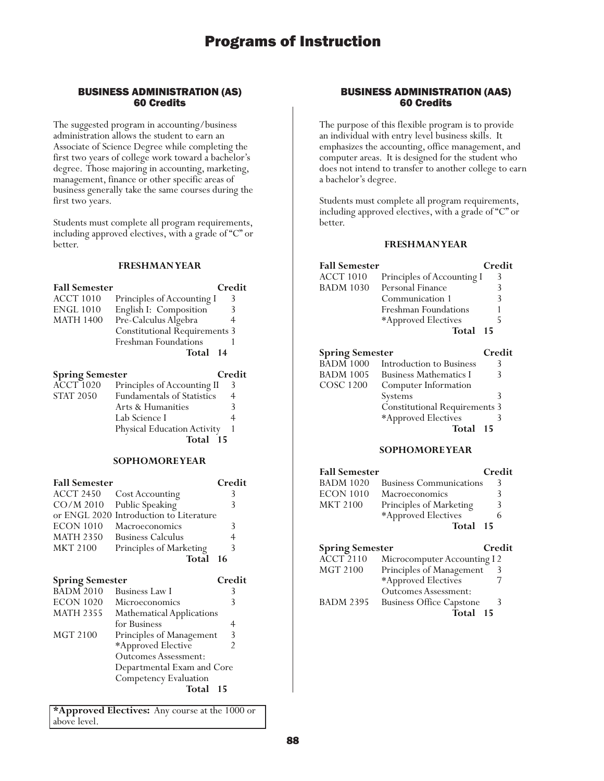## BUSINESS ADMINISTRATION (AS) 60 Credits

The suggested program in accounting/business administration allows the student to earn an Associate of Science Degree while completing the first two years of college work toward a bachelor's degree. Those majoring in accounting, marketing, management, finance or other specific areas of business generally take the same courses during the first two years.

Students must complete all program requirements, including approved electives, with a grade of "C" or better.

## **FRESHMAN YEAR**

| <b>Fall Semester</b> |                               | Credit |
|----------------------|-------------------------------|--------|
| <b>ACCT 1010</b>     | Principles of Accounting I    | 3      |
| <b>ENGL 1010</b>     | English I: Composition        | 3      |
| <b>MATH 1400</b>     | Pre-Calculus Algebra          |        |
|                      | Constitutional Requirements 3 |        |
|                      | Freshman Foundations          |        |
|                      | Total 14                      |        |
|                      |                               |        |

| <b>Spring Semester</b> |                                   | Credit |
|------------------------|-----------------------------------|--------|
| $\widehat{ACCT}$ 1020  | Principles of Accounting II       | 3      |
| <b>STAT 2050</b>       | <b>Fundamentals of Statistics</b> | 4      |
|                        | Arts & Humanities                 |        |
|                        | Lab Science I                     |        |
|                        | Physical Education Activity       |        |
|                        | Total 15                          |        |

## **SOPHOMORE YEAR**

| <b>Fall Semester</b> |                                         | Credit |
|----------------------|-----------------------------------------|--------|
| ACCT 2450            | <b>Cost Accounting</b>                  |        |
|                      | CO/M 2010 Public Speaking               | 3      |
|                      | or ENGL 2020 Introduction to Literature |        |
| <b>ECON 1010</b>     | Macroeconomics                          | 3      |
| <b>MATH 2350</b>     | <b>Business Calculus</b>                | 4      |
| <b>MKT 2100</b>      | Principles of Marketing                 | 3      |
|                      | Total 16                                |        |
|                      |                                         |        |

## **Spring Semester Credit** BADM 2010 Business Law I 3<br>ECON 1020 Microeconomics 3 ECON 1020 Microeconomics<br>MATH 2355 Mathematical App MATH 2355 Mathematical Applications<br>for Business 4<br>MGT 2100 Principles of Management 3 Principles of Management 3<br>\*Approved Elective 2 \*Approved Elective 2 Outcomes Assessment: Departmental Exam and Core Competency Evaluation **Total 15**

**\*Approved Electives:** Any course at the 1000 or above level.

## BUSINESS ADMINISTRATION (AAS) 60 Credits

The purpose of this flexible program is to provide an individual with entry level business skills. It emphasizes the accounting, office management, and computer areas. It is designed for the student who does not intend to transfer to another college to earn a bachelor's degree.

Students must complete all program requirements, including approved electives, with a grade of "C" or better.

## **FRESHMAN YEAR**

| <b>Fall Semester</b>   |                                      | Credit |
|------------------------|--------------------------------------|--------|
| <b>ACCT 1010</b>       | Principles of Accounting I           | 3      |
| <b>BADM 1030</b>       | Personal Finance                     | 3      |
|                        | Communication 1                      | ξ      |
|                        | Freshman Foundations                 |        |
|                        | *Approved Electives                  | 5      |
|                        | Total                                | 15     |
| <b>Spring Semester</b> |                                      | Credit |
| <b>BADM 1000</b>       | Introduction to Business             | 3      |
| <b>BADM 1005</b>       | <b>Business Mathematics I</b>        | 3      |
| COSC 1200              | Computer Information                 |        |
|                        | <b>Systems</b>                       | 3      |
|                        | <b>Constitutional Requirements 3</b> |        |
|                        | *Approved Electives                  | ₹      |
|                        | Total                                | 15     |

| <b>Fall Semester</b>   |                                | Credit |
|------------------------|--------------------------------|--------|
| <b>BADM 1020</b>       | <b>Business Communications</b> | 3      |
| <b>ECON 1010</b>       | Macroeconomics                 | 3      |
| <b>MKT 2100</b>        | Principles of Marketing        | 3      |
|                        | *Approved Electives            | 6      |
|                        | Total 15                       |        |
| <b>Spring Semester</b> |                                | Credit |

| эргинд эсшсэгсг  |                                 | ww |
|------------------|---------------------------------|----|
| <b>ACCT 2110</b> | Microcomputer Accounting I 2    |    |
| <b>MGT 2100</b>  | Principles of Management        | 3  |
|                  | *Approved Electives             |    |
|                  | <b>Outcomes Assessment:</b>     |    |
| <b>BADM 2395</b> | <b>Business Office Capstone</b> | 3  |
|                  | Total 15                        |    |
|                  |                                 |    |
|                  |                                 |    |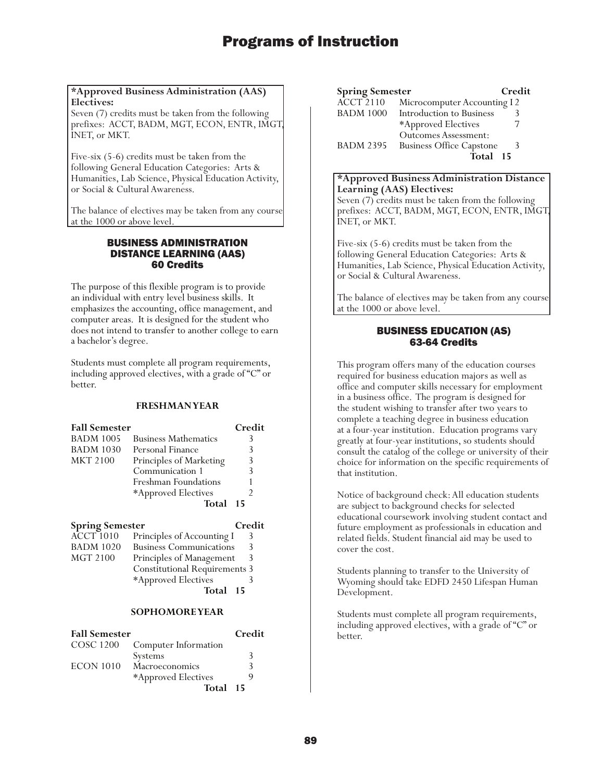### **\*Approved Business Administration (AAS) Electives:**

Seven (7) credits must be taken from the following prefixes: ACCT, BADM, MGT, ECON, ENTR, IMGT, INET, or MKT.

Five-six (5-6) credits must be taken from the following General Education Categories: Arts & Humanities, Lab Science, Physical Education Activity, or Social & Cultural Awareness.

The balance of electives may be taken from any course at the 1000 or above level.

## BUSINESS ADMINISTRATION DISTANCE LEARNING (AAS) 60 Credits

The purpose of this flexible program is to provide an individual with entry level business skills. It emphasizes the accounting, office management, and computer areas. It is designed for the student who does not intend to transfer to another college to earn a bachelor's degree.

Students must complete all program requirements, including approved electives, with a grade of "C" or better.

## **FRESHMAN YEAR**

| <b>Fall Semester</b> |                             | Credit |
|----------------------|-----------------------------|--------|
| <b>BADM 1005</b>     | <b>Business Mathematics</b> |        |
| <b>BADM 1030</b>     | Personal Finance            |        |
| <b>MKT 2100</b>      | Principles of Marketing     | 3      |
|                      | Communication 1             | ξ      |
|                      | Freshman Foundations        |        |
|                      | *Approved Electives         |        |
|                      | Total                       | 15     |

| <b>Spring Semester</b> |                                      | Credit |
|------------------------|--------------------------------------|--------|
| <b>ACCT</b> 1010       | Principles of Accounting I           | 3      |
| <b>BADM 1020</b>       | <b>Business Communications</b>       | 3      |
| <b>MGT 2100</b>        | Principles of Management             | 3      |
|                        | <b>Constitutional Requirements 3</b> |        |
|                        | *Approved Electives                  |        |
|                        | Total 15                             |        |

### **SOPHOMORE YEAR**

| <b>Fall Semester</b> |                      | Credit |
|----------------------|----------------------|--------|
| COSC 1200            | Computer Information |        |
|                      | Systems              | 3      |
| <b>ECON 1010</b>     | Macroeconomics       | ς      |
|                      | *Approved Electives  |        |
|                      | Total 15             |        |

| <b>Spring Semester</b> |                                 | Credit |
|------------------------|---------------------------------|--------|
| $\widehat{ACCT}$ 2110  | Microcomputer Accounting I 2    |        |
| <b>BADM 1000</b>       | Introduction to Business        |        |
|                        | *Approved Electives             |        |
|                        | <b>Outcomes Assessment:</b>     |        |
| <b>BADM 2395</b>       | <b>Business Office Capstone</b> | 3      |
|                        | Total 15                        |        |

### **\*Approved Business Administration Distance Learning (AAS) Electives:** Seven (7) credits must be taken from the following prefixes: ACCT, BADM, MGT, ECON, ENTR, IMGT,

INET, or MKT.

Five-six (5-6) credits must be taken from the following General Education Categories: Arts & Humanities, Lab Science, Physical Education Activity, or Social & Cultural Awareness.

The balance of electives may be taken from any course at the 1000 or above level.

## BUSINESS EDUCATION (AS) 63-64 Credits

This program offers many of the education courses required for business education majors as well as office and computer skills necessary for employment in a business office. The program is designed for the student wishing to transfer after two years to complete a teaching degree in business education at a four-year institution. Education programs vary greatly at four-year institutions, so students should consult the catalog of the college or university of their choice for information on the specific requirements of that institution.

Notice of background check: All education students are subject to background checks for selected educational coursework involving student contact and future employment as professionals in education and related fields. Student financial aid may be used to cover the cost.

Students planning to transfer to the University of Wyoming should take EDFD 2450 Lifespan Human Development.

Students must complete all program requirements, including approved electives, with a grade of "C" or better.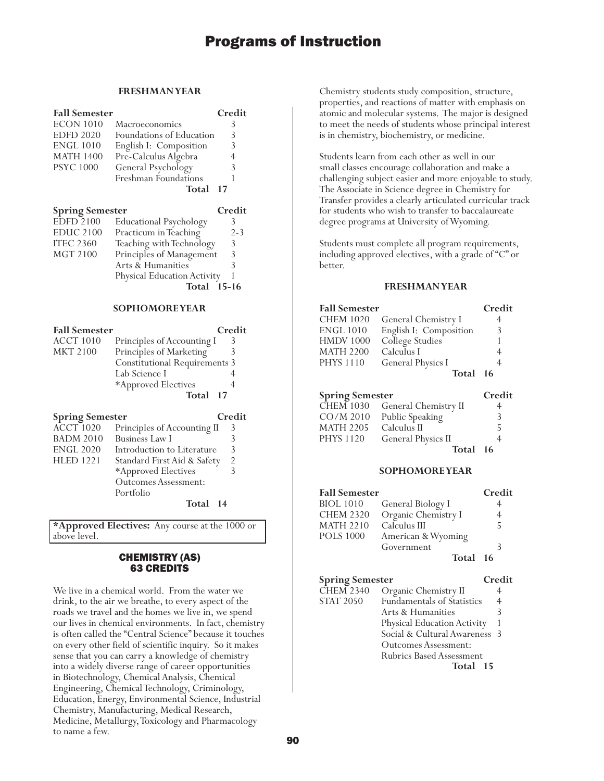### **FRESHMAN YEAR**

| <b>Fall Semester</b>   |                                    | Credit         |
|------------------------|------------------------------------|----------------|
| <b>ECON 1010</b>       | Macroeconomics                     | 3              |
| <b>EDFD 2020</b>       | Foundations of Education           | 3              |
| <b>ENGL 1010</b>       | English I: Composition             | 3              |
| <b>MATH 1400</b>       | Pre-Calculus Algebra               | 4              |
| <b>PSYC 1000</b>       | General Psychology                 | 3              |
|                        | Freshman Foundations               | 1              |
|                        | Total                              | 17             |
|                        |                                    |                |
| <b>Spring Semester</b> |                                    | Credit         |
| <b>EDFD 2100</b>       | Educational Psychology             | 3              |
| <b>EDUC 2100</b>       | Practicum in Teaching              | $2 - 3$        |
| <b>ITEC 2360</b>       | Teaching with Technology           | 3              |
| <b>MGT 2100</b>        | Principles of Management           | 3              |
|                        | Arts & Humanities                  | $\overline{3}$ |
|                        | Physical Education Activity        | 1              |
|                        | Total 15-16                        |                |
|                        |                                    |                |
|                        | <b>SOPHOMOREYEAR</b>               |                |
| <b>Fall Semester</b>   |                                    | Credit         |
| <b>ACCT 1010</b>       | Principles of Accounting I         | 3              |
| <b>MKT 2100</b>        | Principles of Marketing            | 3              |
|                        | <b>Constitutional Requirements</b> | 3              |
|                        | Lab Science I                      | 4              |
|                        | *Approved Electives                | 4              |
|                        | Total                              | 17             |
|                        |                                    |                |

## **Spring Semester Credit**

| opring ocinesier |                             | .              |
|------------------|-----------------------------|----------------|
| <b>ACCT 1020</b> | Principles of Accounting II | 3              |
| <b>BADM 2010</b> | <b>Business Law I</b>       | 3              |
| <b>ENGL 2020</b> | Introduction to Literature  | 3              |
| <b>HLED 1221</b> | Standard First Aid & Safety | $\overline{2}$ |
|                  | *Approved Electives         | 3              |
|                  | <b>Outcomes Assessment:</b> |                |
|                  | Portfolio                   |                |
|                  | Total 14                    |                |
|                  |                             |                |

**\*Approved Electives:** Any course at the 1000 or above level.

## CHEMISTRY (AS) 63 CREDITS

We live in a chemical world. From the water we drink, to the air we breathe, to every aspect of the roads we travel and the homes we live in, we spend our lives in chemical environments. In fact, chemistry is often called the "Central Science" because it touches on every other field of scientific inquiry. So it makes sense that you can carry a knowledge of chemistry into a widely diverse range of career opportunities in Biotechnology, Chemical Analysis, Chemical Engineering, Chemical Technology, Criminology, Education, Energy, Environmental Science, Industrial Chemistry, Manufacturing, Medical Research, Medicine, Metallurgy, Toxicology and Pharmacology to name a few.

Chemistry students study composition, structure, properties, and reactions of matter with emphasis on atomic and molecular systems. The major is designed to meet the needs of students whose principal interest is in chemistry, biochemistry, or medicine.

Students learn from each other as well in our small classes encourage collaboration and make a challenging subject easier and more enjoyable to study. The Associate in Science degree in Chemistry for Transfer provides a clearly articulated curricular track for students who wish to transfer to baccalaureate degree programs at University of Wyoming.

Students must complete all program requirements, including approved electives, with a grade of "C" or better.

## **FRESHMAN YEAR**

| <b>Fall Semester</b><br><b>CHEM 1020</b><br><b>ENGL 1010</b><br><b>HMDV 1000</b><br><b>MATH 2200</b><br><b>PHYS 1110</b> | General Chemistry I<br>English I: Composition<br>College Studies<br>Calculus I<br>General Physics I<br>Total | Credit<br>4<br>3<br>4<br>4<br>16 |
|--------------------------------------------------------------------------------------------------------------------------|--------------------------------------------------------------------------------------------------------------|----------------------------------|
| <b>Spring Semester</b>                                                                                                   |                                                                                                              | Credit                           |
| <b>CHEM 1030</b>                                                                                                         | General Chemistry II                                                                                         | 4                                |
| $CO/M$ 2010                                                                                                              | Public Speaking                                                                                              | 3                                |
| <b>MATH 2205</b>                                                                                                         | Calculus II                                                                                                  | 5                                |
| <b>PHYS 1120</b>                                                                                                         | General Physics II                                                                                           |                                  |

## **Total 16**

#### **SOPHOMORE YEAR**

| <b>Fall Semester</b> |                     | Credit |
|----------------------|---------------------|--------|
| <b>BIOL 1010</b>     | General Biology I   |        |
| <b>CHEM 2320</b>     | Organic Chemistry I | 4      |
| <b>MATH 2210</b>     | Calculus III        | 5      |
| <b>POLS 1000</b>     | American & Wyoming  |        |
|                      | Government          |        |
|                      | Total 16            |        |

## **Spring Semester Credit**

| <b>CHEM 2340</b> | Organic Chemistry II              |                |
|------------------|-----------------------------------|----------------|
| <b>STAT 2050</b> | <b>Fundamentals of Statistics</b> | $\overline{4}$ |
|                  | Arts & Humanities                 |                |
|                  | Physical Education Activity       |                |
|                  | Social & Cultural Awareness 3     |                |
|                  | Outcomes Assessment:              |                |
|                  | <b>Rubrics Based Assessment</b>   |                |
|                  | Total<br>15                       |                |
|                  |                                   |                |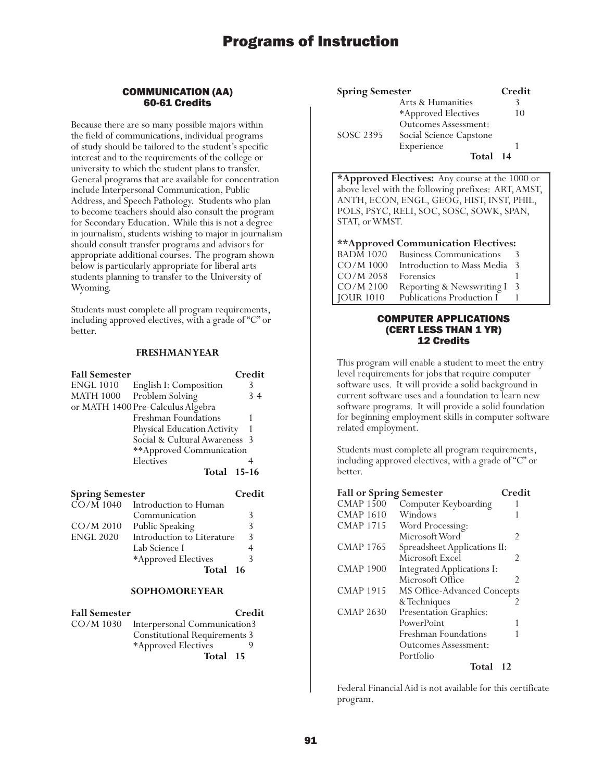## COMMUNICATION (AA) 60-61 Credits

Because there are so many possible majors within the field of communications, individual programs of study should be tailored to the student's specific interest and to the requirements of the college or university to which the student plans to transfer. General programs that are available for concentration include Interpersonal Communication, Public Address, and Speech Pathology. Students who plan to become teachers should also consult the program for Secondary Education. While this is not a degree in journalism, students wishing to major in journalism should consult transfer programs and advisors for appropriate additional courses. The program shown below is particularly appropriate for liberal arts students planning to transfer to the University of Wyoming.

Students must complete all program requirements, including approved electives, with a grade of "C" or better.

## **FRESHMAN YEAR**

| <b>Fall Semester</b>                |                                   | Credit         |
|-------------------------------------|-----------------------------------|----------------|
| <b>ENGL 1010</b>                    | English I: Composition            | 3              |
| <b>MATH 1000</b>                    | Problem Solving                   | $3-4$          |
|                                     | or MATH 1400 Pre-Calculus Algebra |                |
|                                     | Freshman Foundations              |                |
|                                     | Physical Education Activity       |                |
|                                     | Social & Cultural Awareness       | -3             |
|                                     | **Approved Communication          |                |
|                                     | Electives                         | 4              |
|                                     |                                   |                |
|                                     | Total 15-16                       |                |
|                                     |                                   | Credit         |
| <b>Spring Semester</b><br>CO/M 1040 | Introduction to Human             |                |
|                                     | Communication                     | 3              |
| $CO/M$ 2010                         | Public Speaking                   | 3              |
| <b>ENGL 2020</b>                    | Introduction to Literature        | 3              |
|                                     | Lab Science I                     | $\overline{4}$ |

## **Total 16**

## **SOPHOMORE YEAR**

| <b>Fall Semester</b> |                                      | Credit |
|----------------------|--------------------------------------|--------|
| CO/M 1030            | Interpersonal Communication3         |        |
|                      | <b>Constitutional Requirements 3</b> |        |
|                      | *Approved Electives                  |        |
|                      | Total 15                             |        |

| <b>Spring Semester</b> |                             | Credit |
|------------------------|-----------------------------|--------|
|                        | Arts & Humanities           |        |
|                        | *Approved Electives         | 10     |
|                        | <b>Outcomes Assessment:</b> |        |
| SOSC 2395              | Social Science Capstone     |        |
|                        | Experience                  |        |
|                        | Total 14                    |        |

**\*Approved Electives:** Any course at the 1000 or above level with the following prefixes: ART, AMST, ANTH, ECON, ENGL, GEOG, HIST, INST, PHIL, POLS, PSYC, RELI, SOC, SOSC, SOWK, SPAN, STAT, or WMST.

#### **\*\*Approved Communication Electives:**

| $BADM$ 1020       | <b>Business Communications</b> |    |
|-------------------|--------------------------------|----|
| CO/M 1000         | Introduction to Mass Media 3   |    |
| $CO/M$ 2058       | Forensics                      |    |
| CO/M 2100         | Reporting & Newswriting I      | -3 |
| $\vert$ JOUR 1010 | Publications Production I      |    |

## COMPUTER APPLICATIONS (CERT LESS THAN 1 YR) 12 Credits

This program will enable a student to meet the entry level requirements for jobs that require computer software uses. It will provide a solid background in current software uses and a foundation to learn new software programs. It will provide a solid foundation for beginning employment skills in computer software related employment.

Students must complete all program requirements, including approved electives, with a grade of "C" or better.

| <b>Fall or Spring Semester</b> |                              | Credit |
|--------------------------------|------------------------------|--------|
| <b>CMAP 1500</b>               | Computer Keyboarding         |        |
| <b>CMAP 1610</b>               | Windows                      |        |
| <b>CMAP 1715</b>               | Word Processing:             |        |
|                                | Microsoft Word               | 2      |
| <b>CMAP 1765</b>               | Spreadsheet Applications II: |        |
|                                | Microsoft Excel              | 2      |
| <b>CMAP 1900</b>               | Integrated Applications I:   |        |
|                                | Microsoft Office             | 2      |
| <b>CMAP 1915</b>               | MS Office-Advanced Concepts  |        |
|                                | & Techniques                 | 2      |
| <b>CMAP 2630</b>               | Presentation Graphics:       |        |
|                                | PowerPoint                   |        |
|                                | Freshman Foundations         |        |
|                                | Outcomes Assessment:         |        |
|                                | Portfolio                    |        |
|                                | Total                        | 12     |

Federal Financial Aid is not available for this certificate program.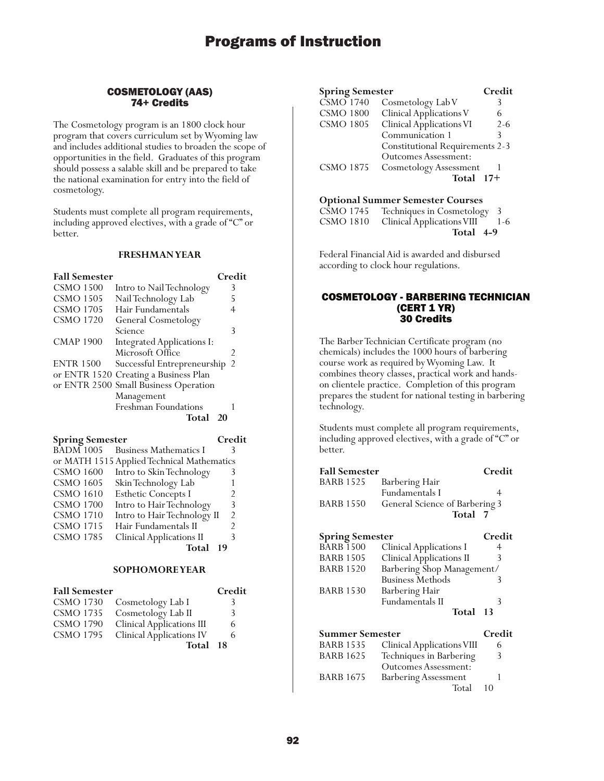## COSMETOLOGY (AAS) 74+ Credits

The Cosmetology program is an 1800 clock hour program that covers curriculum set by Wyoming law and includes additional studies to broaden the scope of opportunities in the field. Graduates of this program should possess a salable skill and be prepared to take the national examination for entry into the field of cosmetology.

Students must complete all program requirements, including approved electives, with a grade of "C" or better.

#### **FRESHMAN YEAR**

| <b>Fall Semester</b> |                                       | Credit         |
|----------------------|---------------------------------------|----------------|
| <b>CSMO 1500</b>     | Intro to Nail Technology              | 3              |
| <b>CSMO 1505</b>     | Nail Technology Lab                   | 5              |
| <b>CSMO 1705</b>     | Hair Fundamentals                     |                |
| CSMO 1720            | General Cosmetology                   |                |
|                      | Science                               | 3              |
| <b>CMAP 1900</b>     | <b>Integrated Applications I:</b>     |                |
|                      | Microsoft Office                      | $\mathfrak{D}$ |
| <b>ENTR 1500</b>     | Successful Entrepreneurship           | - 2            |
|                      | or ENTR 1520 Creating a Business Plan |                |
|                      | or ENTR 2500 Small Business Operation |                |
|                      | Management                            |                |
|                      | <b>Freshman Foundations</b>           |                |
|                      | Total<br>20                           |                |

| <b>Spring Semester</b> |                                            | Credit         |
|------------------------|--------------------------------------------|----------------|
| <b>BADM 1005</b>       | <b>Business Mathematics I</b>              | 3              |
|                        | or MATH 1515 Applied Technical Mathematics |                |
| <b>CSMO 1600</b>       | Intro to Skin Technology                   | 3              |
| <b>CSMO 1605</b>       | Skin Technology Lab                        |                |
| <b>CSMO 1610</b>       | <b>Esthetic Concepts I</b>                 | $\mathcal{P}$  |
| <b>CSMO 1700</b>       | Intro to Hair Technology                   | 3              |
| <b>CSMO 1710</b>       | Intro to Hair Technology II                | $\mathfrak{D}$ |
| <b>CSMO 1715</b>       | Hair Fundamentals II                       | $\mathfrak{D}$ |
| <b>CSMO 1785</b>       | <b>Clinical Applications II</b>            | 3              |
|                        | Total                                      | 19             |

## **SOPHOMORE YEAR**

| <b>Fall Semester</b> |                                 | Credit |
|----------------------|---------------------------------|--------|
| <b>CSMO 1730</b>     | Cosmetology Lab I               | 3      |
|                      | CSMO 1735 Cosmetology Lab II    | 3      |
| <b>CSMO 1790</b>     | Clinical Applications III       | 6      |
| <b>CSMO 1795</b>     | <b>Clinical Applications IV</b> | 6      |
|                      | Total 18                        |        |

| <b>Spring Semester</b>        |                                        | Credit  |
|-------------------------------|----------------------------------------|---------|
| $\overline{\text{CSMO}}$ 1740 | Cosmetology Lab V                      |         |
| <b>CSMO 1800</b>              | Clinical Applications V                | 6       |
| <b>CSMO 1805</b>              | Clinical Applications VI               | $2 - 6$ |
|                               | Communication 1                        |         |
|                               | <b>Constitutional Requirements 2-3</b> |         |
|                               | <b>Outcomes Assessment:</b>            |         |
| <b>CSMO 1875</b>              | <b>Cosmetology Assessment</b>          |         |
|                               | Total                                  | $17+$   |

#### **Optional Summer Semester Courses**

| CSMO 1745 Techniques in Cosmetology 3    |  |
|------------------------------------------|--|
| CSMO 1810 Clinical Applications VIII 1-6 |  |
| Total 4-9                                |  |

Federal Financial Aid is awarded and disbursed according to clock hour regulations.

### COSMETOLOGY - BARBERING TECHNICIAN (CERT 1 YR) 30 Credits

The Barber Technician Certificate program (no chemicals) includes the 1000 hours of barbering course work as required by Wyoming Law. It combines theory classes, practical work and handson clientele practice. Completion of this program prepares the student for national testing in barbering technology.

Students must complete all program requirements, including approved electives, with a grade of "C" or better.

| <b>Fall Semester</b>   |                                 | Credit |
|------------------------|---------------------------------|--------|
| <b>BARB 1525</b>       | Barbering Hair                  |        |
|                        | <b>Fundamentals I</b>           | 4      |
| BARB 1550              | General Science of Barbering 3  |        |
|                        | Total 7                         |        |
| <b>Spring Semester</b> |                                 | Credit |
| BARB 1500              | <b>Clinical Applications I</b>  | 4      |
| BARB 1505              | <b>Clinical Applications II</b> | 3      |
| <b>BARB 1520</b>       | Barbering Shop Management/      |        |
|                        | <b>Business Methods</b>         | 3      |
| BARB 1530              | Barbering Hair                  |        |
|                        | Fundamentals II                 | 3      |
|                        | Total                           | 13     |
| Summer Semester        |                                 | Credit |
| BARB 1535              | Clinical Applications VIII      | 6      |
| BARB 1625              | Techniques in Barbering         | 3      |
|                        | <b>Outcomes Assessment:</b>     |        |
| <b>BARB 1675</b>       | <b>Barbering Assessment</b>     |        |
|                        | Total                           | 10     |
|                        |                                 |        |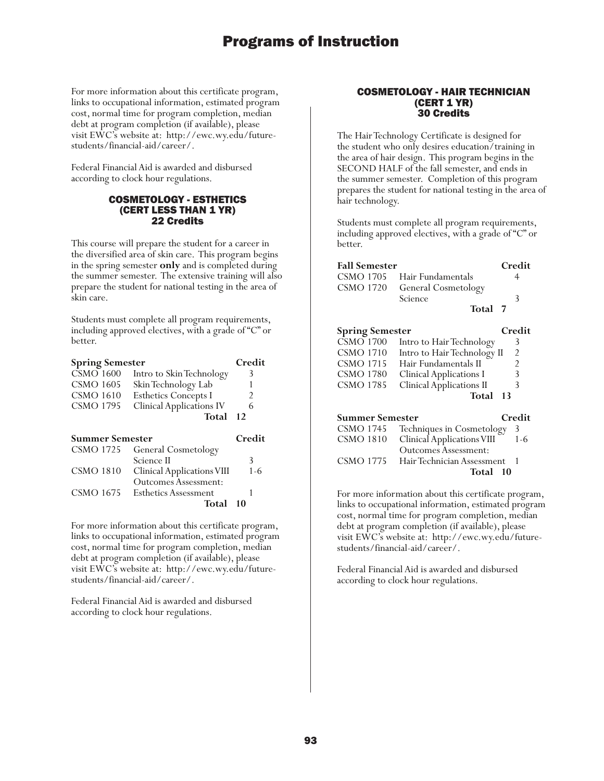For more information about this certificate program, links to occupational information, estimated program cost, normal time for program completion, median debt at program completion (if available), please visit EWC's website at: http://ewc.wy.edu/futurestudents/financial-aid/career/.

Federal Financial Aid is awarded and disbursed according to clock hour regulations.

## COSMETOLOGY - ESTHETICS (CERT LESS THAN 1 YR) 22 Credits

This course will prepare the student for a career in the diversified area of skin care. This program begins in the spring semester **only** and is completed during the summer semester. The extensive training will also prepare the student for national testing in the area of skin care.

Students must complete all program requirements, including approved electives, with a grade of "C" or better.

| <b>Spring Semester</b> |                                                           | Credit |
|------------------------|-----------------------------------------------------------|--------|
| <b>CSMO 1600</b>       | Intro to Skin Technology                                  | 3      |
| <b>CSMO 1605</b>       | Skin Technology Lab                                       |        |
| <b>CSMO 1610</b>       | <b>Esthetics Concepts I</b>                               | 2      |
| <b>CSMO 1795</b>       | <b>Clinical Applications IV</b>                           | 6      |
|                        | Total                                                     | 12     |
|                        |                                                           |        |
|                        |                                                           |        |
| <b>Summer Semester</b> |                                                           | Credit |
| <b>CSMO 1725</b>       | <b>General Cosmetology</b>                                |        |
|                        | Science II                                                | 3      |
| <b>CSMO 1810</b>       |                                                           | 1-6    |
|                        | Clinical Applications VIII<br><b>Outcomes Assessment:</b> |        |
| CSMO 1675              | Esthetics Assessment                                      |        |

For more information about this certificate program, links to occupational information, estimated program cost, normal time for program completion, median debt at program completion (if available), please visit EWC's website at: http://ewc.wy.edu/futurestudents/financial-aid/career/.

Federal Financial Aid is awarded and disbursed according to clock hour regulations.

## COSMETOLOGY - HAIR TECHNICIAN (CERT 1 YR) 30 Credits

The Hair Technology Certificate is designed for the student who only desires education/training in the area of hair design. This program begins in the SECOND HALF of the fall semester, and ends in the summer semester. Completion of this program prepares the student for national testing in the area of hair technology.

Students must complete all program requirements, including approved electives, with a grade of "C" or better.

| <b>Fall Semester</b>   |                                 | Credit |
|------------------------|---------------------------------|--------|
| <b>CSMO 1705</b>       | Hair Fundamentals               | 4      |
| CSMO 1720              | General Cosmetology             |        |
|                        | Science                         | 3      |
|                        | Total 7                         |        |
| <b>Spring Semester</b> |                                 | Credit |
| <b>CSMO 1700</b>       | Intro to Hair Technology        | 3      |
| <b>CSMO 1710</b>       | Intro to Hair Technology II     | 2      |
| <b>CSMO 1715</b>       | Hair Fundamentals II            | 2      |
| <b>CSMO 1780</b>       | Clinical Applications I         | 3      |
| <b>CSMO 1785</b>       | <b>Clinical Applications II</b> | 3      |
|                        | Total                           | 13     |
| Summer Semester        |                                 | Credit |
| CSMO 1745              | Techniques in Cosmetology       | 3      |
| <b>CSMO 1810</b>       | Clinical Applications VIII      | 1-6    |
|                        | <b>Outcomes Assessment:</b>     |        |
| CSMO 1775              | Hair Technician Assessment      |        |
|                        | Total                           | 10     |

For more information about this certificate program, links to occupational information, estimated program cost, normal time for program completion, median debt at program completion (if available), please visit EWC's website at: http://ewc.wy.edu/futurestudents/financial-aid/career/.

Federal Financial Aid is awarded and disbursed according to clock hour regulations.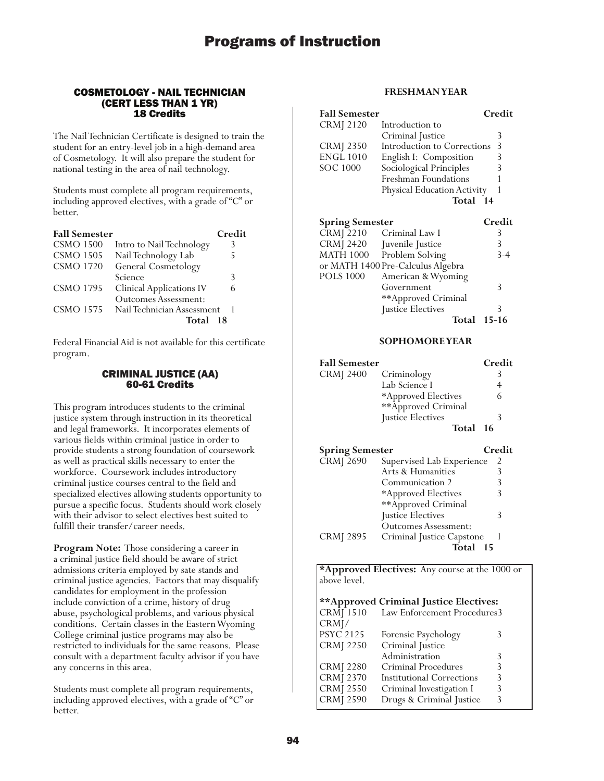### COSMETOLOGY - NAIL TECHNICIAN (CERT LESS THAN 1 YR) 18 Credits

The Nail Technician Certificate is designed to train the student for an entry-level job in a high-demand area of Cosmetology. It will also prepare the student for national testing in the area of nail technology.

Students must complete all program requirements, including approved electives, with a grade of "C" or better.

| <b>Fall Semester</b> |                                 | Credit |
|----------------------|---------------------------------|--------|
| <b>CSMO 1500</b>     | Intro to Nail Technology        | 3      |
| <b>CSMO 1505</b>     | Nail Technology Lab             | 5      |
| <b>CSMO 1720</b>     | <b>General Cosmetology</b>      |        |
|                      | Science                         | 3      |
| <b>CSMO 1795</b>     | <b>Clinical Applications IV</b> | 6      |
|                      | <b>Outcomes Assessment:</b>     |        |
| <b>CSMO 1575</b>     | Nail Technician Assessment      |        |
|                      | Total                           | - 18   |

Federal Financial Aid is not available for this certificate program.

## CRIMINAL JUSTICE (AA) 60-61 Credits

This program introduces students to the criminal justice system through instruction in its theoretical and legal frameworks. It incorporates elements of various fields within criminal justice in order to provide students a strong foundation of coursework as well as practical skills necessary to enter the workforce. Coursework includes introductory criminal justice courses central to the field and specialized electives allowing students opportunity to pursue a specific focus. Students should work closely with their advisor to select electives best suited to fulfill their transfer/career needs.

**Program Note:** Those considering a career in a criminal justice field should be aware of strict admissions criteria employed by sate stands and criminal justice agencies. Factors that may disqualify candidates for employment in the profession include conviction of a crime, history of drug abuse, psychological problems, and various physical conditions. Certain classes in the Eastern Wyoming College criminal justice programs may also be restricted to individuals for the same reasons. Please consult with a department faculty advisor if you have any concerns in this area.

Students must complete all program requirements, including approved electives, with a grade of "C" or better.

## **FRESHMAN YEAR**

| <b>Fall Semester</b>   |                                                      | Credit |
|------------------------|------------------------------------------------------|--------|
| CRMJ 2120              | Introduction to                                      |        |
|                        | Criminal Justice                                     | 3      |
| CRMJ 2350              | Introduction to Corrections                          | 3      |
| <b>ENGL 1010</b>       | English I: Composition                               | 3      |
| SOC 1000               | Sociological Principles                              | 3      |
|                        | <b>Freshman Foundations</b>                          |        |
|                        | Physical Education Activity                          | 1      |
|                        | Total 14                                             |        |
|                        |                                                      |        |
| <b>Spring Semester</b> |                                                      | Credit |
|                        |                                                      |        |
| CRMJ 2210              | Criminal Law I                                       | 3      |
| CRMJ 2420              | Juvenile Justice                                     | 3      |
| MATH 1000              |                                                      | 3-4    |
|                        | Problem Solving<br>or MATH 1400 Pre-Calculus Algebra |        |
| POLS 1000              | American & Wyoming                                   |        |
|                        | Government                                           | 3      |
|                        |                                                      |        |
|                        | **Approved Criminal<br>Justice Electives             | 3      |

## **SOPHOMORE YEAR**

| <b>Fall Semester</b><br>CRMJ 2400 | Criminology<br>Lab Science I<br>*Approved Electives<br>**Approved Criminal | Credit<br>3<br>4<br>6 |
|-----------------------------------|----------------------------------------------------------------------------|-----------------------|
|                                   | Justice Electives                                                          | 3                     |
|                                   | Total                                                                      | - 16                  |
| <b>Spring Semester</b>            |                                                                            | Credit                |
| <b>CRMJ 2690</b>                  | Supervised Lab Experience                                                  | 2                     |
|                                   | Arts & Humanities                                                          | 3                     |
|                                   | Communication 2                                                            | 3                     |
|                                   | *Approved Electives                                                        | 3                     |
|                                   | **Approved Criminal                                                        |                       |
|                                   | Justice Electives                                                          | 3                     |
|                                   | Outcomes Assessment:                                                       |                       |
| CRMJ 2895                         | Criminal Justice Capstone                                                  | -1                    |
|                                   | Total 15                                                                   |                       |

**\*Approved Electives:** Any course at the 1000 or above level.

**\*\*Approved Criminal Justice Electives:**

| $CRM\bar{J}$ 1510 | Law Enforcement Procedures3      |   |  |
|-------------------|----------------------------------|---|--|
| CRMI/             |                                  |   |  |
| <b>PSYC 2125</b>  | Forensic Psychology              | 3 |  |
| <b>CRMJ 2250</b>  | Criminal Justice                 |   |  |
|                   | Administration                   | 3 |  |
| <b>CRMJ 2280</b>  | Criminal Procedures              | 3 |  |
| <b>CRMJ 2370</b>  | <b>Institutional Corrections</b> | 3 |  |
| <b>CRMJ 2550</b>  | Criminal Investigation I         | 3 |  |
| <b>CRMJ 2590</b>  | Drugs & Criminal Justice         | 3 |  |
|                   |                                  |   |  |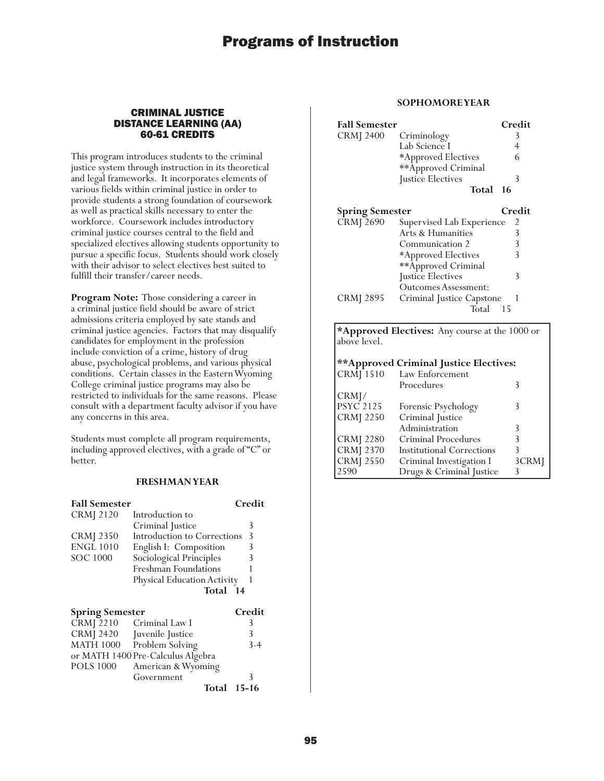## CRIMINAL JUSTICE DISTANCE LEARNING (AA) 60-61 CREDITS

This program introduces students to the criminal justice system through instruction in its theoretical and legal frameworks. It incorporates elements of various fields within criminal justice in order to provide students a strong foundation of coursework as well as practical skills necessary to enter the workforce. Coursework includes introductory criminal justice courses central to the field and specialized electives allowing students opportunity to pursue a specific focus. Students should work closely with their advisor to select electives best suited to fulfill their transfer/career needs.

**Program Note:** Those considering a career in a criminal justice field should be aware of strict admissions criteria employed by sate stands and criminal justice agencies. Factors that may disqualify candidates for employment in the profession include conviction of a crime, history of drug abuse, psychological problems, and various physical conditions. Certain classes in the Eastern Wyoming College criminal justice programs may also be restricted to individuals for the same reasons. Please consult with a department faculty advisor if you have any concerns in this area.

Students must complete all program requirements, including approved electives, with a grade of "C" or better.

## **FRESHMAN YEAR**

| <b>Fall Semester</b>   |                                   | Credit |
|------------------------|-----------------------------------|--------|
| <b>CRMJ</b> 2120       | Introduction to                   |        |
|                        | Criminal Justice                  | 3      |
| <b>CRMJ</b> 2350       | Introduction to Corrections       | 3      |
| <b>ENGL 1010</b>       | English I: Composition            | 3      |
| SOC 1000               | Sociological Principles           | 3      |
|                        | Freshman Foundations              |        |
|                        | Physical Education Activity       |        |
|                        | Total 14                          |        |
| <b>Spring Semester</b> |                                   | Credit |
| <b>CRMJ</b> 2210       | Criminal Law I                    | 3      |
| <b>CRMJ 2420</b>       | Juvenile Justice                  | 3      |
| <b>MATH 1000</b>       | Problem Solving                   | $3-4$  |
|                        | or MATH 1400 Pre-Calculus Algebra |        |
| <b>POLS 1000</b>       | American & Wyoming                |        |
|                        | Government                        | 3      |
|                        | Total                             | 15-16  |

## **SOPHOMORE YEAR**

| <b>Fall Semester</b>   |                           | Credit |
|------------------------|---------------------------|--------|
| <b>CRMJ 2400</b>       | Criminology               | 3      |
|                        | Lab Science I             | 4      |
|                        | *Approved Electives       | 6      |
|                        | **Approved Criminal       |        |
|                        | Justice Electives         | 3      |
|                        | Total                     | -16    |
| <b>Spring Semester</b> |                           | Credit |
| <b>CRMJ 2690</b>       | Supervised Lab Experience | 2      |
|                        | Arts & Humanities         | 3      |
|                        | Communication 2           | 3      |
|                        | *Approved Electives       | 3      |
|                        | **Approved Criminal       |        |
|                        | Justice Electives         | 3      |
|                        | Outcomes Assessment:      |        |
| CRMJ 2895              | Criminal Justice Capstone | 1      |
|                        | Total                     | 15     |

**\*Approved Electives:** Any course at the 1000 or above level.

### **\*\*Approved Criminal Justice Electives:** Law Enforcement Procedures 3 CRMJ/<br>PSYC 2125 PSYC 2125 Forensic Psychology 3<br>CRMJ 2250 Criminal Justice Criminal Justice Administration 3

| $CRM$ [ 2280     | Criminal Procedures              |       |
|------------------|----------------------------------|-------|
| <b>CRM</b> 2370  | <b>Institutional Corrections</b> |       |
| <b>CRMJ</b> 2550 | Criminal Investigation I         | 3CRMJ |
| 2590             | Drugs & Criminal Justice         |       |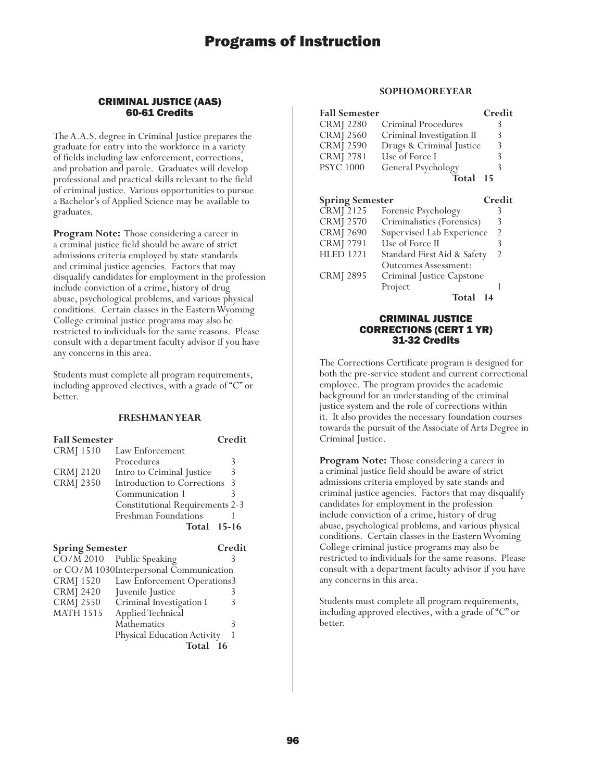### CRIMINAL JUSTICE (AAS) 60-61 Credits

The A.A.S. degree in Criminal Justice prepares the graduate for entry into the workforce in a variety of fields including law enforcement, corrections, and probation and parole. Graduates will develop professional and practical skills relevant to the field of criminal justice. Various opportunities to pursue a Bachelor's of Applied Science may be available to graduates.

**Program Note:** Those considering a career in a criminal justice field should be aware of strict admissions criteria employed by state standards and criminal justice agencies. Factors that may disqualify candidates for employment in the profession include conviction of a crime, history of drug abuse, psychological problems, and various physical conditions. Certain classes in the Eastern Wyoming College criminal justice programs may also be restricted to individuals for the same reasons. Please consult with a department faculty advisor if you have any concerns in this area.

Students must complete all program requirements, including approved electives, with a grade of "C" or better.

## **FRESHMAN YEAR**

| <b>Fall Semester</b> |                                        | Credit |
|----------------------|----------------------------------------|--------|
| <b>CRMJ</b> 1510     | Law Enforcement                        |        |
|                      | Procedures                             | ੨      |
| <b>CRMJ</b> 2120     | Intro to Criminal Justice              | 3      |
| <b>CRMJ 2350</b>     | Introduction to Corrections            | -3     |
|                      | Communication 1                        |        |
|                      | <b>Constitutional Requirements 2-3</b> |        |
|                      | Freshman Foundations                   |        |
|                      | <b>Total 15-16</b>                     |        |

#### **Spring Semester Credit**

|                  | $\overline{CO/M}$ 2010 Public Speaking  |     |
|------------------|-----------------------------------------|-----|
|                  | or CO/M 1030Interpersonal Communication |     |
| <b>CRMJ</b> 1520 | Law Enforcement Operations3             |     |
| <b>CRMJ 2420</b> | Juvenile Justice                        |     |
| <b>CRMJ 2550</b> | Criminal Investigation I                |     |
| <b>MATH 1515</b> | Applied Technical                       |     |
|                  | Mathematics                             |     |
|                  | Physical Education Activity             |     |
|                  | Total                                   | -16 |
|                  |                                         |     |

## **SOPHOMORE YEAR**

| <b>Fall Semester</b> |                           | Credit |
|----------------------|---------------------------|--------|
| <b>CRMJ</b> 2280     | Criminal Procedures       | 3      |
| <b>CRMJ 2560</b>     | Criminal Investigation II | 3      |
| <b>CRMJ 2590</b>     | Drugs & Criminal Justice  | 3      |
| <b>CRMJ 2781</b>     | Use of Force I            | 3      |
| <b>PSYC 1000</b>     | General Psychology        | 3      |
|                      | Total 15                  |        |

| <b>Spring Semester</b> |                             | Credit         |
|------------------------|-----------------------------|----------------|
| CRMJ 2125              | Forensic Psychology         | 3              |
| <b>CRMJ 2570</b>       | Criminalistics (Forensics)  | 3              |
| <b>CRMJ 2690</b>       | Supervised Lab Experience   | $\mathcal{P}$  |
| <b>CRMJ 2791</b>       | Use of Force II             | 3              |
| <b>HLED 1221</b>       | Standard First Aid & Safety | $\mathfrak{D}$ |
|                        | <b>Outcomes Assessment:</b> |                |
| <b>CRMJ 2895</b>       | Criminal Justice Capstone   |                |
|                        | Project                     |                |
|                        | <b>Total</b>                |                |

## CRIMINAL JUSTICE CORRECTIONS (CERT 1 YR) 31-32 Credits

The Corrections Certificate program is designed for both the pre-service student and current correctional employee. The program provides the academic background for an understanding of the criminal justice system and the role of corrections within it. It also provides the necessary foundation courses towards the pursuit of the Associate of Arts Degree in Criminal Justice.

**Program Note:** Those considering a career in a criminal justice field should be aware of strict admissions criteria employed by sate stands and criminal justice agencies. Factors that may disqualify candidates for employment in the profession include conviction of a crime, history of drug abuse, psychological problems, and various physical conditions. Certain classes in the Eastern Wyoming College criminal justice programs may also be restricted to individuals for the same reasons. Please consult with a department faculty advisor if you have any concerns in this area.

Students must complete all program requirements, including approved electives, with a grade of "C" or better.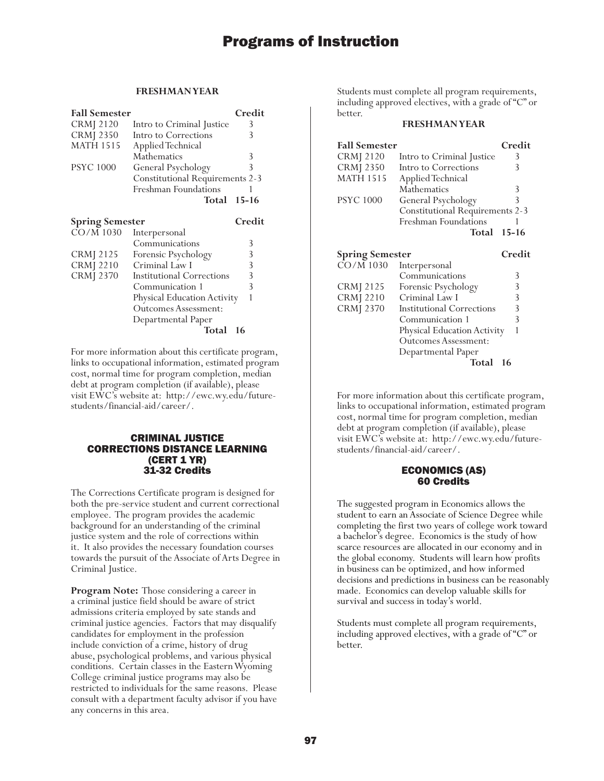## **FRESHMAN YEAR**

| <b>Fall Semester</b>                              |                                        | Credit    |
|---------------------------------------------------|----------------------------------------|-----------|
| <b>CRMJ</b> 2120                                  | Intro to Criminal Justice              | 3         |
| CRMJ 2350                                         | Intro to Corrections                   | 3         |
| <b>MATH 1515</b>                                  | Applied Technical                      |           |
|                                                   | Mathematics                            | 3         |
| <b>PSYC 1000</b>                                  | General Psychology                     | 3         |
|                                                   | <b>Constitutional Requirements 2-3</b> |           |
|                                                   | <b>Freshman Foundations</b>            |           |
|                                                   | Total                                  | $15 - 16$ |
|                                                   |                                        |           |
|                                                   |                                        |           |
| <b>Spring Semester</b>                            |                                        | Credit    |
| CO/M 1030                                         | Interpersonal                          |           |
|                                                   | Communications                         | 3         |
|                                                   | Forensic Psychology                    | 3         |
|                                                   | Criminal Law I                         | 3         |
|                                                   | Institutional Corrections              | 3         |
| CRMJ 2125<br><b>CRMJ</b> 2210<br><b>CRMJ 2370</b> | Communication 1                        | 3         |
|                                                   | Physical Education Activity            | 1         |
|                                                   | <b>Outcomes Assessment:</b>            |           |

**Total 16**

For more information about this certificate program, links to occupational information, estimated program cost, normal time for program completion, median debt at program completion (if available), please visit EWC's website at: http://ewc.wy.edu/futurestudents/financial-aid/career/.

## CRIMINAL JUSTICE CORRECTIONS DISTANCE LEARNING (CERT 1 YR) 31-32 Credits

The Corrections Certificate program is designed for both the pre-service student and current correctional employee. The program provides the academic background for an understanding of the criminal justice system and the role of corrections within it. It also provides the necessary foundation courses towards the pursuit of the Associate of Arts Degree in Criminal Justice.

**Program Note:** Those considering a career in a criminal justice field should be aware of strict admissions criteria employed by sate stands and criminal justice agencies. Factors that may disqualify candidates for employment in the profession include conviction of a crime, history of drug abuse, psychological problems, and various physical conditions. Certain classes in the Eastern Wyoming College criminal justice programs may also be restricted to individuals for the same reasons. Please consult with a department faculty advisor if you have any concerns in this area.

Students must complete all program requirements, including approved electives, with a grade of "C" or better.

#### **FRESHMAN YEAR**

| <b>Fall Semester</b>   |                                        | Credit    |
|------------------------|----------------------------------------|-----------|
| CRMJ 2120              | Intro to Criminal Justice              | 3         |
| <b>CRMJ 2350</b>       | Intro to Corrections                   | 3         |
| <b>MATH 1515</b>       | Applied Technical                      |           |
|                        | Mathematics                            | 3         |
| <b>PSYC 1000</b>       | General Psychology                     | 3         |
|                        | <b>Constitutional Requirements 2-3</b> |           |
|                        | Freshman Foundations                   |           |
|                        | Total                                  | $15 - 16$ |
|                        |                                        |           |
|                        |                                        |           |
| <b>Spring Semester</b> |                                        | Credit    |
| CO/M 1030              | Interpersonal                          |           |
|                        | Communications                         | 3         |
| CRMJ 2125              | Forensic Psychology                    | 3         |
| <b>CRMJ</b> 2210       | Criminal Law I                         | 3         |
| <b>CRMJ 2370</b>       | <b>Institutional Corrections</b>       | 3         |
|                        | Communication 1                        | 3         |

For more information about this certificate program, links to occupational information, estimated program cost, normal time for program completion, median debt at program completion (if available), please visit EWC's website at: http://ewc.wy.edu/futurestudents/financial-aid/career/.

Outcomes Assessment: Departmental Paper

**Total 16**

## ECONOMICS (AS) 60 Credits

The suggested program in Economics allows the student to earn an Associate of Science Degree while completing the first two years of college work toward a bachelor's degree. Economics is the study of how scarce resources are allocated in our economy and in the global economy. Students will learn how profits in business can be optimized, and how informed decisions and predictions in business can be reasonably made. Economics can develop valuable skills for survival and success in today's world.

Students must complete all program requirements, including approved electives, with a grade of "C" or better.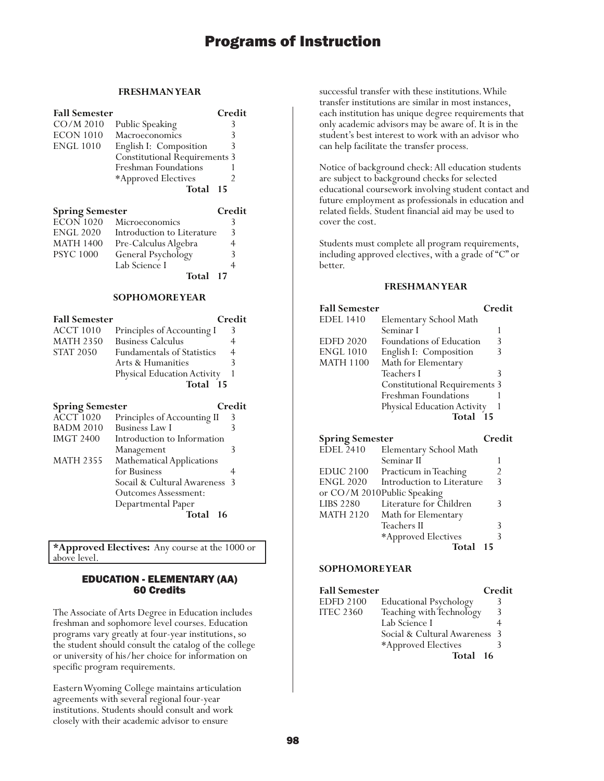### **FRESHMAN YEAR**

| <b>Fall Semester</b>   |                                    | Credit         |
|------------------------|------------------------------------|----------------|
| $CO/M$ 2010            | Public Speaking                    | 3              |
| <b>ECON 1010</b>       | Macroeconomics                     | 3              |
| <b>ENGL 1010</b>       | English I: Composition             | 3              |
|                        | <b>Constitutional Requirements</b> | 3              |
|                        | Freshman Foundations               | 1              |
|                        | *Approved Electives                | 2              |
|                        | Total                              | 15             |
| <b>Spring Semester</b> |                                    | Credit         |
| <b>ECON 1020</b>       | Microeconomics                     | 3              |
| <b>ENGL 2020</b>       | Introduction to Literature         | 3              |
| MATH 1400              | Pre-Calculus Algebra               | $\overline{4}$ |
| <b>PSYC 1000</b>       | General Psychology                 | 3              |
|                        | Lab Science I                      | 4              |
|                        | Total                              | 17             |
|                        | <b>SOPHOMORE YEAR</b>              |                |
| <b>Fall Semester</b>   |                                    | Credit         |
| <b>ACCT 1010</b>       | Principles of Accounting I         | 3              |
| <b>MATH 2350</b>       | <b>Business Calculus</b>           | 4              |
| <b>STAT 2050</b>       | <b>Fundamentals of Statistics</b>  | $\overline{4}$ |
|                        | Arts & Humanities                  | 3              |
|                        | Physical Education Activity        | 1              |
|                        | Total                              | - 15           |
| <b>Spring Semester</b> |                                    | Credit         |
| <b>ACCT 1020</b>       | Principles of Accounting II        | 3              |
| <b>BADM 2010</b>       | <b>Business Law I</b>              | 3              |
| <b>IMGT 2400</b>       | Introduction to Information        |                |
|                        | Management                         | 3              |
| <b>MATH 2355</b>       | <b>Mathematical Applications</b>   |                |
|                        | for Business                       | 4              |
|                        | Socail & Cultural Awareness        | 3              |
|                        | <b>Outcomes Assessment:</b>        |                |
|                        | Departmental Paper                 |                |
|                        | Total                              | 16             |

**\*Approved Electives:** Any course at the 1000 or above level.

## EDUCATION - ELEMENTARY (AA) 60 Credits

The Associate of Arts Degree in Education includes freshman and sophomore level courses. Education programs vary greatly at four-year institutions, so the student should consult the catalog of the college or university of his/her choice for information on specific program requirements.

Eastern Wyoming College maintains articulation agreements with several regional four-year institutions. Students should consult and work closely with their academic advisor to ensure

successful transfer with these institutions. While transfer institutions are similar in most instances, each institution has unique degree requirements that only academic advisors may be aware of. It is in the student's best interest to work with an advisor who can help facilitate the transfer process.

Notice of background check: All education students are subject to background checks for selected educational coursework involving student contact and future employment as professionals in education and related fields. Student financial aid may be used to cover the cost.

Students must complete all program requirements, including approved electives, with a grade of "C" or better.

### **FRESHMAN YEAR**

| <b>Fall Semester</b>   |                                      | Credit |
|------------------------|--------------------------------------|--------|
| <b>EDEL 1410</b>       | Elementary School Math               |        |
|                        | Seminar I                            | 1      |
| <b>EDFD 2020</b>       | Foundations of Education             | 3      |
| <b>ENGL 1010</b>       | English I: Composition               | 3      |
| <b>MATH 1100</b>       | Math for Elementary                  |        |
|                        | Teachers I                           | 3      |
|                        | <b>Constitutional Requirements 3</b> |        |
|                        | <b>Freshman Foundations</b>          |        |
|                        | Physical Education Activity          |        |
|                        | Total 15                             |        |
| <b>Spring Semester</b> |                                      | Credit |
| <b>EDEL 2410</b>       | Elementary School Math               |        |
|                        | Seminar II                           | 1      |
| <b>EDUC 2100</b>       | Practicum in Teaching                | 2      |
| <b>ENGL 2020</b>       | Introduction to Literature           | 3      |
|                        | or CO/M 2010Public Speaking          |        |

|                  | or CO/M 2010Public Speaking |               |
|------------------|-----------------------------|---------------|
| <b>LIBS 2280</b> | Literature for Children     | ₹             |
| MATH 2120        | Math for Elementary         |               |
|                  | Teachers II                 | $\mathcal{R}$ |
|                  | *Approved Electives         |               |
|                  | Total 15                    |               |

| <b>Fall Semester</b> |                               | Credit |
|----------------------|-------------------------------|--------|
| <b>EDFD 2100</b>     | <b>Educational Psychology</b> |        |
| <b>ITEC 2360</b>     | Teaching with Technology      | 3      |
|                      | Lab Science I                 |        |
|                      | Social & Cultural Awareness 3 |        |
|                      | *Approved Electives           |        |
|                      | Total 16                      |        |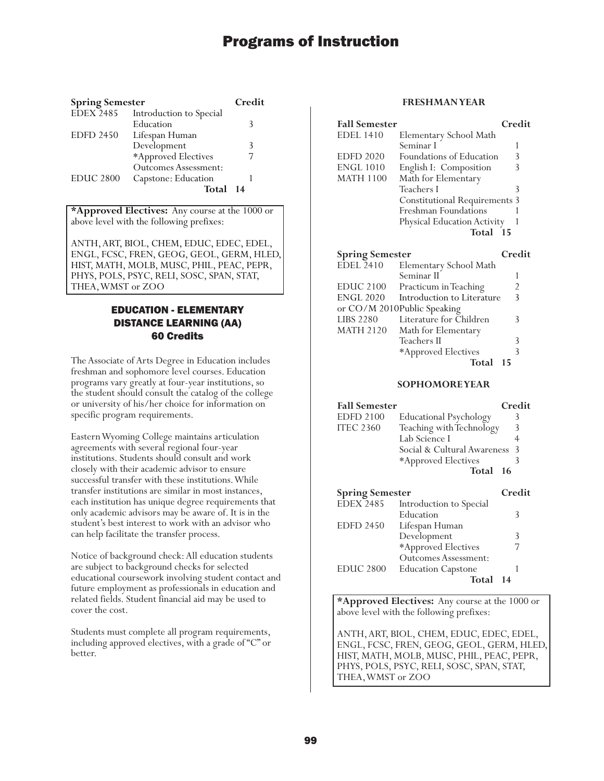| <b>Spring Semester</b> |                             | Credit |
|------------------------|-----------------------------|--------|
| <b>EDEX 2485</b>       | Introduction to Special     |        |
|                        | Education                   | Κ      |
| <b>EDFD 2450</b>       | Lifespan Human              |        |
|                        | Development                 | 3      |
|                        | *Approved Electives         |        |
|                        | <b>Outcomes Assessment:</b> |        |
| <b>EDUC 2800</b>       | Capstone: Education         |        |
|                        | Total                       | 14     |

**\*Approved Electives:** Any course at the 1000 or above level with the following prefixes:

ANTH, ART, BIOL, CHEM, EDUC, EDEC, EDEL, ENGL, FCSC, FREN, GEOG, GEOL, GERM, HLED, HIST, MATH, MOLB, MUSC, PHIL, PEAC, PEPR, PHYS, POLS, PSYC, RELI, SOSC, SPAN, STAT, THEA, WMST or ZOO

## EDUCATION - ELEMENTARY DISTANCE LEARNING (AA) 60 Credits

The Associate of Arts Degree in Education includes freshman and sophomore level courses. Education programs vary greatly at four-year institutions, so the student should consult the catalog of the college or university of his/her choice for information on specific program requirements.

Eastern Wyoming College maintains articulation agreements with several regional four-year institutions. Students should consult and work closely with their academic advisor to ensure successful transfer with these institutions. While transfer institutions are similar in most instances, each institution has unique degree requirements that only academic advisors may be aware of. It is in the student's best interest to work with an advisor who can help facilitate the transfer process.

Notice of background check: All education students are subject to background checks for selected educational coursework involving student contact and future employment as professionals in education and related fields. Student financial aid may be used to cover the cost.

Students must complete all program requirements, including approved electives, with a grade of "C" or better.

## **FRESHMAN YEAR**

| <b>Fall Semester</b> |                                      | Credit |
|----------------------|--------------------------------------|--------|
| EDEL 1410            | Elementary School Math               |        |
|                      | Seminar I                            |        |
| <b>EDFD 2020</b>     | Foundations of Education             | 3      |
| ENGL 1010            | English I: Composition               | 3      |
| MATH 1100            | Math for Elementary                  |        |
|                      | Teachers I                           | 3      |
|                      | <b>Constitutional Requirements 3</b> |        |
|                      | Freshman Foundations                 |        |
|                      | Physical Education Activity          |        |
|                      | Total<br>- 15                        |        |
|                      |                                      |        |
|                      |                                      |        |

| <b>Spring Semester</b> |                             | Credit |
|------------------------|-----------------------------|--------|
| <b>EDEL</b> 2410       | Elementary School Math      |        |
|                        | Seminar II                  |        |
| EDUC 2100              | Practicum in Teaching       | 2      |
| <b>ENGL 2020</b>       | Introduction to Literature  | 3      |
|                        | or CO/M 2010Public Speaking |        |
| <b>LIBS 2280</b>       | Literature for Children     | 3      |
| <b>MATH 2120</b>       | Math for Elementary         |        |
|                        | Teachers II                 | ζ      |
|                        | *Approved Electives         | 3      |
|                        | Total                       | 15     |

#### **SOPHOMORE YEAR**

| <b>Fall Semester</b>   |                               | Credit |
|------------------------|-------------------------------|--------|
| <b>EDFD 2100</b>       | <b>Educational Psychology</b> | 3      |
| <b>ITEC 2360</b>       | Teaching with Technology      |        |
|                        | Lab Science I                 |        |
|                        | Social & Cultural Awareness 3 |        |
|                        | *Approved Electives           |        |
|                        | Total 16                      |        |
| <b>Spring Semester</b> |                               | Credit |

| Spring semester  |                           | eregii |
|------------------|---------------------------|--------|
| <b>EDEX 2485</b> | Introduction to Special   |        |
|                  | Education                 |        |
| <b>EDFD 2450</b> | Lifespan Human            |        |
|                  | Development               | 3      |
|                  | *Approved Electives       |        |
|                  | Outcomes Assessment:      |        |
| <b>EDUC 2800</b> | <b>Education Capstone</b> |        |
|                  | Total                     | 14     |
|                  |                           |        |

**\*Approved Electives:** Any course at the 1000 or above level with the following prefixes:

ANTH, ART, BIOL, CHEM, EDUC, EDEC, EDEL, ENGL, FCSC, FREN, GEOG, GEOL, GERM, HLED, HIST, MATH, MOLB, MUSC, PHIL, PEAC, PEPR, PHYS, POLS, PSYC, RELI, SOSC, SPAN, STAT, THEA, WMST or ZOO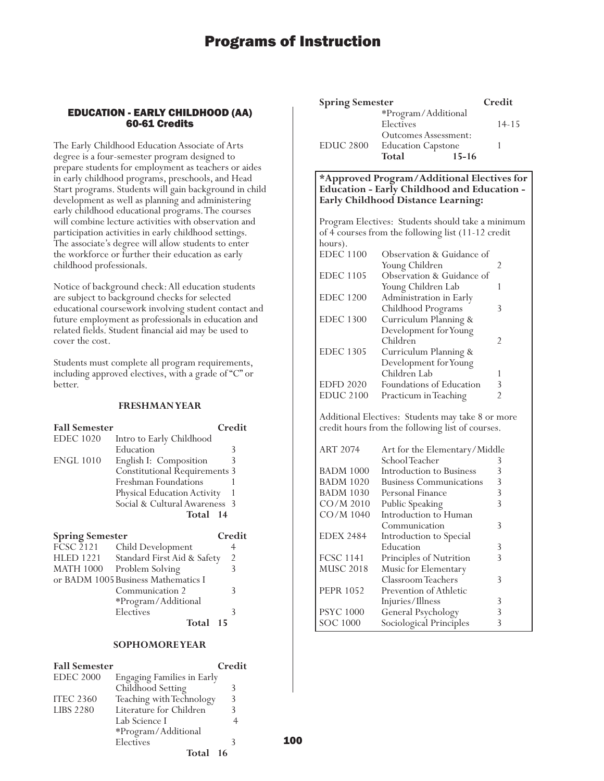## EDUCATION - EARLY CHILDHOOD (AA) 60-61 Credits

The Early Childhood Education Associate of Arts degree is a four-semester program designed to prepare students for employment as teachers or aides in early childhood programs, preschools, and Head Start programs. Students will gain background in child development as well as planning and administering early childhood educational programs. The courses will combine lecture activities with observation and participation activities in early childhood settings. The associate's degree will allow students to enter the workforce or further their education as early childhood professionals.

Notice of background check: All education students are subject to background checks for selected educational coursework involving student contact and future employment as professionals in education and related fields. Student financial aid may be used to cover the cost.

Students must complete all program requirements, including approved electives, with a grade of "C" or better.

### **FRESHMAN YEAR**

| <b>Fall Semester</b>   |                                      | Credit |
|------------------------|--------------------------------------|--------|
| <b>EDEC</b> 1020       | Intro to Early Childhood             |        |
|                        | Education                            | 3      |
| <b>ENGL 1010</b>       | English I: Composition               |        |
|                        | <b>Constitutional Requirements 3</b> |        |
|                        | Freshman Foundations                 |        |
|                        | Physical Education Activity          |        |
|                        | Social & Cultural Awareness 3        |        |
|                        | Total 14                             |        |
| <b>Spring Semester</b> |                                      | Credit |

| эргинд эсписыст  |                                     | U CU           |
|------------------|-------------------------------------|----------------|
| FCSC 2121        | Child Development                   |                |
| <b>HLED 1221</b> | Standard First Aid & Safety         | $\overline{2}$ |
| <b>MATH 1000</b> | Problem Solving                     | 3              |
|                  | or BADM 1005 Business Mathematics I |                |
|                  | Communication 2                     | 3              |
|                  | *Program/Additional                 |                |
|                  | Electives                           |                |
|                  | Total 15                            |                |
|                  |                                     |                |

## **SOPHOMORE YEAR**

| <b>Fall Semester</b> |                                   | Credit |
|----------------------|-----------------------------------|--------|
| <b>EDEC 2000</b>     | <b>Engaging Families in Early</b> |        |
|                      | Childhood Setting                 |        |
| <b>ITEC 2360</b>     | Teaching with Technology          | 3      |
| <b>LIBS 2280</b>     | Literature for Children           |        |
|                      | Lab Science I                     |        |
|                      | *Program/Additional               |        |
|                      | Electives                         |        |
|                      | Total 16                          |        |

| <b>Spring Semester</b> |                                                                         | Credit    |
|------------------------|-------------------------------------------------------------------------|-----------|
|                        | *Program/Additional<br>Electives                                        | $14 - 15$ |
| <b>EDUC 2800</b>       | Outcomes Assessment:<br><b>Education Capstone</b><br>Total<br>$15 - 16$ |           |

### **\*Approved Program/Additional Electives for Education - Early Childhood and Education - Early Childhood Distance Learning:**

Program Electives: Students should take a minimum of 4 courses from the following list (11-12 credit hours). EDEC 1100 Observation & Guidance of Young Children 2 EDEC 1105 Observation & Guidance of Young Children Lab 1 EDEC 1200 Administration in Early Childhood Programs 3 EDEC 1300 Curriculum Planning & Development for Young Children 2 EDEC 1305 Curriculum Planning & Development for Young Children Lab 1 EDFD 2020 Foundations of Education 3 EDUC 2100 Practicum in Teaching 2 Additional Electives: Students may take 8 or more credit hours from the following list of courses. ART 2074 Art for the Elementary/Middle School Teacher 3<br>Introduction to Business 3 BADM 1000 Introduction to Business BADM 1020 Business Communications 3<br>BADM 1030 Personal Finance 3 BADM 1030 Personal Finance 3<br>CO/M 2010 Public Speaking 3 Public Speaking CO/M 1040 Introduction to Human Communication 3 EDEX 2484 Introduction to Special Education 3<br>Principles of Nutrition 3 FCSC 1141 Principles of Nutrition<br>MUSC 2018 Music for Elementary Music for Elementary Classroom Teachers 3 PEPR 1052 Prevention of Athletic Injuries/Illness 3 PSYC 1000 General Psychology 3<br>SOC 1000 Sociological Principles 3 SOC 1000 Sociological Principles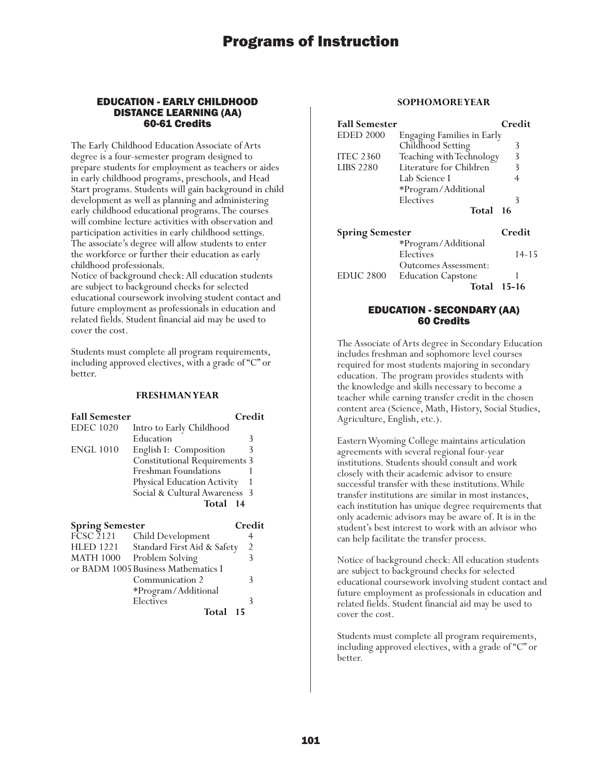#### EDUCATION - EARLY CHILDHOOD DISTANCE LEARNING (AA) 60-61 Credits

The Early Childhood Education Associate of Arts degree is a four-semester program designed to prepare students for employment as teachers or aides in early childhood programs, preschools, and Head Start programs. Students will gain background in child development as well as planning and administering early childhood educational programs. The courses will combine lecture activities with observation and participation activities in early childhood settings. The associate's degree will allow students to enter the workforce or further their education as early childhood professionals.

Notice of background check: All education students are subject to background checks for selected educational coursework involving student contact and future employment as professionals in education and related fields. Student financial aid may be used to cover the cost.

Students must complete all program requirements, including approved electives, with a grade of "C" or better.

#### **FRESHMAN YEAR**

| <b>Fall Semester</b> |                                      | Credit |
|----------------------|--------------------------------------|--------|
| <b>EDEC</b> 1020     | Intro to Early Childhood             |        |
|                      | Education                            | 3      |
| <b>ENGL 1010</b>     | English I: Composition               | 3      |
|                      | <b>Constitutional Requirements 3</b> |        |
|                      | Freshman Foundations                 |        |
|                      | Physical Education Activity          |        |
|                      | Social & Cultural Awareness 3        |        |
|                      | Total<br>$\overline{14}$             |        |

| <b>Spring Semester</b> |                                     | Credit |
|------------------------|-------------------------------------|--------|
| $\overline{FCSC}$ 2121 | Child Development                   |        |
| <b>HLED 1221</b>       | Standard First Aid & Safety         | 2      |
| MATH 1000              | Problem Solving                     | 3      |
|                        | or BADM 1005 Business Mathematics I |        |
|                        | Communication 2                     | 3      |
|                        | *Program/Additional                 |        |
|                        | Electives                           |        |
|                        | Total                               | -15    |

### **SOPHOMORE YEAR**

| <b>Fall Semester</b>   |                                   | Credit    |
|------------------------|-----------------------------------|-----------|
| <b>EDED 2000</b>       | <b>Engaging Families in Early</b> |           |
|                        | Childhood Setting                 | 3         |
| <b>ITEC 2360</b>       | Teaching with Technology          | 3         |
| <b>LIBS 2280</b>       | Literature for Children           | 3         |
|                        | Lab Science I                     | 4         |
|                        | *Program/Additional               |           |
|                        | Electives                         | 3         |
|                        | Total                             | -16       |
| <b>Spring Semester</b> |                                   | Credit    |
|                        | *Program/Additional               |           |
|                        | Electives                         | $14 - 15$ |
|                        | <b>Outcomes Assessment:</b>       |           |
| <b>EDUC 2800</b>       | <b>Education Capstone</b>         |           |
|                        | Total                             | -15-16    |

### EDUCATION - SECONDARY (AA) 60 Credits

The Associate of Arts degree in Secondary Education includes freshman and sophomore level courses required for most students majoring in secondary education. The program provides students with the knowledge and skills necessary to become a teacher while earning transfer credit in the chosen content area (Science, Math, History, Social Studies, Agriculture, English, etc.).

Eastern Wyoming College maintains articulation agreements with several regional four-year institutions. Students should consult and work closely with their academic advisor to ensure successful transfer with these institutions. While transfer institutions are similar in most instances, each institution has unique degree requirements that only academic advisors may be aware of. It is in the student's best interest to work with an advisor who can help facilitate the transfer process.

Notice of background check: All education students are subject to background checks for selected educational coursework involving student contact and future employment as professionals in education and related fields. Student financial aid may be used to cover the cost.

Students must complete all program requirements, including approved electives, with a grade of "C" or better.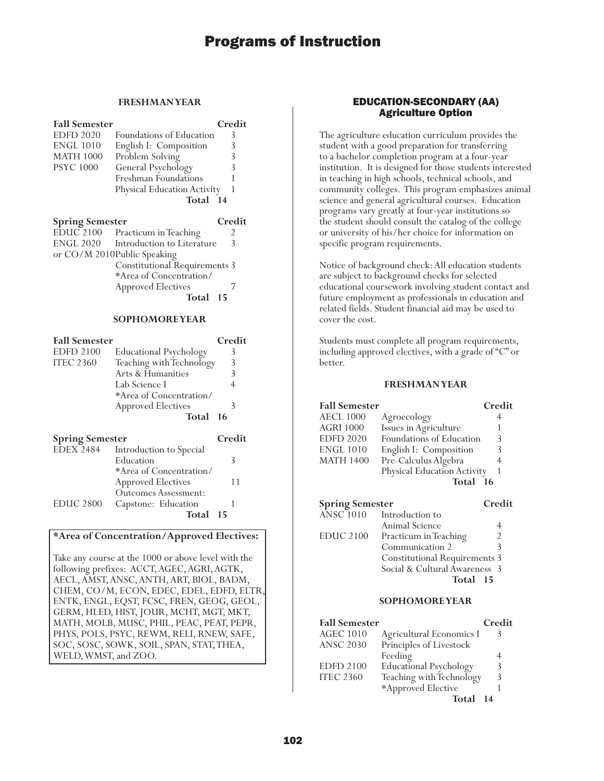## **FRESHMAN YEAR**

| <b>Fall Semester</b>   |                                                                     | Credit                           |
|------------------------|---------------------------------------------------------------------|----------------------------------|
| <b>EDFD 2020</b>       | Foundations of Education                                            | 3                                |
| <b>ENGL 1010</b>       | English I: Composition                                              | 3                                |
| <b>MATH 1000</b>       | Problem Solving                                                     | 3                                |
| <b>PSYC 1000</b>       | General Psychology                                                  | 3                                |
|                        | Freshman Foundations                                                | 1                                |
|                        | Physical Education Activity                                         | 1                                |
|                        | Total 14                                                            |                                  |
|                        |                                                                     | Credit                           |
| <b>Spring Semester</b> |                                                                     | 2                                |
| <b>ENGL 2020</b>       | EDUC 2100 Practicum in Teaching<br>Introduction to Literature       | 3                                |
|                        |                                                                     |                                  |
|                        | or CO/M 2010Public Speaking<br><b>Constitutional Requirements 3</b> |                                  |
|                        | *Area of Concentration/                                             |                                  |
|                        | <b>Approved Electives</b>                                           | 7                                |
|                        | Total                                                               | 15                               |
|                        | <b>SOPHOMORE YEAR</b>                                               |                                  |
|                        |                                                                     |                                  |
| <b>Fall Semester</b>   |                                                                     | Credit                           |
| <b>EDFD 2100</b>       | <b>Educational Psychology</b>                                       | 3                                |
| <b>ITEC 2360</b>       | Teaching with Technology                                            | $\overline{\mathbf{3}}$          |
|                        | Arts & Humanities                                                   | $\overline{3}$<br>$\overline{4}$ |
|                        | Lab Science I                                                       |                                  |
|                        | *Area of Concentration/                                             |                                  |
|                        | <b>Approved Electives</b>                                           | 3                                |
|                        | Total                                                               | 16                               |
| <b>Spring Semester</b> |                                                                     | Credit                           |
| <b>EDEX 2484</b>       |                                                                     |                                  |
|                        | Introduction to Special                                             |                                  |
|                        | Education                                                           | 3                                |
|                        | *Area of Concentration/                                             |                                  |

**Total 15**

EDUC 2800 Capstone: Education 1

## **\*Area of Concentration/Approved Electives:**

Outcomes Assessment:

Take any course at the 1000 or above level with the following prefixes: ACCT, AGEC, AGRI, AGTK, AECL, AMST, ANSC, ANTH, ART, BIOL, BADM, CHEM, CO/M, ECON, EDEC, EDEL, EDFD, ELTR, ENTK, ENGL, EQST, FCSC, FREN, GEOG, GEOL, GERM, HLED, HIST, JOUR, MCHT, MGT, MKT, MATH, MOLB, MUSC, PHIL, PEAC, PEAT, PEPR, PHYS, POLS, PSYC, REWM, RELI, RNEW, SAFE, SOC, SOSC, SOWK, SOIL, SPAN, STAT, THEA, WELD, WMST, and ZOO.

### EDUCATION-SECONDARY (AA) Agriculture Option

The agriculture education curriculum provides the student with a good preparation for transferring to a bachelor completion program at a four-year institution. It is designed for those students interested in teaching in high schools, technical schools, and community colleges. This program emphasizes animal science and general agricultural courses. Education programs vary greatly at four-year institutions so the student should consult the catalog of the college or university of his/her choice for information on specific program requirements.

Notice of background check: All education students are subject to background checks for selected educational coursework involving student contact and future employment as professionals in education and related fields. Student financial aid may be used to cover the cost.

Students must complete all program requirements, including approved electives, with a grade of "C" or better.

#### **FRESHMAN YEAR**

| <b>Fall Semester</b>   |                             | Credit |
|------------------------|-----------------------------|--------|
| <b>AECL 1000</b>       | Agroecology                 | 4      |
| <b>AGRI 1000</b>       | Issues in Agriculture       |        |
| <b>EDFD 2020</b>       | Foundations of Education    | 3      |
| <b>ENGL 1010</b>       | English I: Composition      | 3      |
| <b>MATH 1400</b>       | Pre-Calculus Algebra        | 4      |
|                        | Physical Education Activity |        |
|                        | Total 16                    |        |
| <b>Spring Semester</b> |                             | Credit |

| spring semester<br>стен                 |
|-----------------------------------------|
| $\widehat{ANSC}$ 1010 Introduction to   |
| Animal Science                          |
| $\mathfrak{D}$<br>Practicum in Teaching |
| Communication 2<br>ζ                    |
| <b>Constitutional Requirements 3</b>    |
| Social & Cultural Awareness 3           |
| Total 15                                |
|                                         |

| <b>Fall Semester</b> |                               | Credit |
|----------------------|-------------------------------|--------|
| <b>AGEC 1010</b>     | Agricultural Economics I      |        |
| <b>ANSC 2030</b>     | Principles of Livestock       |        |
|                      | Feeding                       | 4      |
| <b>EDFD 2100</b>     | <b>Educational Psychology</b> | 3      |
| <b>ITEC 2360</b>     | Teaching with Technology      | 3      |
|                      | *Approved Elective            |        |
|                      | <b>Total</b>                  |        |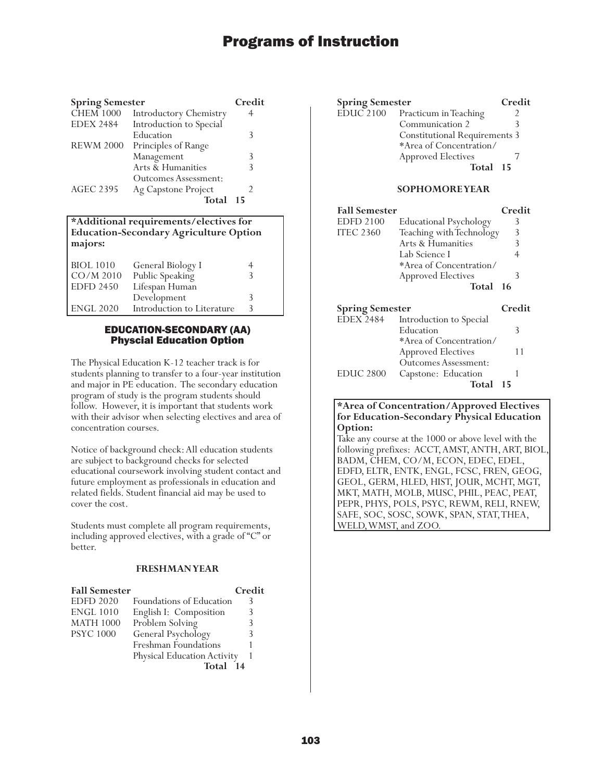| <b>Spring Semester</b> |                               | Credit |
|------------------------|-------------------------------|--------|
| <b>CHEM 1000</b>       | <b>Introductory Chemistry</b> | 4      |
| <b>EDEX 2484</b>       | Introduction to Special       |        |
|                        | Education                     | 3      |
| <b>REWM 2000</b>       | Principles of Range           |        |
|                        | Management                    | 3      |
|                        | Arts & Humanities             | 3      |
|                        | Outcomes Assessment:          |        |
| <b>AGEC 2395</b>       | Ag Capstone Project           |        |
|                        | Total                         | 15     |

### **\*Additional requirements/electives for Education-Secondary Agriculture Option majors:**

| <b>BIOL</b> 1010<br>$CO/M$ 2010 | General Biology I<br>Public Speaking |   |  |
|---------------------------------|--------------------------------------|---|--|
| <b>EDFD 2450</b>                | Lifespan Human                       |   |  |
|                                 | Development                          | 3 |  |
| <b>ENGL 2020</b>                | Introduction to Literature           | ς |  |

## EDUCATION-SECONDARY (AA) Physcial Education Option

The Physical Education K-12 teacher track is for students planning to transfer to a four-year institution and major in PE education. The secondary education program of study is the program students should follow. However, it is important that students work with their advisor when selecting electives and area of concentration courses.

Notice of background check: All education students are subject to background checks for selected educational coursework involving student contact and future employment as professionals in education and related fields. Student financial aid may be used to cover the cost.

Students must complete all program requirements, including approved electives, with a grade of "C" or better.

## **FRESHMAN YEAR**

| <b>Fall Semester</b> |                             | Credit |
|----------------------|-----------------------------|--------|
| <b>EDFD 2020</b>     | Foundations of Education    | 3      |
| <b>ENGL 1010</b>     | English I: Composition      |        |
| <b>MATH 1000</b>     | Problem Solving             |        |
| <b>PSYC 1000</b>     | General Psychology          |        |
|                      | Freshman Foundations        |        |
|                      | Physical Education Activity |        |
|                      | Total                       |        |

| <b>Spring Semester</b> |                                      | Credit |
|------------------------|--------------------------------------|--------|
| EDUC 2100              | Practicum in Teaching                |        |
|                        | Communication 2                      |        |
|                        | <b>Constitutional Requirements 3</b> |        |
|                        | *Area of Concentration/              |        |
|                        | <b>Approved Electives</b>            |        |
|                        | Total 15                             |        |
|                        |                                      |        |

## **SOPHOMORE YEAR**

| <b>Fall Semester</b>   |                               | Credit |
|------------------------|-------------------------------|--------|
| <b>EDFD 2100</b>       | <b>Educational Psychology</b> | 3      |
| <b>ITEC 2360</b>       | Teaching with Technology      | 3      |
|                        | Arts & Humanities             | 3      |
|                        | Lab Science I                 | 4      |
|                        | *Area of Concentration/       |        |
|                        | <b>Approved Electives</b>     | 3      |
|                        | Total                         | -16    |
|                        |                               |        |
|                        |                               |        |
| <b>Spring Semester</b> |                               | Credit |
| EDEX 2484              | Introduction to Special       |        |
|                        | Education                     | 3      |
|                        | *Area of Concentration/       |        |
|                        | <b>Approved Electives</b>     | 11     |
|                        | Outcomes Assessment:          |        |
| <b>EDUC 2800</b>       | Capstone: Education           |        |

## **\*Area of Concentration/Approved Electives for Education-Secondary Physical Education Option:**

Take any course at the 1000 or above level with the following prefixes: ACCT, AMST, ANTH, ART, BIOL, BADM, CHEM, CO/M, ECON, EDEC, EDEL, EDFD, ELTR, ENTK, ENGL, FCSC, FREN, GEOG, GEOL, GERM, HLED, HIST, JOUR, MCHT, MGT, MKT, MATH, MOLB, MUSC, PHIL, PEAC, PEAT, PEPR, PHYS, POLS, PSYC, REWM, RELI, RNEW, SAFE, SOC, SOSC, SOWK, SPAN, STAT, THEA, WELD, WMST, and ZOO.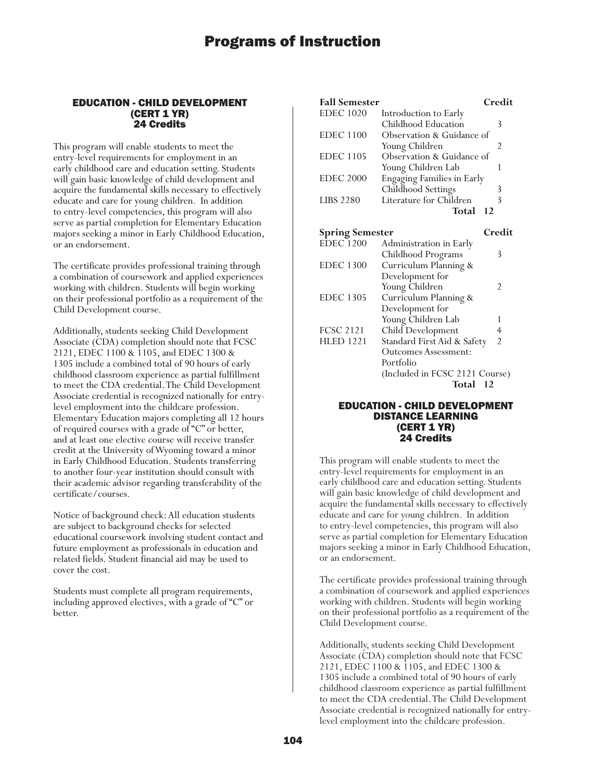### EDUCATION - CHILD DEVELOPMENT (CERT 1 YR) 24 Credits

This program will enable students to meet the entry-level requirements for employment in an early childhood care and education setting. Students will gain basic knowledge of child development and acquire the fundamental skills necessary to effectively educate and care for young children. In addition to entry-level competencies, this program will also serve as partial completion for Elementary Education majors seeking a minor in Early Childhood Education, or an endorsement.

The certificate provides professional training through a combination of coursework and applied experiences working with children. Students will begin working on their professional portfolio as a requirement of the Child Development course.

Additionally, students seeking Child Development Associate (CDA) completion should note that FCSC 2121, EDEC 1100 & 1105, and EDEC 1300 & 1305 include a combined total of 90 hours of early childhood classroom experience as partial fulfillment to meet the CDA credential. The Child Development Associate credential is recognized nationally for entrylevel employment into the childcare profession. Elementary Education majors completing all 12 hours of required courses with a grade of "C" or better, and at least one elective course will receive transfer credit at the University of Wyoming toward a minor in Early Childhood Education. Students transferring to another four-year institution should consult with their academic advisor regarding transferability of the certificate/courses.

Notice of background check: All education students are subject to background checks for selected educational coursework involving student contact and future employment as professionals in education and related fields. Student financial aid may be used to cover the cost.

Students must complete all program requirements, including approved electives, with a grade of "C" or better.

| <b>Fall Semester</b>   |                                   | Credit         |
|------------------------|-----------------------------------|----------------|
| <b>EDEC 1020</b>       | Introduction to Early             |                |
|                        | Childhood Education               | 3              |
| <b>EDEC 1100</b>       | Observation & Guidance of         |                |
|                        | Young Children                    | 2              |
| <b>EDEC</b> 1105       | Observation & Guidance of         |                |
|                        | Young Children Lab                | 1              |
| <b>EDEC 2000</b>       | <b>Engaging Families in Early</b> |                |
|                        | <b>Childhood Settings</b>         | 3              |
| <b>LIBS 2280</b>       | Literature for Children           | 3              |
|                        | Total                             | -12            |
| <b>Spring Semester</b> |                                   | Credit         |
| <b>EDEC 1200</b>       | Administration in Early           |                |
|                        | Childhood Programs                | 3              |
| <b>EDEC 1300</b>       | Curriculum Planning &             |                |
|                        | Development for                   |                |
|                        | Young Children                    | 2              |
| <b>EDEC 1305</b>       | Curriculum Planning &             |                |
|                        | Development for                   |                |
|                        | Young Children Lab                | 1              |
| <b>FCSC 2121</b>       | Child Development                 | $\overline{4}$ |
| <b>HLED 1221</b>       | Standard First Aid & Safety       | $\overline{2}$ |
|                        | <b>Outcomes Assessment:</b>       |                |
|                        | Portfolio                         |                |
|                        | (Included in FCSC 2121 Course)    |                |
|                        | Total 12                          |                |
|                        |                                   |                |

### EDUCATION - CHILD DEVELOPMENT DISTANCE LEARNING (CERT 1 YR) 24 Credits

This program will enable students to meet the entry-level requirements for employment in an early childhood care and education setting. Students will gain basic knowledge of child development and acquire the fundamental skills necessary to effectively educate and care for young children. In addition to entry-level competencies, this program will also serve as partial completion for Elementary Education majors seeking a minor in Early Childhood Education, or an endorsement.

The certificate provides professional training through a combination of coursework and applied experiences working with children. Students will begin working on their professional portfolio as a requirement of the Child Development course.

Additionally, students seeking Child Development Associate (CDA) completion should note that FCSC 2121, EDEC 1100 & 1105, and EDEC 1300 & 1305 include a combined total of 90 hours of early childhood classroom experience as partial fulfillment to meet the CDA credential. The Child Development Associate credential is recognized nationally for entrylevel employment into the childcare profession.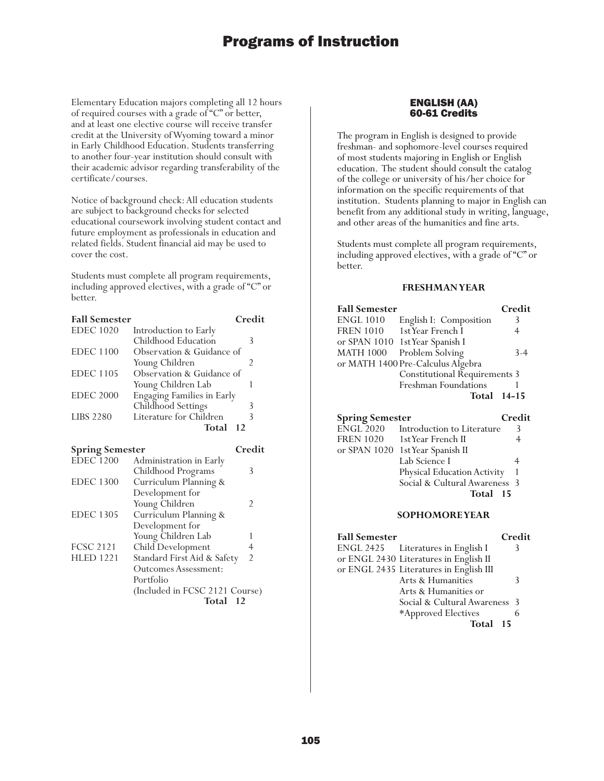Elementary Education majors completing all 12 hours of required courses with a grade of "C" or better, and at least one elective course will receive transfer credit at the University of Wyoming toward a minor in Early Childhood Education. Students transferring to another four-year institution should consult with their academic advisor regarding transferability of the certificate/courses.

Notice of background check: All education students are subject to background checks for selected educational coursework involving student contact and future employment as professionals in education and related fields. Student financial aid may be used to cover the cost.

Students must complete all program requirements, including approved electives, with a grade of "C" or better.

| <b>Fall Semester</b> |                                   | Credit |
|----------------------|-----------------------------------|--------|
| <b>EDEC</b> 1020     | Introduction to Early             |        |
|                      | Childhood Education               | 3      |
| <b>EDEC</b> 1100     | Observation & Guidance of         |        |
|                      | Young Children                    | 2      |
| <b>EDEC</b> 1105     | Observation & Guidance of         |        |
|                      | Young Children Lab                |        |
| <b>EDEC 2000</b>     | <b>Engaging Families in Early</b> |        |
|                      | Childhood Settings                |        |
| <b>LIBS 2280</b>     | Literature for Children           |        |
|                      | Total                             | 12     |

| <b>Spring Semester</b> |                                | Credit         |
|------------------------|--------------------------------|----------------|
| <b>EDEC</b> 1200       | Administration in Early        |                |
|                        | Childhood Programs             | 3              |
| <b>EDEC 1300</b>       | Curriculum Planning &          |                |
|                        | Development for                |                |
|                        | Young Children                 | $\mathcal{P}$  |
| <b>EDEC 1305</b>       | Curriculum Planning &          |                |
|                        | Development for                |                |
|                        | Young Children Lab             |                |
| <b>FCSC 2121</b>       | Child Development              | 4              |
| <b>HLED 1221</b>       | Standard First Aid & Safety    | $\mathfrak{D}$ |
|                        | <b>Outcomes Assessment:</b>    |                |
|                        | Portfolio                      |                |
|                        | (Included in FCSC 2121 Course) |                |
|                        | <b>Total</b>                   | 12             |

## ENGLISH (AA) 60-61 Credits

The program in English is designed to provide freshman- and sophomore-level courses required of most students majoring in English or English education. The student should consult the catalog of the college or university of his/her choice for information on the specific requirements of that institution. Students planning to major in English can benefit from any additional study in writing, language, and other areas of the humanities and fine arts.

Students must complete all program requirements, including approved electives, with a grade of "C" or better.

## **FRESHMAN YEAR**

| <b>Fall Semester</b> |                                      | Credit |
|----------------------|--------------------------------------|--------|
| <b>ENGL 1010</b>     | English I: Composition               | 3      |
| <b>FREN 1010</b>     | 1st Year French I                    |        |
|                      | or SPAN 1010 1st Year Spanish I      |        |
| <b>MATH 1000</b>     | Problem Solving                      | $3-4$  |
|                      | or MATH 1400 Pre-Calculus Algebra    |        |
|                      | <b>Constitutional Requirements 3</b> |        |
|                      | Freshman Foundations                 |        |
|                      | Total 14-15                          |        |

## **Spring Semester Credit**

| - r - - - - - - - |                                  |   |
|-------------------|----------------------------------|---|
| ENGL 2020         | Introduction to Literature       | 3 |
| <b>FREN 1020</b>  | 1st Year French II               |   |
|                   | or SPAN 1020 1st Year Spanish II |   |
|                   | Lab Science I                    |   |
|                   | Physical Education Activity      |   |
|                   | Social & Cultural Awareness 3    |   |
|                   | Total 15                         |   |
|                   |                                  |   |

| <b>Fall Semester</b> |                                         | Credit |
|----------------------|-----------------------------------------|--------|
|                      | ENGL 2425 Literatures in English I      | 3      |
|                      | or ENGL 2430 Literatures in English II  |        |
|                      | or ENGL 2435 Literatures in English III |        |
|                      | Arts & Humanities                       | 3      |
|                      | Arts & Humanities or                    |        |
|                      | Social & Cultural Awareness 3           |        |
|                      | *Approved Electives                     |        |
|                      | Total 15                                |        |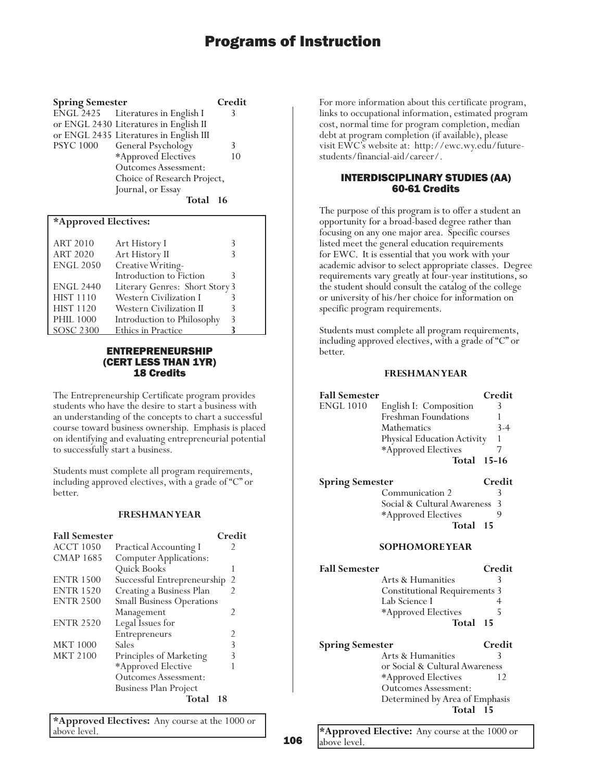| <b>Spring Semester</b>   |                                         | Credit |
|--------------------------|-----------------------------------------|--------|
|                          | ENGL 2425 Literatures in English I      | 3      |
|                          | or ENGL 2430 Literatures in English II  |        |
|                          | or ENGL 2435 Literatures in English III |        |
| <b>PSYC 1000</b>         | General Psychology                      | 3      |
|                          | *Approved Electives                     | 10     |
|                          | Outcomes Assessment:                    |        |
|                          | Choice of Research Project,             |        |
|                          | Journal, or Essay                       |        |
|                          | Total 16                                |        |
| $*$ Annuariad Electivism |                                         |        |

| "Approved Electives: |                                |   |
|----------------------|--------------------------------|---|
| <b>ART 2010</b>      | Art History I                  | 3 |
| <b>ART 2020</b>      | Art History II                 |   |
| <b>ENGL 2050</b>     | Creative Writing-              |   |
|                      | Introduction to Fiction        | 3 |
| <b>ENGL 2440</b>     | Literary Genres: Short Story 3 |   |
| <b>HIST 1110</b>     | Western Civilization I         |   |
| <b>HIST 1120</b>     | Western Civilization II        |   |
| <b>PHIL 1000</b>     | Introduction to Philosophy     | 3 |
| <b>SOSC 2300</b>     | Ethics in Practice             |   |

## ENTREPRENEURSHIP (CERT LESS THAN 1YR) 18 Credits

The Entrepreneurship Certificate program provides students who have the desire to start a business with an understanding of the concepts to chart a successful course toward business ownership. Emphasis is placed on identifying and evaluating entrepreneurial potential to successfully start a business.

Students must complete all program requirements, including approved electives, with a grade of "C" or better.

### **FRESHMAN YEAR**

| <b>Fall Semester</b> |                                  | Credit |
|----------------------|----------------------------------|--------|
| <b>ACCT 1050</b>     | <b>Practical Accounting I</b>    | フ      |
| <b>CMAP 1685</b>     | <b>Computer Applications:</b>    |        |
|                      | Quick Books                      | 1      |
| <b>ENTR 1500</b>     | Successful Entrepreneurship      | 2      |
| <b>ENTR 1520</b>     | Creating a Business Plan         | 2      |
| <b>ENTR 2500</b>     | <b>Small Business Operations</b> |        |
|                      | Management                       | 2      |
| <b>ENTR 2520</b>     | Legal Issues for                 |        |
|                      | Entrepreneurs                    | 2      |
| <b>MKT 1000</b>      | Sales                            | 3      |
| <b>MKT 2100</b>      | Principles of Marketing          | 3      |
|                      | *Approved Elective               |        |
|                      | Outcomes Assessment:             |        |
|                      | <b>Business Plan Project</b>     |        |
|                      | Total                            | 18     |

**\*Approved Electives:** Any course at the 1000 or above level.

For more information about this certificate program, links to occupational information, estimated program cost, normal time for program completion, median debt at program completion (if available), please visit EWC's website at: http://ewc.wy.edu/futurestudents/financial-aid/career/.

## INTERDISCIPLINARY STUDIES (AA) 60-61 Credits

The purpose of this program is to offer a student an opportunity for a broad-based degree rather than focusing on any one major area. Specific courses listed meet the general education requirements for EWC. It is essential that you work with your academic advisor to select appropriate classes. Degree requirements vary greatly at four-year institutions, so the student should consult the catalog of the college or university of his/her choice for information on specific program requirements.

Students must complete all program requirements, including approved electives, with a grade of "C" or better.

### **FRESHMAN YEAR**

| <b>Fall Semester</b>   |                                      | Credit    |
|------------------------|--------------------------------------|-----------|
| <b>ENGL 1010</b>       | English I: Composition               | 3         |
|                        | Freshman Foundations                 | 1         |
|                        | Mathematics                          | $3-4$     |
|                        | Physical Education Activity          | 1         |
|                        | *Approved Electives                  | 7         |
|                        | Total                                | $15 - 16$ |
| <b>Spring Semester</b> |                                      | Credit    |
|                        | Communication 2                      | 3         |
|                        | Social & Cultural Awareness          | 3         |
|                        | *Approved Electives                  | 9         |
|                        | Total                                | 15        |
|                        |                                      |           |
|                        | <b>SOPHOMORE YEAR</b>                |           |
| <b>Fall Semester</b>   |                                      | Credit    |
|                        | Arts & Humanities                    | 3         |
|                        | <b>Constitutional Requirements 3</b> |           |
|                        | Lab Science I                        | 4         |
|                        | *Approved Electives                  | 5         |
|                        | Total                                | 15        |
| <b>Spring Semester</b> |                                      | Credit    |
|                        | Arts & Humanities                    | 3         |
|                        | or Social & Cultural Awareness       |           |
|                        | *Approved Electives                  | 12        |
|                        | <b>Outcomes Assessment:</b>          |           |
|                        | Determined by Area of Emphasis       |           |
|                        | Total                                | -15       |

**\*Approved Elective:** Any course at the 1000 or above level.

106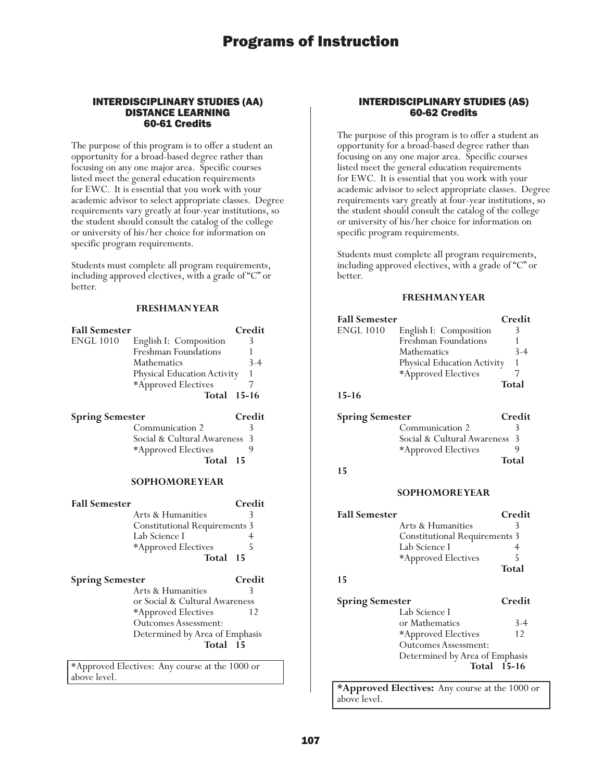### INTERDISCIPLINARY STUDIES (AA) DISTANCE LEARNING 60-61 Credits

The purpose of this program is to offer a student an opportunity for a broad-based degree rather than focusing on any one major area. Specific courses listed meet the general education requirements for EWC. It is essential that you work with your academic advisor to select appropriate classes. Degree requirements vary greatly at four-year institutions, so the student should consult the catalog of the college or university of his/her choice for information on specific program requirements.

Students must complete all program requirements, including approved electives, with a grade of "C" or better.

### **FRESHMAN YEAR**

| <b>Fall Semester</b><br><b>ENGL 1010</b> | English I: Composition<br>Freshman Foundations<br>Mathematics<br>Physical Education Activity<br>*Approved Electives<br>Total                                                        | Credit<br>3<br>1<br>$3-4$<br>1<br>7<br>$15 - 16$ |
|------------------------------------------|-------------------------------------------------------------------------------------------------------------------------------------------------------------------------------------|--------------------------------------------------|
| <b>Spring Semester</b>                   | Communication 2<br>Social & Cultural Awareness<br>*Approved Electives<br>Total                                                                                                      | Credit<br>3<br>3<br>9<br>15                      |
|                                          | <b>SOPHOMOREYEAR</b>                                                                                                                                                                |                                                  |
| <b>Fall Semester</b>                     | Arts & Humanities<br><b>Constitutional Requirements 3</b><br>Lab Science I<br>*Approved Electives<br>Total                                                                          | Credit<br>3<br>4<br>5<br>15                      |
| <b>Spring Semester</b>                   | Arts & Humanities                                                                                                                                                                   | Credit<br>3                                      |
|                                          | or Social & Cultural Awareness<br>*Approved Electives<br><b>Outcomes Assessment:</b><br>Determined by Area of Emphasis<br>Total<br>$*4$ proved Electives. Any course at the 1000 or | 12<br>- 15                                       |

\*Approved Electives: Any course at the 1000 or above level.

### INTERDISCIPLINARY STUDIES (AS) 60-62 Credits

The purpose of this program is to offer a student an opportunity for a broad-based degree rather than focusing on any one major area. Specific courses listed meet the general education requirements for EWC. It is essential that you work with your academic advisor to select appropriate classes. Degree requirements vary greatly at four-year institutions, so the student should consult the catalog of the college or university of his/her choice for information on specific program requirements.

Students must complete all program requirements, including approved electives, with a grade of "C" or better.

#### **FRESHMAN YEAR**

| <b>Fall Semester</b>   |                                      | Credit       |
|------------------------|--------------------------------------|--------------|
| <b>ENGL 1010</b>       | English I: Composition               | 3            |
|                        | Freshman Foundations                 | 1            |
|                        | Mathematics                          | $3 - 4$      |
|                        | Physical Education Activity          | $\mathbf{1}$ |
|                        | *Approved Electives                  | 7            |
|                        |                                      | Total        |
| $15 - 16$              |                                      |              |
| <b>Spring Semester</b> |                                      | Credit       |
|                        | Communication 2                      | 3            |
|                        | Social & Cultural Awareness          | 3            |
|                        | *Approved Electives                  | 9            |
|                        |                                      | Total        |
| 15                     |                                      |              |
|                        |                                      |              |
|                        | <b>SOPHOMOREYEAR</b>                 |              |
| <b>Fall Semester</b>   |                                      | Credit       |
|                        | Arts & Humanities                    | 3            |
|                        | <b>Constitutional Requirements 3</b> |              |
|                        | Lab Science I                        | 4            |
|                        | *Approved Electives                  | 5            |
|                        |                                      | Total        |
| 15                     |                                      |              |
| <b>Spring Semester</b> |                                      | Credit       |
|                        | Lab Science I                        |              |
|                        | or Mathematics                       | 3-4          |
|                        | *Approved Electives                  | 12           |
|                        | <b>Outcomes Assessment:</b>          |              |
|                        | Determined by Area of Emphasis       |              |
|                        | Total 15-16                          |              |
|                        |                                      |              |

**\*Approved Electives:** Any course at the 1000 or above level.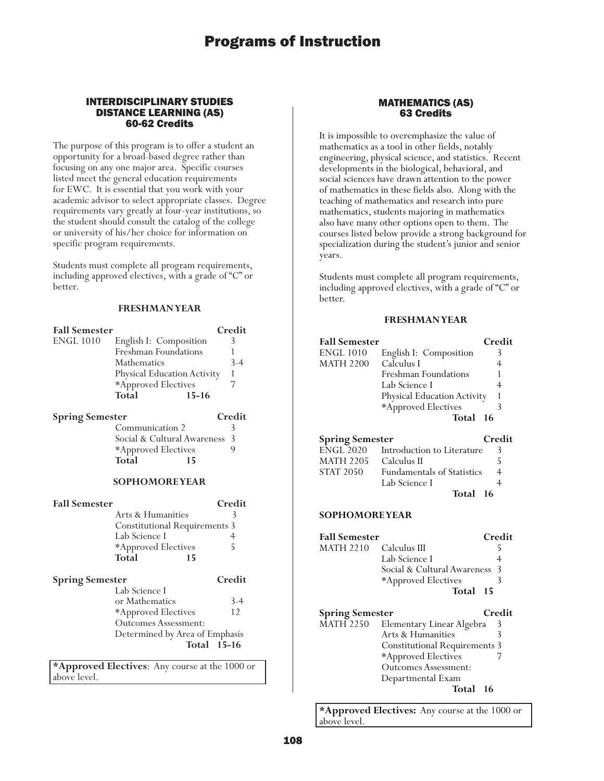## INTERDISCIPLINARY STUDIES DISTANCE LEARNING (AS) 60-62 Credits

The purpose of this program is to offer a student an opportunity for a broad-based degree rather than focusing on any one major area. Specific courses listed meet the general education requirements for EWC. It is essential that you work with your academic advisor to select appropriate classes. Degree requirements vary greatly at four-year institutions, so the student should consult the catalog of the college or university of his/her choice for information on specific program requirements.

Students must complete all program requirements, including approved electives, with a grade of "C" or better.

## **FRESHMAN YEAR**

| <b>Fall Semester</b>   |                                                       | Credit  |
|------------------------|-------------------------------------------------------|---------|
| <b>ENGL 1010</b>       | English I: Composition                                | 3       |
|                        | Freshman Foundations                                  | 1       |
|                        | Mathematics                                           | $3 - 4$ |
|                        | Physical Education Activity                           | 1       |
|                        | *Approved Electives                                   | 7       |
|                        | <b>Total</b><br>$15 - 16$                             |         |
| <b>Spring Semester</b> |                                                       | Credit  |
|                        | Communication 2                                       | 3       |
|                        | Social & Cultural Awareness                           | 3       |
|                        | *Approved Electives                                   | 9       |
|                        | Total<br>15                                           |         |
|                        |                                                       |         |
|                        | <b>SOPHOMOREYEAR</b>                                  |         |
|                        |                                                       |         |
| <b>Fall Semester</b>   |                                                       | Credit  |
|                        | Arts & Humanities                                     | 3       |
|                        |                                                       |         |
|                        | <b>Constitutional Requirements 3</b><br>Lab Science I | 4       |
|                        |                                                       | 5       |
|                        | *Approved Electives<br>Total<br>15                    |         |
|                        |                                                       |         |
| <b>Spring Semester</b> |                                                       | Credit  |
|                        | Lab Science I                                         |         |
|                        | or Mathematics                                        | $3-4$   |
|                        | *Approved Electives                                   | 12      |
|                        | <b>Outcomes Assessment:</b>                           |         |
|                        | Determined by Area of Emphasis                        |         |
|                        | Total 15-16                                           |         |

 ${\Large \bf Appendix}$ above level.

## MATHEMATICS (AS) 63 Credits

It is impossible to overemphasize the value of mathematics as a tool in other fields, notably engineering, physical science, and statistics. Recent developments in the biological, behavioral, and social sciences have drawn attention to the power of mathematics in these fields also. Along with the teaching of mathematics and research into pure mathematics, students majoring in mathematics also have many other options open to them. The courses listed below provide a strong background for specialization during the student's junior and senior years.

Students must complete all program requirements, including approved electives, with a grade of "C" or better.

### **FRESHMAN YEAR**

|                                       | <b>Fall Semester</b>                               | Credit         |
|---------------------------------------|----------------------------------------------------|----------------|
| <b>ENGL 1010</b>                      | English I: Composition                             | 3              |
| <b>MATH 2200</b>                      | Calculus I                                         | $\overline{4}$ |
|                                       | Freshman Foundations                               | 1              |
|                                       | Lab Science I                                      | $\overline{4}$ |
|                                       | Physical Education Activity                        | $\mathbf{1}$   |
|                                       | *Approved Electives                                | 3              |
|                                       | Total                                              | 16             |
|                                       |                                                    |                |
| <b>Spring Semester</b><br>$ENGL$ 2020 |                                                    | Credit         |
| <b>MATH 2205</b>                      | Introduction to Literature<br>Calculus II          | 3<br>5         |
| STAT 2050                             | <b>Fundamentals of Statistics</b>                  | $\overline{4}$ |
|                                       | Lab Science I                                      | $\overline{4}$ |
|                                       | Total                                              | 16             |
|                                       |                                                    |                |
| <b>SOPHOMORE YEAR</b>                 |                                                    |                |
| <b>Fall Semester</b>                  |                                                    | Credit         |
| <b>MATH 2210</b>                      | Calculus III                                       | 5              |
|                                       |                                                    |                |
|                                       | Lab Science I                                      | 4              |
|                                       | Social & Cultural Awareness                        | 3              |
|                                       |                                                    | 3              |
|                                       | *Approved Electives<br>Total                       | 15             |
|                                       |                                                    |                |
| <b>Spring Semester</b>                |                                                    | Credit         |
| <b>MATH 2250</b>                      | Elementary Linear Algebra                          | 3              |
|                                       | Arts & Humanities                                  | 3              |
|                                       | <b>Constitutional Requirements 3</b>               | 7              |
|                                       | *Approved Electives<br><b>Outcomes Assessment:</b> |                |
|                                       | Departmental Exam                                  |                |
|                                       | Total                                              | 16             |

**\*Approved Electives:** Any course at the 1000 or above level.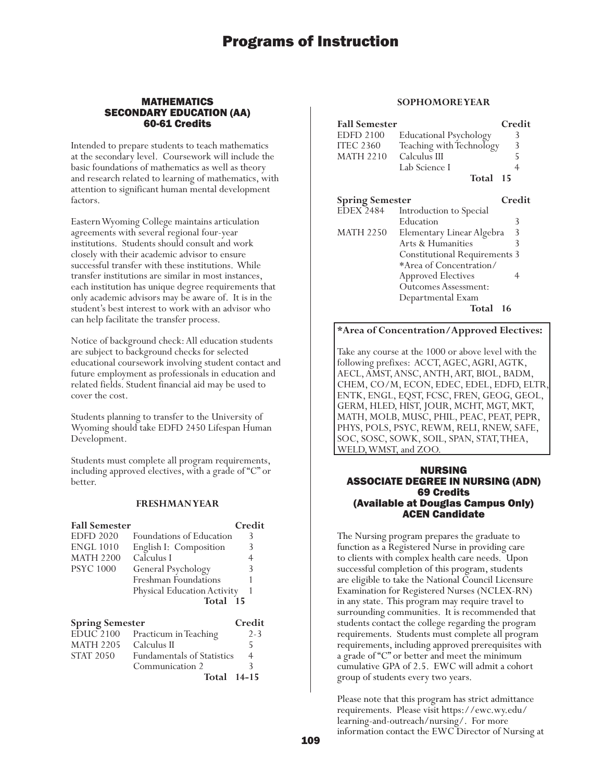### MATHEMATICS SECONDARY EDUCATION (AA) 60-61 Credits

Intended to prepare students to teach mathematics at the secondary level. Coursework will include the basic foundations of mathematics as well as theory and research related to learning of mathematics, with attention to significant human mental development factors.

Eastern Wyoming College maintains articulation agreements with several regional four-year institutions. Students should consult and work closely with their academic advisor to ensure successful transfer with these institutions. While transfer institutions are similar in most instances, each institution has unique degree requirements that only academic advisors may be aware of. It is in the student's best interest to work with an advisor who can help facilitate the transfer process.

Notice of background check: All education students are subject to background checks for selected educational coursework involving student contact and future employment as professionals in education and related fields. Student financial aid may be used to cover the cost.

Students planning to transfer to the University of Wyoming should take EDFD 2450 Lifespan Human Development.

Students must complete all program requirements, including approved electives, with a grade of "C" or better.

## **FRESHMAN YEAR**

| <b>Fall Semester</b>             |                                   | Credit  |
|----------------------------------|-----------------------------------|---------|
| <b>EDFD 2020</b>                 | Foundations of Education          | 3       |
| <b>ENGL 1010</b>                 | English I: Composition            | 3       |
| <b>MATH 2200</b>                 | Calculus I                        | 4       |
| <b>PSYC</b> 1000                 | General Psychology                | 3       |
|                                  | Freshman Foundations              |         |
|                                  | Physical Education Activity       |         |
|                                  | <b>Total</b>                      | - 15    |
| Credit<br><b>Spring Semester</b> |                                   |         |
| <b>EDUC 2100</b>                 | Practicum in Teaching             | $2 - 3$ |
| <b>MATH 2205</b>                 | Calculus II                       | 5       |
| STAT 2050                        | <b>Fundamentals of Statistics</b> | 4       |

## STAT 2050 Fundamentals of Statistics 4<br>Communication 2 3 Communication 2 3 **Total 14-15**

### **SOPHOMORE YEAR**

| <b>Fall Semester</b> |                               | Credit |
|----------------------|-------------------------------|--------|
| EDFD 2100            | <b>Educational Psychology</b> | Κ      |
| ITEC 2360            | Teaching with Technology      | 3      |
| <b>MATH 2210</b>     | Calculus III                  | 5      |
|                      | Lab Science I                 |        |
|                      | <b>Total</b>                  | 15     |

| <b>Spring Semester</b> |                                      | Credit |
|------------------------|--------------------------------------|--------|
| <b>EDEX 2484</b>       | Introduction to Special              |        |
|                        | Education                            | 3      |
| <b>MATH 2250</b>       | Elementary Linear Algebra            | 3      |
|                        | Arts & Humanities                    | 3      |
|                        | <b>Constitutional Requirements 3</b> |        |
|                        | *Area of Concentration/              |        |
|                        | <b>Approved Electives</b>            |        |
|                        | <b>Outcomes Assessment:</b>          |        |
|                        | Departmental Exam                    |        |
|                        | Total                                |        |

### **\*Area of Concentration/Approved Electives:**

Take any course at the 1000 or above level with the following prefixes: ACCT, AGEC, AGRI, AGTK, AECL, AMST, ANSC, ANTH, ART, BIOL, BADM, CHEM, CO/M, ECON, EDEC, EDEL, EDFD, ELTR, ENTK, ENGL, EQST, FCSC, FREN, GEOG, GEOL, GERM, HLED, HIST, JOUR, MCHT, MGT, MKT, MATH, MOLB, MUSC, PHIL, PEAC, PEAT, PEPR, PHYS, POLS, PSYC, REWM, RELI, RNEW, SAFE, SOC, SOSC, SOWK, SOIL, SPAN, STAT, THEA, WELD, WMST, and ZOO.

## NURSING ASSOCIATE DEGREE IN NURSING (ADN) 69 Credits (Available at Douglas Campus Only) ACEN Candidate

The Nursing program prepares the graduate to function as a Registered Nurse in providing care to clients with complex health care needs. Upon successful completion of this program, students are eligible to take the National Council Licensure Examination for Registered Nurses (NCLEX-RN) in any state. This program may require travel to surrounding communities. It is recommended that students contact the college regarding the program requirements. Students must complete all program requirements, including approved prerequisites with a grade of "C" or better and meet the minimum cumulative GPA of 2.5. EWC will admit a cohort group of students every two years.

Please note that this program has strict admittance requirements. Please visit https://ewc.wy.edu/ learning-and-outreach/nursing/. For more information contact the EWC Director of Nursing at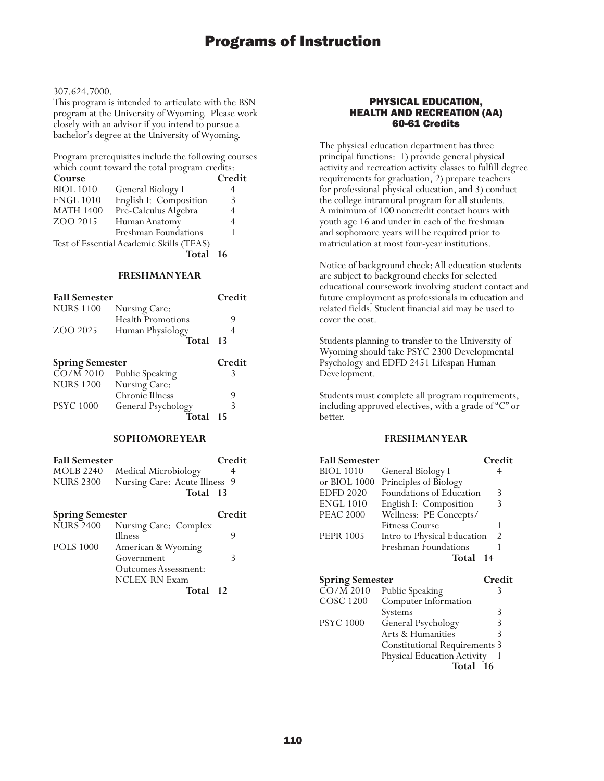### 307.624.7000.

This program is intended to articulate with the BSN program at the University of Wyoming. Please work closely with an advisor if you intend to pursue a bachelor's degree at the University of Wyoming.

Program prerequisites include the following courses which count toward the total program credits:

| Course           |                                          | Credit |
|------------------|------------------------------------------|--------|
| <b>BIOL 1010</b> | General Biology I                        | 4      |
| <b>ENGL 1010</b> | English I: Composition                   | 3      |
| <b>MATH 1400</b> | Pre-Calculus Algebra                     | 4      |
| ZOO 2015         | Human Anatomy                            | 4      |
|                  | Freshman Foundations                     |        |
|                  | Test of Essential Academic Skills (TEAS) |        |
|                  |                                          |        |

**Total 16**

## **FRESHMAN YEAR**

| <b>Fall Semester</b>   |                                  | Credit |
|------------------------|----------------------------------|--------|
| <b>NURS 1100</b>       | Nursing Care:                    |        |
|                        | Health Promotions                |        |
| ZOO 2025               | Human Physiology                 | 4      |
|                        | Total                            | 13     |
|                        |                                  |        |
| <b>Spring Semester</b> |                                  | Credit |
| $CO/M$ 2010            | <b>Public Speaking</b>           | 3      |
| <b>NURS 1200</b>       |                                  |        |
|                        | Nursing Care:<br>Chronic Illness | 9      |
| <b>PSYC 1000</b>       | General Psychology               | 3      |

#### **SOPHOMORE YEAR**

| <b>Fall Semester</b> |                               | Credit |
|----------------------|-------------------------------|--------|
| MOLB 2240            | Medical Microbiology          |        |
| <b>NURS 2300</b>     | Nursing Care: Acute Illness 9 |        |
|                      | Total 13                      |        |

## **Spring Semester Credit** NURS 2400 Nursing Care: Complex Illness 9 POLS 1000 American & Wyoming Government 3 Outcomes Assessment: NCLEX-RN Exam

## **Total 12**

### PHYSICAL EDUCATION, HEALTH AND RECREATION (AA) 60-61 Credits

The physical education department has three principal functions: 1) provide general physical activity and recreation activity classes to fulfill degree requirements for graduation, 2) prepare teachers for professional physical education, and 3) conduct the college intramural program for all students. A minimum of 100 noncredit contact hours with youth age 16 and under in each of the freshman and sophomore years will be required prior to matriculation at most four-year institutions.

Notice of background check: All education students are subject to background checks for selected educational coursework involving student contact and future employment as professionals in education and related fields. Student financial aid may be used to cover the cost.

Students planning to transfer to the University of Wyoming should take PSYC 2300 Developmental Psychology and EDFD 2451 Lifespan Human Development.

Students must complete all program requirements, including approved electives, with a grade of "C" or better.

## **FRESHMAN YEAR**

| <b>Fall Semester</b>   |                                      | Credit |
|------------------------|--------------------------------------|--------|
| BIOL 1010              | General Biology I                    | 4      |
| or BIOL 1000           | Principles of Biology                |        |
| <b>EDFD 2020</b>       | Foundations of Education             | 3      |
| <b>ENGL 1010</b>       | English I: Composition               | 3      |
| <b>PEAC 2000</b>       | Wellness: PE Concepts/               |        |
|                        | Fitness Course                       | 1      |
| <b>PEPR 1005</b>       | Intro to Physical Education          | 2      |
|                        | <b>Freshman Foundations</b>          | 1      |
|                        | Total                                | 14     |
|                        |                                      |        |
|                        |                                      |        |
| <b>Spring Semester</b> |                                      | Credit |
| CO/M 2010              | Public Speaking                      | 3      |
| COSC 1200              | Computer Information                 |        |
|                        | Systems                              | 3      |
| <b>PSYC 1000</b>       | General Psychology                   | 3      |
|                        | Arts & Humanities                    | 3      |
|                        | <b>Constitutional Requirements 3</b> |        |
|                        | Physical Education Activity          |        |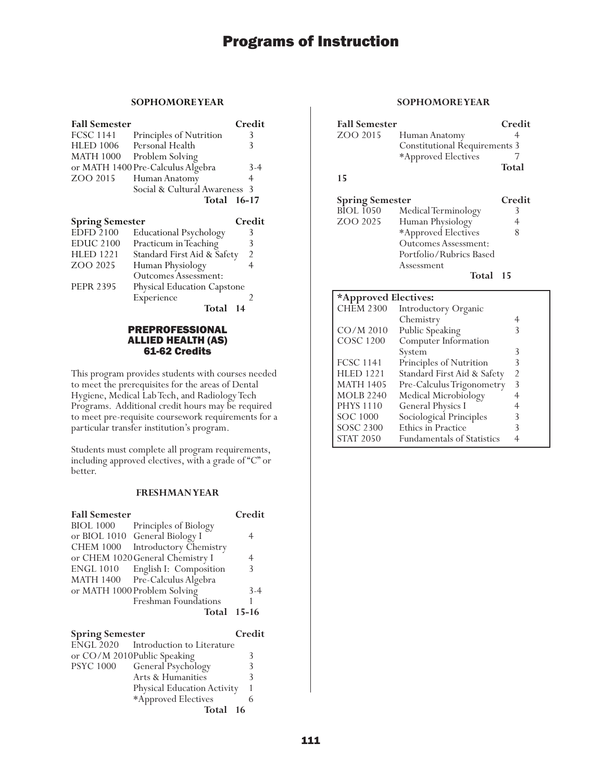## **SOPHOMORE YEAR**

| <b>Fall Semester</b>   |                                   | Credit |
|------------------------|-----------------------------------|--------|
| <b>FCSC 1141</b>       | Principles of Nutrition           | 3      |
| <b>HLED 1006</b>       | Personal Health                   | 3      |
| <b>MATH 1000</b>       | Problem Solving                   |        |
|                        | or MATH 1400 Pre-Calculus Algebra | 3-4    |
| ZOO 2015               | Human Anatomy                     | 4      |
|                        | Social & Cultural Awareness       | 3      |
|                        | Total 16-17                       |        |
|                        |                                   |        |
|                        |                                   |        |
| <b>Spring Semester</b> |                                   | Credit |
| <b>EDFD 2100</b>       | <b>Educational Psychology</b>     | 3      |
| EDUC 2100              | Practicum in Teaching             | 3      |
| HLED 1221              | Standard First Aid & Safety       | 2      |
| ZOO 2025               | Human Physiology                  | 4      |
|                        | <b>Outcomes Assessment:</b>       |        |
| <b>PEPR 2395</b>       | Physical Education Capstone       |        |
|                        | Experience                        | 2      |

## PREPROFESSIONAL ALLIED HEALTH (AS) 61-62 Credits

This program provides students with courses needed to meet the prerequisites for the areas of Dental Hygiene, Medical Lab Tech, and Radiology Tech Programs. Additional credit hours may be required to meet pre-requisite coursework requirements for a particular transfer institution's program.

Students must complete all program requirements, including approved electives, with a grade of "C" or better.

## **FRESHMAN YEAR**

| <b>Fall Semester</b>   |                                      | Credit |
|------------------------|--------------------------------------|--------|
| <b>BIOL 1000</b>       | Principles of Biology                |        |
| or BIOL 1010           | General Biology I                    | 4      |
| <b>CHEM 1000</b>       | Introductory Chemistry               |        |
|                        | or CHEM 1020 General Chemistry I     | 4      |
| <b>ENGL 1010</b>       | English I: Composition               | 3      |
| <b>MATH 1400</b>       | Pre-Calculus Algebra                 |        |
|                        | or MATH 1000 Problem Solving         | 3-4    |
|                        | Freshman Foundations                 |        |
|                        | <b>Total 15-16</b>                   |        |
| <b>Spring Semester</b> |                                      | Credit |
|                        | ENGL 2020 Introduction to Literature |        |
|                        | or $CO/M$ 2010 Public Speaking       |        |

|                  | or CO/M 2010Public Speaking |  |
|------------------|-----------------------------|--|
| <b>PSYC 1000</b> | General Psychology          |  |
|                  | Arts & Humanities           |  |
|                  | Physical Education Activity |  |
|                  | *Approved Electives         |  |
|                  | Total 16                    |  |

| <b>Fall Semester</b>   |                                      | Credit |
|------------------------|--------------------------------------|--------|
| ZOO 2015               | Human Anatomy                        | 4      |
|                        | <b>Constitutional Requirements 3</b> |        |
|                        | *Approved Electives                  |        |
|                        |                                      | Total  |
| 15                     |                                      |        |
| <b>Spring Semester</b> |                                      | Credit |
| <b>BIOL 1050</b>       | Medical Terminology                  | 3      |
| ZOO 2025               | Human Physiology                     | 4      |
|                        | *Approved Electives                  | 8      |
|                        | Outcomes Assessment:                 |        |
|                        | Portfolio/Rubrics Based              |        |
|                        | Assessment                           |        |
|                        | Total                                | 15     |

| *Approved Electives: |                                   |   |
|----------------------|-----------------------------------|---|
| <b>CHEM 2300</b>     | Introductory Organic              |   |
|                      | Chemistry                         |   |
| CO/M 2010            | Public Speaking                   | 3 |
| <b>COSC 1200</b>     | Computer Information              |   |
|                      | System                            | 3 |
| <b>FCSC 1141</b>     | Principles of Nutrition           | 3 |
| <b>HLED 1221</b>     | Standard First Aid & Safety       | 2 |
| <b>MATH 1405</b>     | Pre-Calculus Trigonometry         | 3 |
| <b>MOLB 2240</b>     | Medical Microbiology              |   |
| <b>PHYS 1110</b>     | <b>General Physics I</b>          |   |
| <b>SOC 1000</b>      | Sociological Principles           | 3 |
| <b>SOSC 2300</b>     | Ethics in Practice                |   |
| <b>STAT 2050</b>     | <b>Fundamentals of Statistics</b> |   |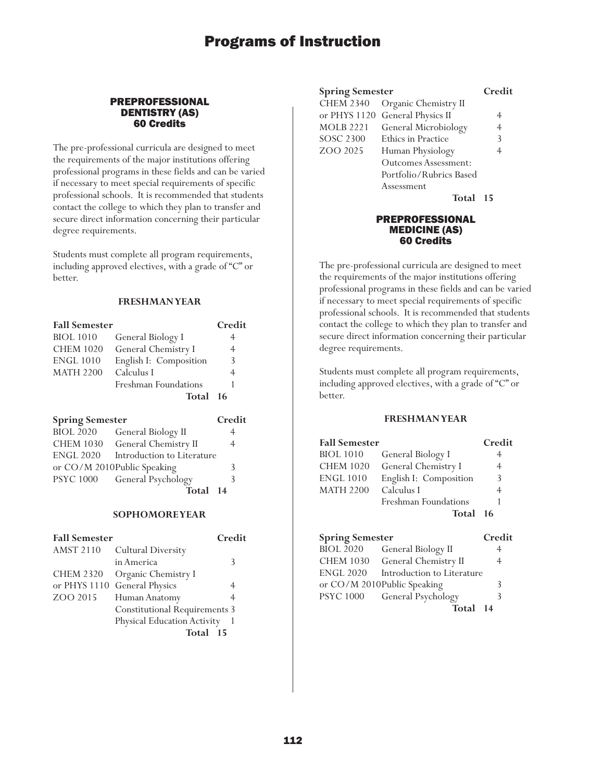## PREPROFESSIONAL DENTISTRY (AS) 60 Credits

The pre-professional curricula are designed to meet the requirements of the major institutions offering professional programs in these fields and can be varied if necessary to meet special requirements of specific professional schools. It is recommended that students contact the college to which they plan to transfer and secure direct information concerning their particular degree requirements.

Students must complete all program requirements, including approved electives, with a grade of "C" or better.

## **FRESHMAN YEAR**

| <b>Fall Semester</b>   |                            | Credit |
|------------------------|----------------------------|--------|
| <b>BIOL</b> 1010       | General Biology I          | 4      |
| <b>CHEM 1020</b>       | General Chemistry I        | 4      |
| <b>ENGL 1010</b>       | English I: Composition     | 3      |
| <b>MATH 2200</b>       | Calculus I                 | 4      |
|                        | Freshman Foundations       |        |
|                        | Total 16                   |        |
| <b>Spring Semester</b> |                            | Credit |
| <b>BIOL 2020</b>       | General Biology II         |        |
| <b>CHEM 1030</b>       | General Chemistry II       | 4      |
| <b>ENGL 2020</b>       | Introduction to Literature |        |
|                        |                            |        |

|                  | or CO/M 2010Public Speaking |                |
|------------------|-----------------------------|----------------|
| <b>PSYC 1000</b> | General Psychology          |                |
|                  | Total                       | $\blacksquare$ |

**Total 14**

## **SOPHOMORE YEAR**

| <b>Fall Semester</b> |                                      | Credit |
|----------------------|--------------------------------------|--------|
| <b>AMST 2110</b>     | <b>Cultural Diversity</b>            |        |
|                      | in America                           | 3      |
| <b>CHEM 2320</b>     | Organic Chemistry I                  |        |
| or PHYS 1110         | <b>General Physics</b>               |        |
| ZOO 2015             | Human Anatomy                        |        |
|                      | <b>Constitutional Requirements 3</b> |        |
|                      | Physical Education Activity          |        |
|                      | Total<br>- 15                        |        |

| <b>Spring Semester</b> |                                 | Credit         |
|------------------------|---------------------------------|----------------|
| <b>CHEM 2340</b>       | Organic Chemistry II            |                |
|                        | or PHYS 1120 General Physics II | 4              |
| <b>MOLB 2221</b>       | General Microbiology            | $\overline{4}$ |
| <b>SOSC 2300</b>       | <b>Ethics in Practice</b>       | 3              |
| ZOO 2025               | Human Physiology                | 4              |
|                        | <b>Outcomes Assessment:</b>     |                |
|                        | Portfolio/Rubrics Based         |                |
|                        | Assessment                      |                |
|                        |                                 |                |

**Total 15**

## PREPROFESSIONAL MEDICINE (AS) 60 Credits

The pre-professional curricula are designed to meet the requirements of the major institutions offering professional programs in these fields and can be varied if necessary to meet special requirements of specific professional schools. It is recommended that students contact the college to which they plan to transfer and secure direct information concerning their particular degree requirements.

Students must complete all program requirements, including approved electives, with a grade of "C" or better.

## **FRESHMAN YEAR**

| <b>Fall Semester</b>   |                        | Credit |
|------------------------|------------------------|--------|
| <b>BIOL 1010</b>       | General Biology I      | 4      |
| <b>CHEM 1020</b>       | General Chemistry I    | 4      |
| ENGL 1010              | English I: Composition | 3      |
| MATH 2200              | Calculus I             | 4      |
|                        | Freshman Foundations   |        |
|                        | Total 16               |        |
| <b>Spring Semester</b> |                        | Credit |

| <b>BIOL 2020</b> | General Biology II           |   |
|------------------|------------------------------|---|
| <b>CHEM 1030</b> | General Chemistry II         | 4 |
| <b>ENGL 2020</b> | Introduction to Literature   |   |
|                  | or CO/M 2010Public Speaking  | 3 |
|                  | PSYC 1000 General Psychology | 3 |
|                  | Total 14                     |   |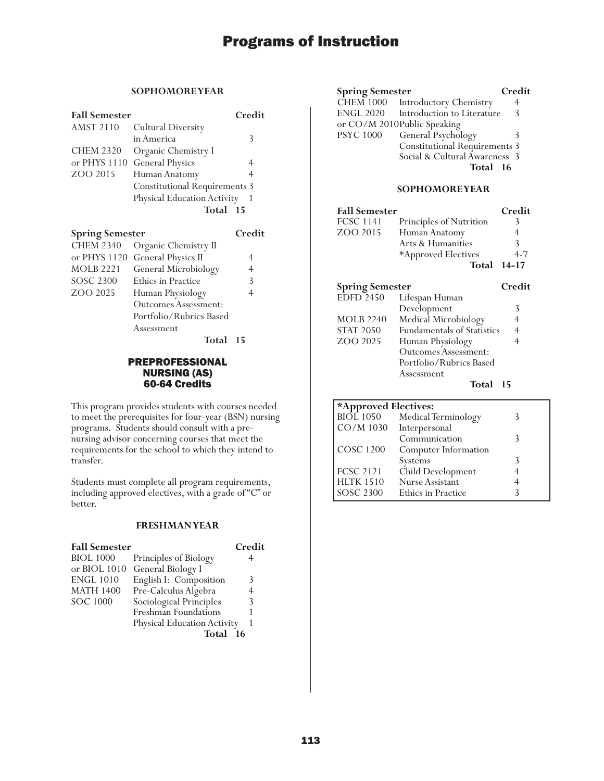## **SOPHOMORE YEAR**

| <b>Fall Semester</b> |                                      | Credit |
|----------------------|--------------------------------------|--------|
| <b>AMST 2110</b>     | <b>Cultural Diversity</b>            |        |
|                      | in America                           | 3      |
| <b>CHEM 2320</b>     | Organic Chemistry I                  |        |
| or PHYS 1110         | <b>General Physics</b>               |        |
| ZOO 2015             | Human Anatomy                        | 4      |
|                      | <b>Constitutional Requirements 3</b> |        |
|                      | Physical Education Activity          |        |
|                      | Total 15                             |        |
|                      |                                      |        |

| <b>Spring Semester</b> |                                 | Credit |
|------------------------|---------------------------------|--------|
| <b>CHEM 2340</b>       | Organic Chemistry II            |        |
|                        | or PHYS 1120 General Physics II |        |
| <b>MOLB 2221</b>       | General Microbiology            | 4      |
| <b>SOSC 2300</b>       | <b>Ethics in Practice</b>       | 3      |
| ZOO 2025               | Human Physiology                | 4      |
|                        | Outcomes Assessment:            |        |
|                        | Portfolio/Rubrics Based         |        |
|                        | Assessment                      |        |
|                        | <b>Total</b>                    | 15     |

## PREPROFESSIONAL NURSING (AS) 60-64 Credits

This program provides students with courses needed to meet the prerequisites for four-year (BSN) nursing programs. Students should consult with a prenursing advisor concerning courses that meet the requirements for the school to which they intend to transfer.

Students must complete all program requirements, including approved electives, with a grade of "C" or better.

## **FRESHMAN YEAR**

| <b>Fall Semester</b> |                             | Credit |
|----------------------|-----------------------------|--------|
| <b>BIOL 1000</b>     | Principles of Biology       |        |
| or BIOL 1010         | General Biology I           |        |
| <b>ENGL 1010</b>     | English I: Composition      | 3      |
| <b>MATH 1400</b>     | Pre-Calculus Algebra        | 4      |
| <b>SOC 1000</b>      | Sociological Principles     | 3      |
|                      | Freshman Foundations        |        |
|                      | Physical Education Activity |        |
|                      | Total                       | 16     |

| <b>Spring Semester</b> |                                      | Credit |
|------------------------|--------------------------------------|--------|
|                        | CHEM 1000 Introductory Chemistry     |        |
|                        | ENGL 2020 Introduction to Literature | -3     |
|                        | or CO/M 2010Public Speaking          |        |
| <b>PSYC 1000</b>       | General Psychology                   |        |
|                        | <b>Constitutional Requirements 3</b> |        |
|                        | Social & Cultural Awareness 3        |        |
|                        | Total 16                             |        |

## **SOPHOMORE YEAR**

| <b>Fall Semester</b> |                         | Credit             |
|----------------------|-------------------------|--------------------|
| <b>FCSC 1141</b>     | Principles of Nutrition |                    |
| ZOO 2015             | Human Anatomy           |                    |
|                      | Arts & Humanities       | 3                  |
|                      | *Approved Electives     | 4.7                |
|                      |                         | <b>Total 14-17</b> |
|                      |                         |                    |

| <b>Spring Semester</b> |                                   | Credit         |
|------------------------|-----------------------------------|----------------|
| $E\bar{D}FD$ 2450      | Lifespan Human                    |                |
|                        | Development                       | 3              |
| <b>MOLB 2240</b>       | Medical Microbiology              | 4              |
| <b>STAT 2050</b>       | <b>Fundamentals of Statistics</b> | $\overline{4}$ |
| ZOO 2025               | Human Physiology                  |                |
|                        | Outcomes Assessment:              |                |
|                        | Portfolio/Rubrics Based           |                |
|                        | Assessment                        |                |
|                        |                                   |                |

**Total 15**

| *Approved Electives: |                        |  |
|----------------------|------------------------|--|
| <b>BIOL</b> 1050     | Medical Terminology    |  |
| CO/M 1030            | Interpersonal          |  |
|                      | Communication          |  |
| <b>COSC 1200</b>     | Computer Information   |  |
|                      | Systems                |  |
| <b>FCSC 2121</b>     | Child Development      |  |
| <b>HLTK 1510</b>     | <b>Nurse Assistant</b> |  |
| <b>SOSC 2300</b>     | Ethics in Practice     |  |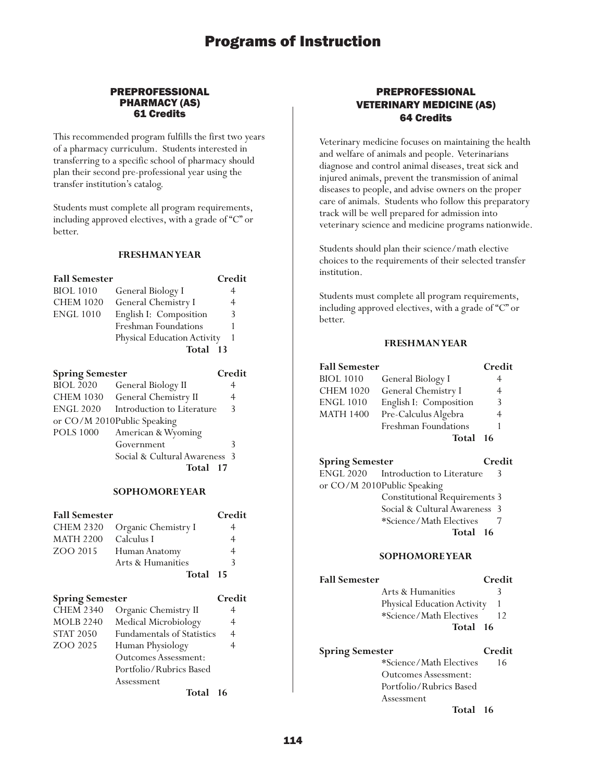## PREPROFESSIONAL PHARMACY (AS) 61 Credits

This recommended program fulfills the first two years of a pharmacy curriculum. Students interested in transferring to a specific school of pharmacy should plan their second pre-professional year using the transfer institution's catalog.

Students must complete all program requirements, including approved electives, with a grade of "C" or better.

#### **FRESHMAN YEAR**

| <b>Fall Semester</b> |                             | Credit |
|----------------------|-----------------------------|--------|
| <b>BIOL</b> 1010     | General Biology I           |        |
| <b>CHEM 1020</b>     | General Chemistry I         | 4      |
| <b>ENGL 1010</b>     | English I: Composition      | 3      |
|                      | Freshman Foundations        |        |
|                      | Physical Education Activity |        |
|                      | Total                       | $-13$  |

| <b>Spring Semester</b>         | Credit                                |
|--------------------------------|---------------------------------------|
| General Biology II             | 4                                     |
| CHEM 1030 General Chemistry II | 4                                     |
| Introduction to Literature     | $\mathcal{E}$                         |
| or CO/M 2010Public Speaking    |                                       |
| American & Wyoming             |                                       |
| Government                     | 3                                     |
|                                |                                       |
| Total                          |                                       |
|                                | Social & Cultural Awareness 3<br>- 17 |

#### **SOPHOMORE YEAR**

| <b>Fall Semester</b> |                     | Credit |
|----------------------|---------------------|--------|
| <b>CHEM 2320</b>     | Organic Chemistry I | 4      |
| <b>MATH 2200</b>     | Calculus I          | 4      |
| ZOO 2015             | Human Anatomy       | 4      |
|                      | Arts & Humanities   | 3      |
|                      | Total 15            |        |
|                      |                     |        |

| <b>Spring Semester</b>            | Credit         |
|-----------------------------------|----------------|
| Organic Chemistry II              | 4              |
| Medical Microbiology              | 4              |
| <b>Fundamentals of Statistics</b> | $\overline{4}$ |
| Human Physiology                  | 4              |
| <b>Outcomes Assessment:</b>       |                |
| Portfolio/Rubrics Based           |                |
| Assessment                        |                |
| Total                             | 16             |
|                                   |                |

## PREPROFESSIONAL VETERINARY MEDICINE (AS) 64 Credits

Veterinary medicine focuses on maintaining the health and welfare of animals and people. Veterinarians diagnose and control animal diseases, treat sick and injured animals, prevent the transmission of animal diseases to people, and advise owners on the proper care of animals. Students who follow this preparatory track will be well prepared for admission into veterinary science and medicine programs nationwide.

Students should plan their science/math elective choices to the requirements of their selected transfer institution.

Students must complete all program requirements, including approved electives, with a grade of "C" or better.

## **FRESHMAN YEAR**

| <b>Fall Semester</b> |                        | Credit |
|----------------------|------------------------|--------|
| <b>BIOL 1010</b>     | General Biology I      | 4      |
| <b>CHEM 1020</b>     | General Chemistry I    | 4      |
| <b>ENGL 1010</b>     | English I: Composition | 3      |
| <b>MATH 1400</b>     | Pre-Calculus Algebra   | 4      |
|                      | Freshman Foundations   |        |
|                      | Total 16               |        |
|                      |                        |        |

**Spring Semester Credit** ENGL 2020 Introduction to Literature 3 or CO/M 2010Public Speaking Constitutional Requirements 3 Social & Cultural Awareness 3<br>\*Science/Math Electives 7 \*Science/Math Electives 7 **Total 16**

## **SOPHOMORE YEAR**

## **Fall Semester Credit**

- Arts & Humanities 3
- Physical Education Activity 1 \*Science/Math Electives 12 **Total 16**

| <b>Spring Semester</b>      | Credit |
|-----------------------------|--------|
| *Science/Math Electives     | 16     |
| <b>Outcomes Assessment:</b> |        |
| Portfolio/Rubrics Based     |        |
| Assessment                  |        |
|                             |        |

**Total 16**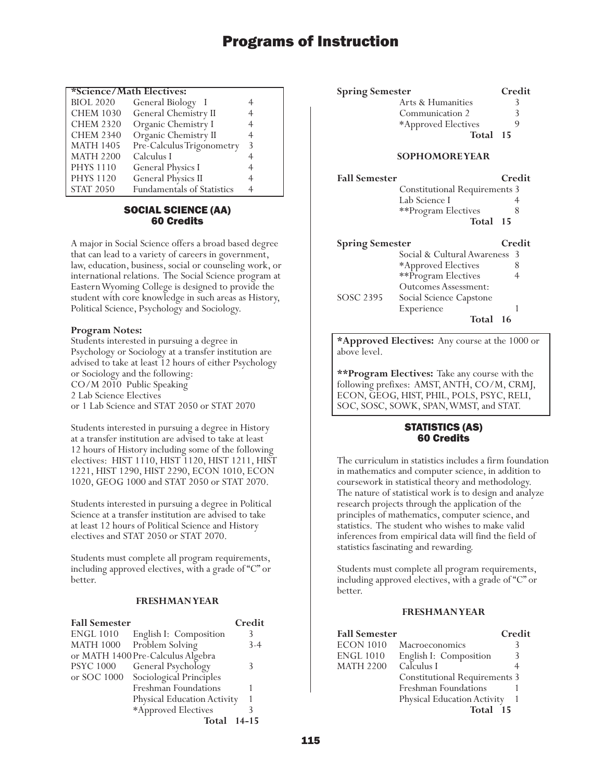## **\*Science/Math Electives:**

| <b>BIOL 2020</b> | General Biology I                 |   |
|------------------|-----------------------------------|---|
| <b>CHEM 1030</b> | General Chemistry II              | 4 |
| <b>CHEM 2320</b> | Organic Chemistry I               | 4 |
| <b>CHEM 2340</b> | Organic Chemistry II              | 4 |
| <b>MATH 1405</b> | Pre-Calculus Trigonometry         | 3 |
| <b>MATH 2200</b> | Calculus I                        | 4 |
| <b>PHYS 1110</b> | <b>General Physics I</b>          | 4 |
| <b>PHYS 1120</b> | General Physics II                | 4 |
| <b>STAT 2050</b> | <b>Fundamentals of Statistics</b> |   |

## SOCIAL SCIENCE (AA) 60 Credits

A major in Social Science offers a broad based degree that can lead to a variety of careers in government, law, education, business, social or counseling work, or international relations. The Social Science program at Eastern Wyoming College is designed to provide the student with core knowledge in such areas as History, Political Science, Psychology and Sociology.

## **Program Notes:**

Students interested in pursuing a degree in Psychology or Sociology at a transfer institution are advised to take at least 12 hours of either Psychology or Sociology and the following: CO/M 2010 Public Speaking 2 Lab Science Electives or 1 Lab Science and STAT 2050 or STAT 2070

Students interested in pursuing a degree in History at a transfer institution are advised to take at least 12 hours of History including some of the following electives: HIST 1110, HIST 1120, HIST 1211, HIST 1221, HIST 1290, HIST 2290, ECON 1010, ECON 1020, GEOG 1000 and STAT 2050 or STAT 2070.

Students interested in pursuing a degree in Political Science at a transfer institution are advised to take at least 12 hours of Political Science and History electives and STAT 2050 or STAT 2070.

Students must complete all program requirements, including approved electives, with a grade of "C" or better.

## **FRESHMAN YEAR**

| <b>Fall Semester</b> |                                   | Credit    |
|----------------------|-----------------------------------|-----------|
| <b>ENGL 1010</b>     | English I: Composition            |           |
| <b>MATH 1000</b>     | Problem Solving                   | $3-4$     |
|                      | or MATH 1400 Pre-Calculus Algebra |           |
| <b>PSYC 1000</b>     | General Psychology                |           |
| or SOC 1000          | Sociological Principles           |           |
|                      | Freshman Foundations              |           |
|                      | Physical Education Activity       |           |
|                      | *Approved Electives               |           |
|                      | Total                             | $14 - 15$ |

| <b>Spring Semester</b> | Credit |
|------------------------|--------|
| Arts & Humanities      |        |
| Communication 2        |        |
| *Approved Electives    |        |
| Total 15               |        |
|                        |        |

## **SOPHOMORE YEAR**

| <b>Fall Semester</b>   | <b>Constitutional Requirements 3</b> | Credit |
|------------------------|--------------------------------------|--------|
|                        | Lab Science I                        |        |
|                        | **Program Electives                  | 8      |
|                        | Total 15                             |        |
| <b>Spring Semester</b> |                                      | Credit |
|                        | Social & Cultural Awareness          | -3     |
|                        | *Approved Electives                  | 8      |
|                        | **Program Electives                  | 4      |
|                        | Outcomes Assessment:                 |        |
| SOSC 2395              | Social Science Capstone              |        |
|                        | Experience                           |        |
|                        | Total                                |        |

**\*Approved Electives:** Any course at the 1000 or above level.

**\*\*Program Electives:** Take any course with the following prefixes: AMST, ANTH, CO/M, CRMJ, ECON, GEOG, HIST, PHIL, POLS, PSYC, RELI, SOC, SOSC, SOWK, SPAN, WMST, and STAT.

## STATISTICS (AS) 60 Credits

The curriculum in statistics includes a firm foundation in mathematics and computer science, in addition to coursework in statistical theory and methodology. The nature of statistical work is to design and analyze research projects through the application of the principles of mathematics, computer science, and statistics. The student who wishes to make valid inferences from empirical data will find the field of statistics fascinating and rewarding.

Students must complete all program requirements, including approved electives, with a grade of "C" or better.

## **FRESHMAN YEAR**

| <b>Fall Semester</b> |                                      | Credit |
|----------------------|--------------------------------------|--------|
| <b>ECON 1010</b>     | Macroeconomics                       |        |
| <b>ENGL 1010</b>     | English I: Composition               | 3      |
| <b>MATH 2200</b>     | Calculus I                           |        |
|                      | <b>Constitutional Requirements 3</b> |        |
|                      | Freshman Foundations                 |        |
|                      | Physical Education Activity          |        |
|                      | Total<br>15                          |        |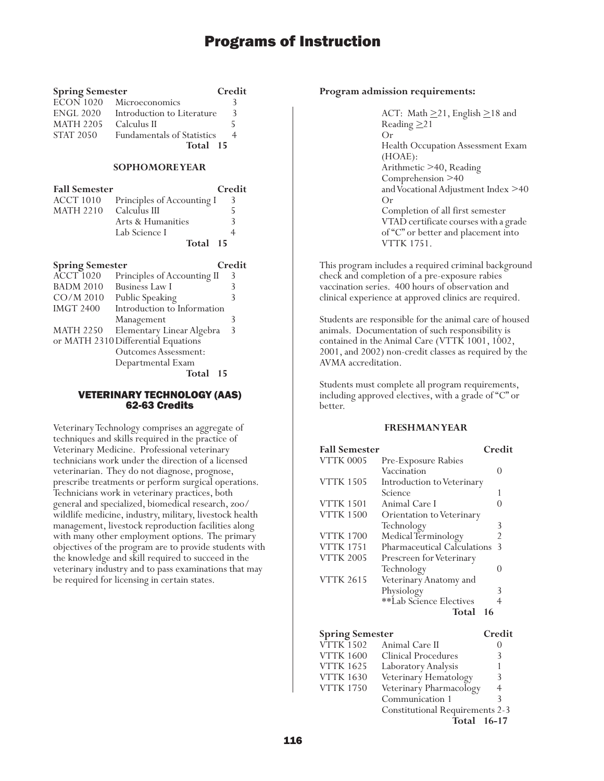| <b>Spring Semester</b> |                                       | Credit |
|------------------------|---------------------------------------|--------|
|                        | $\overline{ECON}$ 1020 Microeconomics |        |
| <b>ENGL 2020</b>       | Introduction to Literature            | 3      |
| <b>MATH 2205</b>       | Calculus II                           |        |
| <b>STAT 2050</b>       | <b>Fundamentals of Statistics</b>     | 4      |
|                        | Total 15                              |        |

## **SOPHOMORE YEAR**

| <b>Fall Semester</b> |                            | Credit                   |
|----------------------|----------------------------|--------------------------|
| ACCT 1010            | Principles of Accounting I | 3                        |
| MATH 2210            | Calculus III               | $\overline{\phantom{a}}$ |
|                      | Arts & Humanities          | $\mathcal{R}$            |
|                      | Lab Science I              |                          |
|                      | Total 15                   |                          |

| <b>Spring Semester</b> |                                     | Credit |
|------------------------|-------------------------------------|--------|
| ACCT <sub>1020</sub>   | Principles of Accounting II         | 3      |
| <b>BADM 2010</b>       | <b>Business Law I</b>               | 3      |
| $CO/M$ 2010            | Public Speaking                     | 3      |
| <b>IMGT 2400</b>       | Introduction to Information         |        |
|                        | Management                          | 3      |
| <b>MATH 2250</b>       | Elementary Linear Algebra           | 3      |
|                        | or MATH 2310 Differential Equations |        |
|                        | <b>Outcomes Assessment:</b>         |        |
|                        | Departmental Exam                   |        |
|                        | Total                               | 15     |

### VETERINARY TECHNOLOGY (AAS) 62-63 Credits

Veterinary Technology comprises an aggregate of techniques and skills required in the practice of Veterinary Medicine. Professional veterinary technicians work under the direction of a licensed veterinarian. They do not diagnose, prognose, prescribe treatments or perform surgical operations. Technicians work in veterinary practices, both general and specialized, biomedical research, zoo/ wildlife medicine, industry, military, livestock health management, livestock reproduction facilities along with many other employment options. The primary objectives of the program are to provide students with the knowledge and skill required to succeed in the veterinary industry and to pass examinations that may be required for licensing in certain states.

### **Program admission requirements:**

ACT: Math  $\geq$ 21, English  $\geq$ 18 and Reading  $\geq$  21 Or Health Occupation Assessment Exam (HOAE): Arithmetic >40, Reading Comprehension >40 and Vocational Adjustment Index >40 Or Completion of all first semester VTAD certificate courses with a grade of "C" or better and placement into VTTK 1751.

This program includes a required criminal background check and completion of a pre-exposure rabies vaccination series. 400 hours of observation and clinical experience at approved clinics are required.

Students are responsible for the animal care of housed animals. Documentation of such responsibility is contained in the Animal Care (VTTK 1001, 1002, 2001, and 2002) non-credit classes as required by the AVMA accreditation.

Students must complete all program requirements, including approved electives, with a grade of "C" or better.

## **FRESHMAN YEAR**

| <b>Fall Semester</b> |                             | Credit            |
|----------------------|-----------------------------|-------------------|
| <b>VTTK 0005</b>     | Pre-Exposure Rabies         |                   |
|                      | Vaccination                 | 0                 |
| <b>VTTK 1505</b>     | Introduction to Veterinary  |                   |
|                      | Science                     |                   |
| <b>VTTK 1501</b>     | Animal Care I               |                   |
| <b>VTTK 1500</b>     | Orientation to Veterinary   |                   |
|                      | Technology                  | 3                 |
| <b>VTTK 1700</b>     | Medical Terminology         | 2                 |
| <b>VTTK 1751</b>     | Pharmaceutical Calculations | 3                 |
| <b>VTTK 2005</b>     | Prescreen for Veterinary    |                   |
|                      | Technology                  | $\mathbf{\Omega}$ |
| <b>VTTK 2615</b>     | Veterinary Anatomy and      |                   |
|                      | Physiology                  | 3                 |
|                      | **Lab Science Electives     | 4                 |
|                      | Total                       | 16                |
|                      |                             |                   |

| <b>Spring Semester</b> |                                        | Credit         |
|------------------------|----------------------------------------|----------------|
| <b>VTTK 1502</b>       | Animal Care II                         |                |
| <b>VTTK 1600</b>       | Clinical Procedures                    | 3              |
| <b>VTTK 1625</b>       | Laboratory Analysis                    |                |
| <b>VTTK 1630</b>       | Veterinary Hematology                  | 3              |
| <b>VTTK 1750</b>       | Veterinary Pharmacology                | $\overline{4}$ |
|                        | Communication 1                        | ζ              |
|                        | <b>Constitutional Requirements 2-3</b> |                |
|                        | Total 16-17                            |                |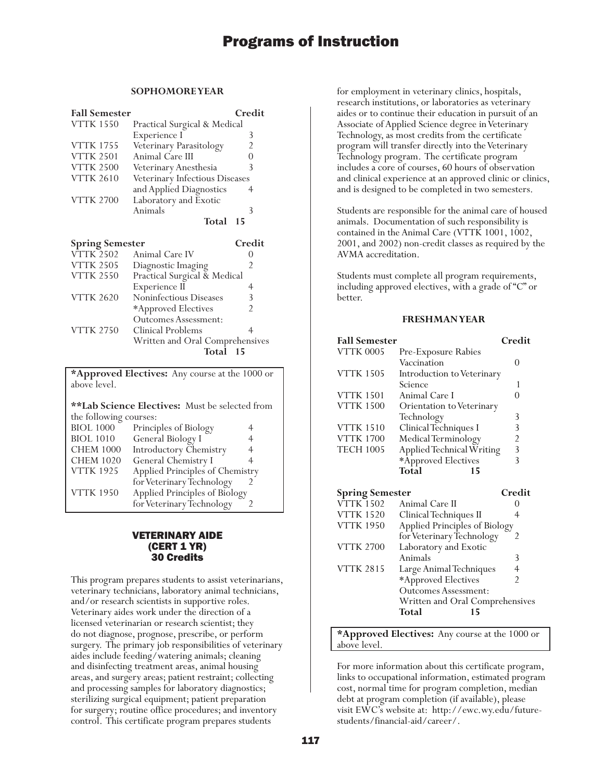## **SOPHOMORE YEAR**

| <b>Fall Semester</b> |                                | Credit |
|----------------------|--------------------------------|--------|
| <b>VTTK 1550</b>     | Practical Surgical & Medical   |        |
|                      | Experience I                   | 3      |
| <b>VTTK 1755</b>     | Veterinary Parasitology        | 2      |
| <b>VTTK 2501</b>     | Animal Care III                |        |
| <b>VTTK 2500</b>     | Veterinary Anesthesia          | 3      |
| <b>VTTK 2610</b>     | Veterinary Infectious Diseases |        |
|                      | and Applied Diagnostics        |        |
| <b>VTTK 2700</b>     | Laboratory and Exotic          |        |
|                      | Animals                        |        |
|                      | Total                          | 15     |

| <b>Spring Semester</b> |                                 | Credit |
|------------------------|---------------------------------|--------|
| <b>VTTK 2502</b>       | Animal Care IV                  |        |
| <b>VTTK 2505</b>       | Diagnostic Imaging              | 2      |
| <b>VTTK 2550</b>       | Practical Surgical & Medical    |        |
|                        | Experience II                   |        |
| <b>VTTK 2620</b>       | Noninfectious Diseases          | 3      |
|                        | *Approved Electives             |        |
|                        | Outcomes Assessment:            |        |
| <b>VTTK 2750</b>       | Clinical Problems               |        |
|                        | Written and Oral Comprehensives |        |
|                        | Total                           |        |

**\*Approved Electives:** Any course at the 1000 or above level.

| <b>**Lab Science Electives:</b> Must be selected from |                                 |   |
|-------------------------------------------------------|---------------------------------|---|
| the following courses:                                |                                 |   |
| <b>BIOL 1000</b>                                      | Principles of Biology           |   |
| <b>BIOL 1010</b>                                      | General Biology I               | 4 |
| <b>CHEM 1000</b>                                      | Introductory Chemistry          | 4 |
| <b>CHEM 1020</b>                                      | General Chemistry I             |   |
| <b>VTTK 1925</b>                                      | Applied Principles of Chemistry |   |
|                                                       | for Veterinary Technology       |   |
| <b>VTTK 1950</b>                                      | Applied Principles of Biology   |   |
|                                                       | for Veterinary Technology       |   |

## VETERINARY AIDE (CERT 1 YR) 30 Credits

This program prepares students to assist veterinarians, veterinary technicians, laboratory animal technicians, and/or research scientists in supportive roles. Veterinary aides work under the direction of a licensed veterinarian or research scientist; they do not diagnose, prognose, prescribe, or perform surgery. The primary job responsibilities of veterinary aides include feeding/watering animals; cleaning and disinfecting treatment areas, animal housing areas, and surgery areas; patient restraint; collecting and processing samples for laboratory diagnostics; sterilizing surgical equipment; patient preparation for surgery; routine office procedures; and inventory control. This certificate program prepares students

for employment in veterinary clinics, hospitals, research institutions, or laboratories as veterinary aides or to continue their education in pursuit of an Associate of Applied Science degree in Veterinary Technology, as most credits from the certificate program will transfer directly into the Veterinary Technology program. The certificate program includes a core of courses, 60 hours of observation and clinical experience at an approved clinic or clinics, and is designed to be completed in two semesters.

Students are responsible for the animal care of housed animals. Documentation of such responsibility is contained in the Animal Care (VTTK 1001, 1002, 2001, and 2002) non-credit classes as required by the AVMA accreditation.

Students must complete all program requirements, including approved electives, with a grade of "C" or better.

#### **FRESHMAN YEAR**

| <b>Fall Semester</b>      |                                  | Credit             |
|---------------------------|----------------------------------|--------------------|
| <b>VTTK 0005</b>          | Pre-Exposure Rabies              |                    |
|                           | Vaccination                      | $\mathbf{0}$       |
| <b>VTTK 1505</b>          | Introduction to Veterinary       |                    |
|                           | Science                          |                    |
| <b>VTTK 1501</b>          | Animal Care I                    |                    |
| <b>VTTK 1500</b>          | <b>Orientation to Veterinary</b> |                    |
|                           | Technology                       | 3                  |
| <b>VTTK 1510</b>          | Clinical Techniques I            | 3                  |
| <b>VTTK 1700</b>          | Medical Terminology              | $\overline{2}$     |
| <b>TECH 1005</b>          | Applied Technical Writing        | 3                  |
|                           | *Approved Electives              | 3                  |
|                           | Total<br>15                      |                    |
| $C_{\infty}$ $C_{\infty}$ |                                  | $C_{\rm max}$ .1:4 |

|                                 | eregii          |
|---------------------------------|-----------------|
| Animal Care II                  |                 |
| Clinical Techniques II          |                 |
| Applied Principles of Biology   |                 |
| for Veterinary Technology       | 2               |
| Laboratory and Exotic           |                 |
| Animals                         | 3               |
| Large Animal Techniques         |                 |
| *Approved Electives             | 2               |
| <b>Outcomes Assessment:</b>     |                 |
| Written and Oral Comprehensives |                 |
| Total<br>15                     |                 |
|                                 | spring semester |

**\*Approved Electives:** Any course at the 1000 or above level.

For more information about this certificate program, links to occupational information, estimated program cost, normal time for program completion, median debt at program completion (if available), please visit EWC's website at: http://ewc.wy.edu/futurestudents/financial-aid/career/.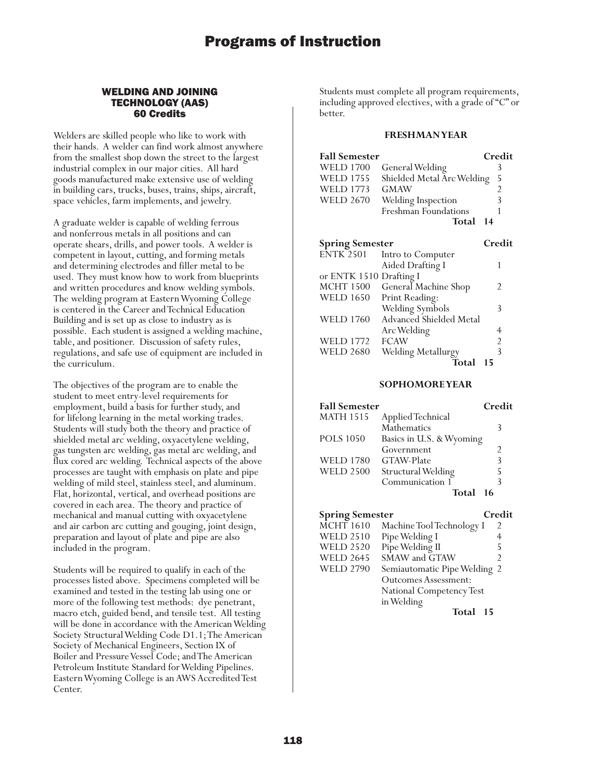### WELDING AND JOINING TECHNOLOGY (AAS) 60 Credits

Welders are skilled people who like to work with their hands. A welder can find work almost anywhere from the smallest shop down the street to the largest industrial complex in our major cities. All hard goods manufactured make extensive use of welding in building cars, trucks, buses, trains, ships, aircraft, space vehicles, farm implements, and jewelry.

A graduate welder is capable of welding ferrous and nonferrous metals in all positions and can operate shears, drills, and power tools. A welder is competent in layout, cutting, and forming metals and determining electrodes and filler metal to be used. They must know how to work from blueprints and written procedures and know welding symbols. The welding program at Eastern Wyoming College is centered in the Career and Technical Education Building and is set up as close to industry as is possible. Each student is assigned a welding machine, table, and positioner. Discussion of safety rules, regulations, and safe use of equipment are included in the curriculum.

The objectives of the program are to enable the student to meet entry-level requirements for employment, build a basis for further study, and for lifelong learning in the metal working trades. Students will study both the theory and practice of shielded metal arc welding, oxyacetylene welding, gas tungsten arc welding, gas metal arc welding, and flux cored arc welding. Technical aspects of the above processes are taught with emphasis on plate and pipe welding of mild steel, stainless steel, and aluminum. Flat, horizontal, vertical, and overhead positions are covered in each area. The theory and practice of mechanical and manual cutting with oxyacetylene and air carbon arc cutting and gouging, joint design, preparation and layout of plate and pipe are also included in the program.

Students will be required to qualify in each of the processes listed above. Specimens completed will be examined and tested in the testing lab using one or more of the following test methods: dye penetrant, macro etch, guided bend, and tensile test. All testing will be done in accordance with the American Welding Society Structural Welding Code D1.1; The American Society of Mechanical Engineers, Section IX of Boiler and Pressure Vessel Code; and The American Petroleum Institute Standard for Welding Pipelines. Eastern Wyoming College is an AWS Accredited Test Center.

Students must complete all program requirements, including approved electives, with a grade of "C" or better.

#### **FRESHMAN YEAR**

| <b>Fall Semester</b>    |                            |    | Credit |
|-------------------------|----------------------------|----|--------|
| <b>WELD 1700</b>        | General Welding            |    | 3      |
| <b>WELD 1755</b>        | Shielded Metal Arc Welding |    | 5      |
| <b>WELD 1773</b>        | GMAW                       |    | 2      |
| <b>WELD 2670</b>        | Welding Inspection         |    | 3      |
|                         | Freshman Foundations       |    | 1      |
|                         | Total                      | 14 |        |
|                         |                            |    |        |
| <b>Spring Semester</b>  |                            |    | Credit |
| <b>ENTK 2501</b>        | Intro to Computer          |    |        |
|                         | Aided Drafting I           |    | 1      |
| or ENTK 1510 Drafting I |                            |    |        |
| MCHT 1500               | General Machine Shop       |    | 2      |
| <b>WELD 1650</b>        | Print Reading:             |    |        |
|                         | Welding Symbols            |    | 3      |
| <b>WELD 1760</b>        | Advanced Shielded Metal    |    |        |
|                         | Arc Welding                |    | 4      |
| <b>WELD 1772</b>        | <b>FCAW</b>                |    | 2      |
| WELD 2680               | Welding Metallurgy         |    | 3      |

**Total 15**

| <b>Fall Semester</b> |                          | Credit |
|----------------------|--------------------------|--------|
| <b>MATH 1515</b>     | Applied Technical        |        |
|                      | Mathematics              | 3      |
| <b>POLS</b> 1050     | Basics in U.S. & Wyoming |        |
|                      | Government               | 2      |
| <b>WELD 1780</b>     | GTAW-Plate               | 3      |
| <b>WELD 2500</b>     | Structural Welding       | 5      |
|                      | Communication 1          | 3      |
|                      | Total                    | 16     |

|                           | Credit                                                                                        |
|---------------------------|-----------------------------------------------------------------------------------------------|
| Machine Tool Technology I | 2                                                                                             |
| Pipe Welding I            | 4                                                                                             |
|                           | 5                                                                                             |
| SMAW and GTAW             | $\mathfrak{D}$                                                                                |
|                           |                                                                                               |
| Outcomes Assessment:      |                                                                                               |
| National Competency Test  |                                                                                               |
|                           |                                                                                               |
| Total                     |                                                                                               |
|                           | <b>Spring Semester</b><br>Pipe Welding II<br>Semiautomatic Pipe Welding 2<br>in Welding<br>15 |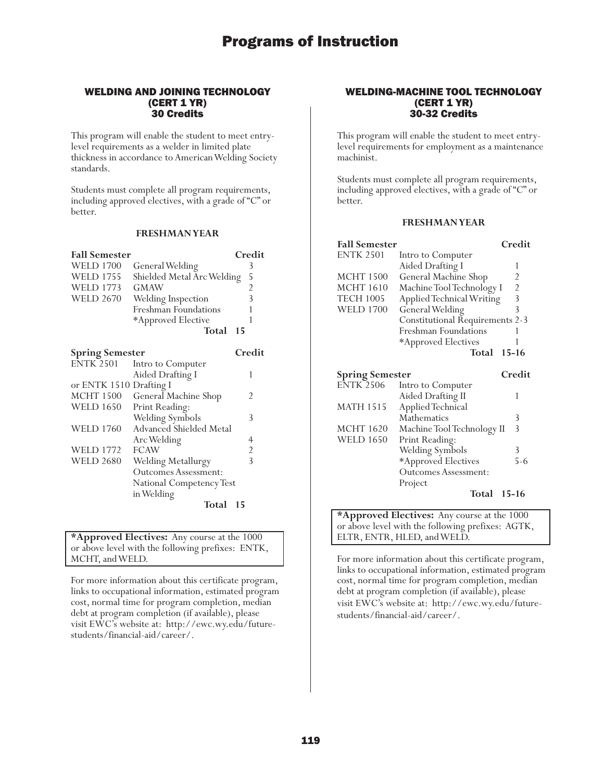## WELDING AND JOINING TECHNOLOGY (CERT 1 YR) 30 Credits

This program will enable the student to meet entrylevel requirements as a welder in limited plate thickness in accordance to American Welding Society standards.

Students must complete all program requirements, including approved electives, with a grade of "C" or better.

## **FRESHMAN YEAR**

| <b>Fall Semester</b>    |                             | Credit         |
|-------------------------|-----------------------------|----------------|
| <b>WELD 1700</b>        | General Welding             | 3              |
| <b>WELD 1755</b>        | Shielded Metal Arc Welding  | 5              |
| <b>WELD 1773</b>        | <b>GMAW</b>                 | $\overline{c}$ |
| <b>WELD 2670</b>        | Welding Inspection          | $\overline{3}$ |
|                         | Freshman Foundations        | 1              |
|                         | *Approved Elective          | 1              |
|                         | Total                       | 15             |
|                         |                             |                |
| <b>Spring Semester</b>  |                             | Credit         |
| <b>ENTK 2501</b>        | Intro to Computer           |                |
|                         | Aided Drafting I            | 1              |
| or ENTK 1510 Drafting I |                             |                |
| MCHT 1500               | General Machine Shop        | 2              |
| <b>WELD 1650</b>        | Print Reading:              |                |
|                         | Welding Symbols             | 3              |
| <b>WELD 1760</b>        | Advanced Shielded Metal     |                |
|                         | Arc Welding                 | 4              |
| <b>WELD 1772</b>        | <b>FCAW</b>                 | $\overline{c}$ |
| <b>WELD 2680</b>        | Welding Metallurgy          | $\overline{3}$ |
|                         | <b>Outcomes Assessment:</b> |                |
|                         | National Competency Test    |                |
|                         | in Welding                  |                |
|                         | Total                       | 15             |

### **\*Approved Electives:** Any course at the 1000 or above level with the following prefixes: ENTK, MCHT, and WELD.

For more information about this certificate program, links to occupational information, estimated program cost, normal time for program completion, median debt at program completion (if available), please visit EWC's website at: http://ewc.wy.edu/futurestudents/financial-aid/career/.

### WELDING-MACHINE TOOL TECHNOLOGY (CERT 1 YR) 30-32 Credits

This program will enable the student to meet entrylevel requirements for employment as a maintenance machinist.

Students must complete all program requirements, including approved electives, with a grade of "C" or better.

## **FRESHMAN YEAR**

| <b>Fall Semester</b>   |                                        | Credit                                     |
|------------------------|----------------------------------------|--------------------------------------------|
| <b>ENTK 2501</b>       | Intro to Computer                      |                                            |
|                        | Aided Drafting I                       | 1                                          |
| <b>MCHT 1500</b>       | General Machine Shop                   | 2                                          |
| <b>MCHT 1610</b>       | Machine Tool Technology I              |                                            |
| <b>TECH 1005</b>       | Applied Technical Writing              | $\begin{array}{c} 2 \\ 3 \\ 3 \end{array}$ |
| <b>WELD 1700</b>       | General Welding                        |                                            |
|                        | <b>Constitutional Requirements 2-3</b> |                                            |
|                        | Freshman Foundations                   | 1                                          |
|                        | *Approved Electives                    | 1                                          |
|                        | Total                                  | $15 - 16$                                  |
| <b>Spring Semester</b> |                                        | Credit                                     |
| <b>ENTK 2506</b>       | Intro to Computer                      |                                            |
|                        | Aided Drafting II                      | 1                                          |
| <b>MATH 1515</b>       | Applied Technical                      |                                            |
|                        | Mathematics                            | 3                                          |
| <b>MCHT 1620</b>       | Machine Tool Technology II             | $\overline{3}$                             |
| <b>WELD 1650</b>       | Print Reading:                         |                                            |
|                        | Welding Symbols                        | 3                                          |
|                        | *Approved Electives                    | $5 - 6$                                    |
|                        | <b>Outcomes Assessment:</b>            |                                            |
|                        | Project                                |                                            |
|                        | Total 15-16                            |                                            |

**\*Approved Electives:** Any course at the 1000 or above level with the following prefixes: AGTK, ELTR, ENTR, HLED, and WELD.

For more information about this certificate program, links to occupational information, estimated program cost, normal time for program completion, median debt at program completion (if available), please visit EWC's website at: http://ewc.wy.edu/futurestudents/financial-aid/career/.